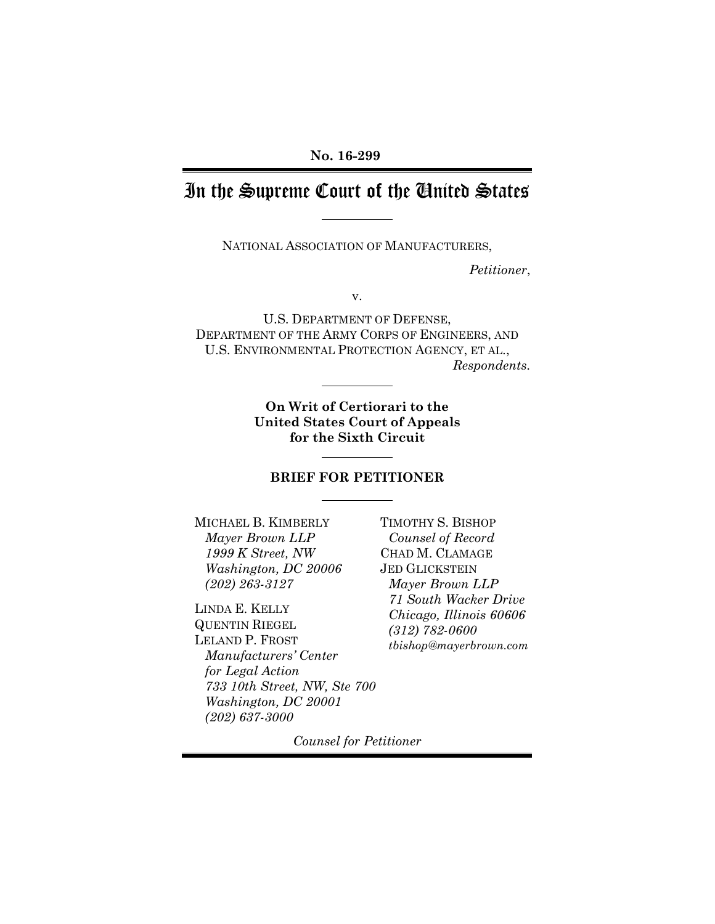## In the Supreme Court of the United States

NATIONAL ASSOCIATION OF MANUFACTURERS,

*Petitioner*,

v.

U.S. DEPARTMENT OF DEFENSE, DEPARTMENT OF THE ARMY CORPS OF ENGINEERS, AND U.S. ENVIRONMENTAL PROTECTION AGENCY, ET AL., *Respondents.*

> **On Writ of Certiorari to the United States Court of Appeals for the Sixth Circuit**

### **BRIEF FOR PETITIONER**

MICHAEL B. KIMBERLY *Mayer Brown LLP 1999 K Street, NW Washington, DC 20006 (202) 263-3127*

LINDA E. KELLY QUENTIN RIEGEL LELAND P. FROST *Manufacturers' Center for Legal Action 733 10th Street, NW, Ste 700 Washington, DC 20001 (202) 637-3000*

TIMOTHY S. BISHOP *Counsel of Record* CHAD M. CLAMAGE JED GLICKSTEIN *Mayer Brown LLP 71 South Wacker Drive Chicago, Illinois 60606 (312) 782-0600 tbishop@mayerbrown.com*

*Counsel for Petitioner*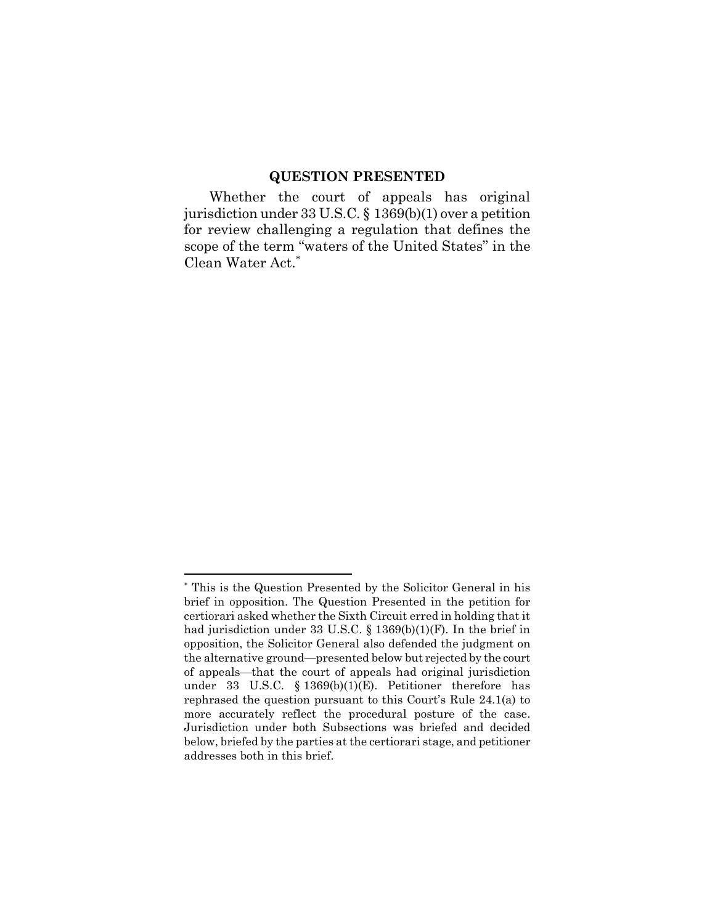### **QUESTION PRESENTED**

Whether the court of appeals has original jurisdiction under 33 U.S.C. § 1369(b)(1) over a petition for review challenging a regulation that defines the scope of the term "waters of the United States" in the Clean Water Act.<sup>∗</sup>

<sup>∗</sup> This is the Question Presented by the Solicitor General in his brief in opposition. The Question Presented in the petition for certiorari asked whether the Sixth Circuit erred in holding that it had jurisdiction under 33 U.S.C. § 1369(b)(1)(F). In the brief in opposition, the Solicitor General also defended the judgment on the alternative ground—presented below but rejected by the court of appeals—that the court of appeals had original jurisdiction under 33 U.S.C. § 1369(b)(1)(E). Petitioner therefore has rephrased the question pursuant to this Court's Rule 24.1(a) to more accurately reflect the procedural posture of the case. Jurisdiction under both Subsections was briefed and decided below, briefed by the parties at the certiorari stage, and petitioner addresses both in this brief.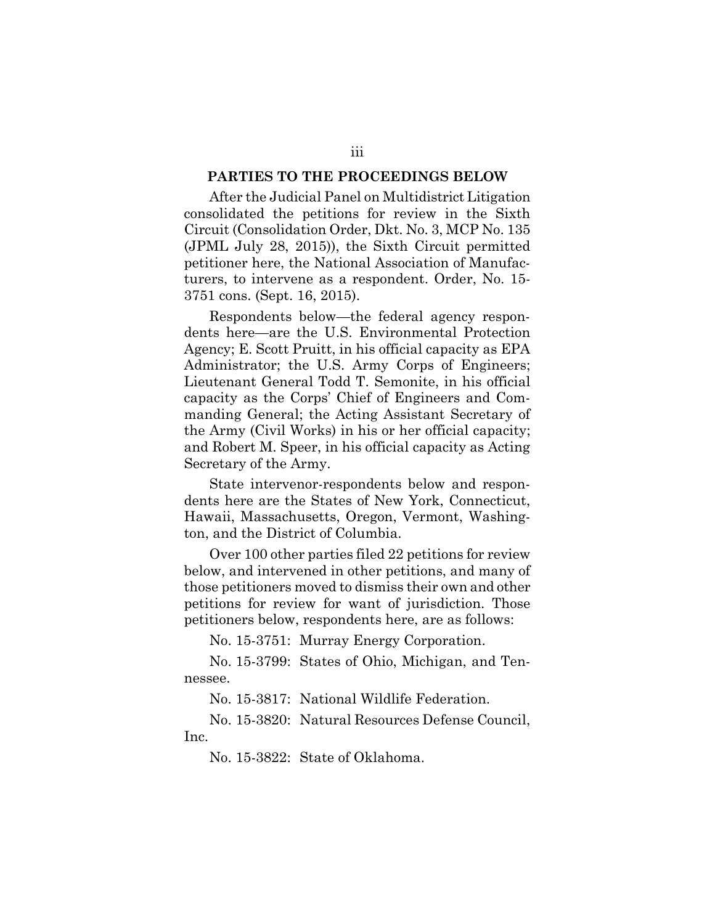### **PARTIES TO THE PROCEEDINGS BELOW**

After the Judicial Panel on Multidistrict Litigation consolidated the petitions for review in the Sixth Circuit (Consolidation Order, Dkt. No. 3, MCP No. 135 (JPML July 28, 2015)), the Sixth Circuit permitted petitioner here, the National Association of Manufacturers, to intervene as a respondent. Order, No. 15- 3751 cons. (Sept. 16, 2015).

Respondents below—the federal agency respondents here—are the U.S. Environmental Protection Agency; E. Scott Pruitt, in his official capacity as EPA Administrator; the U.S. Army Corps of Engineers; Lieutenant General Todd T. Semonite, in his official capacity as the Corps' Chief of Engineers and Commanding General; the Acting Assistant Secretary of the Army (Civil Works) in his or her official capacity; and Robert M. Speer, in his official capacity as Acting Secretary of the Army.

State intervenor-respondents below and respondents here are the States of New York, Connecticut, Hawaii, Massachusetts, Oregon, Vermont, Washington, and the District of Columbia.

Over 100 other parties filed 22 petitions for review below, and intervened in other petitions, and many of those petitioners moved to dismiss their own and other petitions for review for want of jurisdiction. Those petitioners below, respondents here, are as follows:

No. 15-3751: Murray Energy Corporation.

No. 15-3799: States of Ohio, Michigan, and Tennessee.

No. 15-3817: National Wildlife Federation.

No. 15-3820: Natural Resources Defense Council, Inc.

No. 15-3822: State of Oklahoma.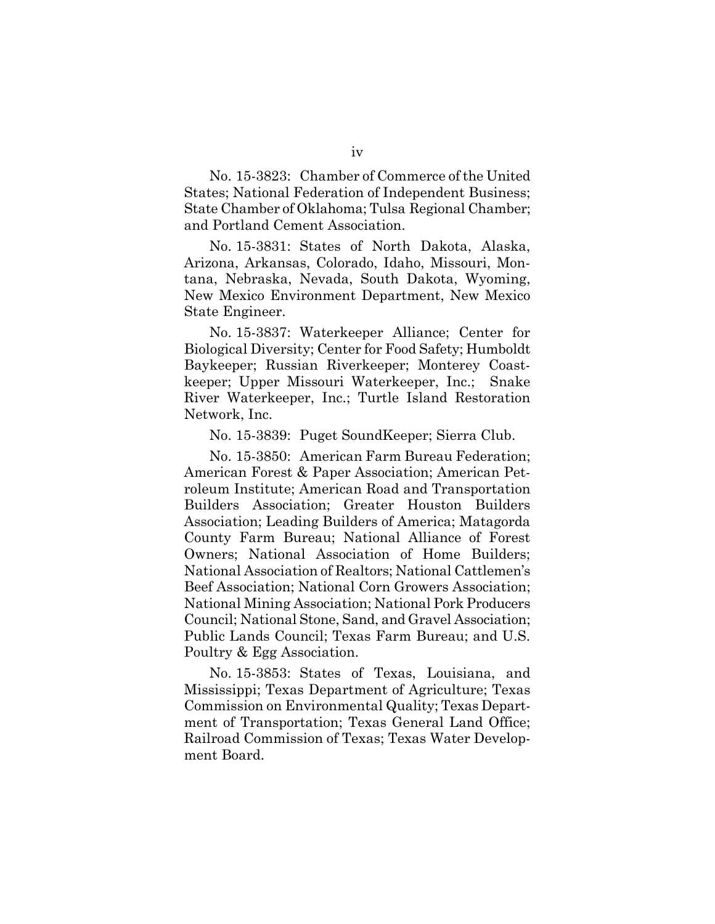No. 15-3823: Chamber of Commerce of the United States; National Federation of Independent Business; State Chamber of Oklahoma; Tulsa Regional Chamber; and Portland Cement Association.

No. 15-3831: States of North Dakota, Alaska, Arizona, Arkansas, Colorado, Idaho, Missouri, Montana, Nebraska, Nevada, South Dakota, Wyoming, New Mexico Environment Department, New Mexico State Engineer.

No. 15-3837: Waterkeeper Alliance; Center for Biological Diversity; Center for Food Safety; Humboldt Baykeeper; Russian Riverkeeper; Monterey Coastkeeper; Upper Missouri Waterkeeper, Inc.; Snake River Waterkeeper, Inc.; Turtle Island Restoration Network, Inc.

No. 15-3839: Puget SoundKeeper; Sierra Club.

No. 15-3850: American Farm Bureau Federation; American Forest & Paper Association; American Petroleum Institute; American Road and Transportation Builders Association; Greater Houston Builders Association; Leading Builders of America; Matagorda County Farm Bureau; National Alliance of Forest Owners; National Association of Home Builders; National Association of Realtors; National Cattlemen's Beef Association; National Corn Growers Association; National Mining Association; National Pork Producers Council; National Stone, Sand, and Gravel Association; Public Lands Council; Texas Farm Bureau; and U.S. Poultry & Egg Association.

No. 15-3853: States of Texas, Louisiana, and Mississippi; Texas Department of Agriculture; Texas Commission on Environmental Quality; Texas Department of Transportation; Texas General Land Office; Railroad Commission of Texas; Texas Water Development Board.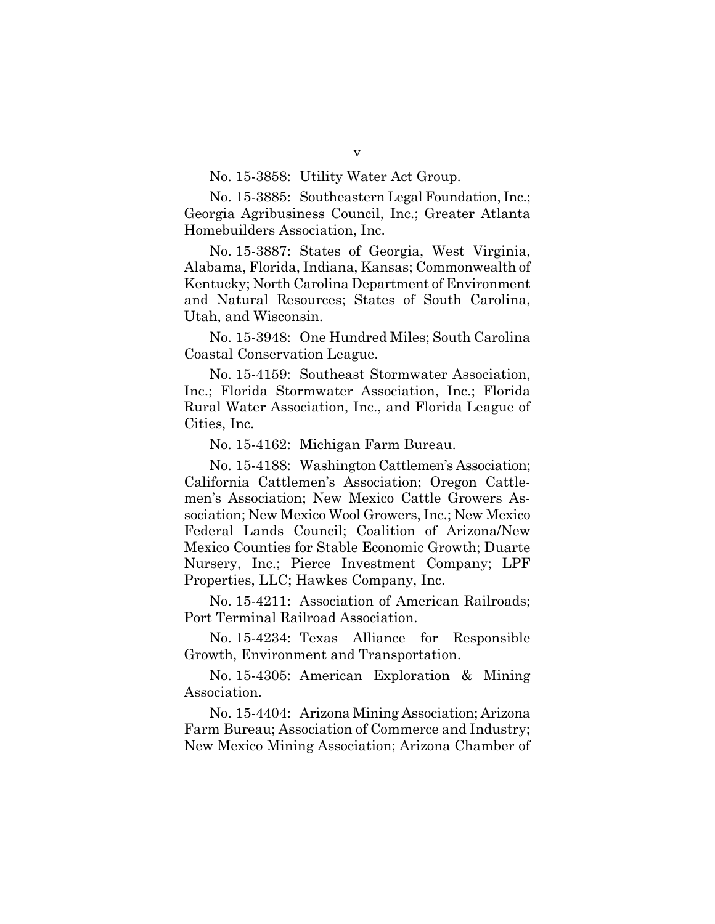### No. 15-3858: Utility Water Act Group.

No. 15-3885: Southeastern Legal Foundation, Inc.; Georgia Agribusiness Council, Inc.; Greater Atlanta Homebuilders Association, Inc.

No. 15-3887: States of Georgia, West Virginia, Alabama, Florida, Indiana, Kansas; Commonwealth of Kentucky; North Carolina Department of Environment and Natural Resources; States of South Carolina, Utah, and Wisconsin.

No. 15-3948: One Hundred Miles; South Carolina Coastal Conservation League.

No. 15-4159: Southeast Stormwater Association, Inc.; Florida Stormwater Association, Inc.; Florida Rural Water Association, Inc., and Florida League of Cities, Inc.

No. 15-4162: Michigan Farm Bureau.

No. 15-4188: Washington Cattlemen's Association; California Cattlemen's Association; Oregon Cattlemen's Association; New Mexico Cattle Growers Association; New Mexico Wool Growers, Inc.; New Mexico Federal Lands Council; Coalition of Arizona/New Mexico Counties for Stable Economic Growth; Duarte Nursery, Inc.; Pierce Investment Company; LPF Properties, LLC; Hawkes Company, Inc.

No. 15-4211: Association of American Railroads; Port Terminal Railroad Association.

No. 15-4234: Texas Alliance for Responsible Growth, Environment and Transportation.

No. 15-4305: American Exploration & Mining Association.

No. 15-4404: Arizona Mining Association; Arizona Farm Bureau; Association of Commerce and Industry; New Mexico Mining Association; Arizona Chamber of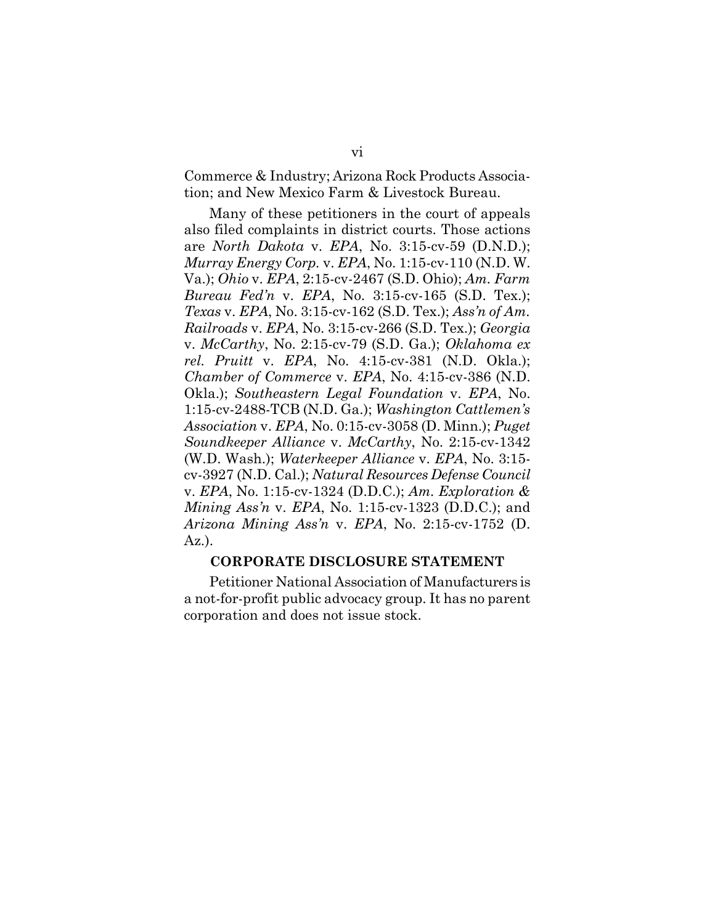Commerce & Industry; Arizona Rock Products Association; and New Mexico Farm & Livestock Bureau.

Many of these petitioners in the court of appeals also filed complaints in district courts. Those actions are *North Dakota* v. *EPA*, No. 3:15-cv-59 (D.N.D.); *Murray Energy Corp.* v. *EPA*, No. 1:15-cv-110 (N.D. W. Va.); *Ohio* v. *EPA*, 2:15-cv-2467 (S.D. Ohio); *Am. Farm Bureau Fed'n* v. *EPA*, No. 3:15-cv-165 (S.D. Tex.); *Texas* v. *EPA*, No. 3:15-cv-162 (S.D. Tex.); *Ass'n of Am. Railroads* v. *EPA*, No. 3:15-cv-266 (S.D. Tex.); *Georgia* v. *McCarthy*, No. 2:15-cv-79 (S.D. Ga.); *Oklahoma ex rel. Pruitt* v. *EPA*, No. 4:15-cv-381 (N.D. Okla.); *Chamber of Commerce* v. *EPA*, No. 4:15-cv-386 (N.D. Okla.); *Southeastern Legal Foundation* v. *EPA*, No. 1:15-cv-2488-TCB (N.D. Ga.); *Washington Cattlemen's Association* v. *EPA*, No. 0:15-cv-3058 (D. Minn.); *Puget Soundkeeper Alliance* v. *McCarthy*, No. 2:15-cv-1342 (W.D. Wash.); *Waterkeeper Alliance* v. *EPA*, No. 3:15 cv-3927 (N.D. Cal.); *Natural Resources Defense Council* v. *EPA*, No. 1:15-cv-1324 (D.D.C.); *Am. Exploration & Mining Ass'n* v. *EPA*, No. 1:15-cv-1323 (D.D.C.); and *Arizona Mining Ass'n* v. *EPA*, No. 2:15-cv-1752 (D. Az.).

### **CORPORATE DISCLOSURE STATEMENT**

Petitioner National Association of Manufacturers is a not-for-profit public advocacy group. It has no parent corporation and does not issue stock.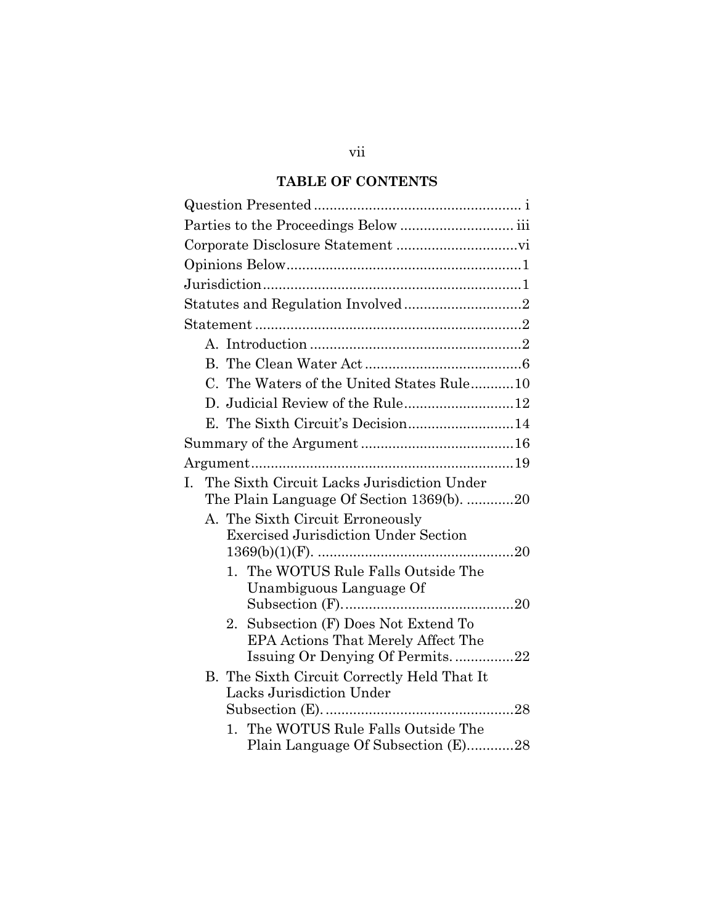### **TABLE OF CONTENTS**

| C. The Waters of the United States Rule10                                                                        |
|------------------------------------------------------------------------------------------------------------------|
|                                                                                                                  |
| E. The Sixth Circuit's Decision14                                                                                |
|                                                                                                                  |
|                                                                                                                  |
| The Sixth Circuit Lacks Jurisdiction Under<br>$\mathbf{L}$<br>The Plain Language Of Section 1369(b). 20          |
| A. The Sixth Circuit Erroneously<br><b>Exercised Jurisdiction Under Section</b>                                  |
| 1. The WOTUS Rule Falls Outside The<br>Unambiguous Language Of                                                   |
| Subsection (F) Does Not Extend To<br>2.<br>EPA Actions That Merely Affect The<br>Issuing Or Denying Of Permits22 |
| B. The Sixth Circuit Correctly Held That It<br>Lacks Jurisdiction Under                                          |
| 1. The WOTUS Rule Falls Outside The<br>Plain Language Of Subsection (E)28                                        |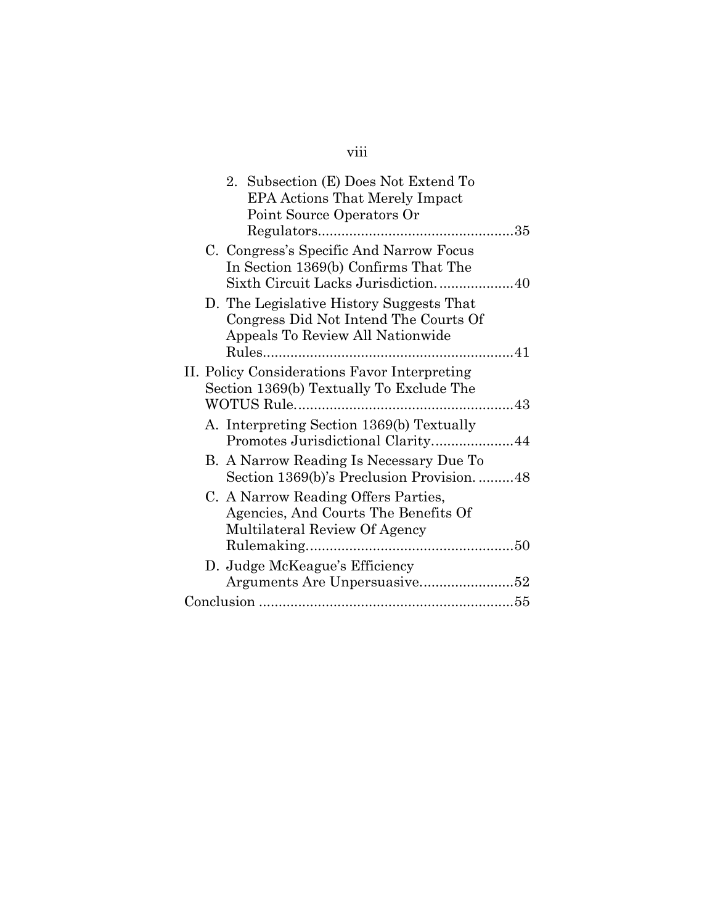# viii

|  | 2. Subsection (E) Does Not Extend To                                                                                  |
|--|-----------------------------------------------------------------------------------------------------------------------|
|  | <b>EPA Actions That Merely Impact</b>                                                                                 |
|  | Point Source Operators Or                                                                                             |
|  |                                                                                                                       |
|  | C. Congress's Specific And Narrow Focus                                                                               |
|  | In Section 1369(b) Confirms That The                                                                                  |
|  | Sixth Circuit Lacks Jurisdiction40                                                                                    |
|  | D. The Legislative History Suggests That<br>Congress Did Not Intend The Courts Of<br>Appeals To Review All Nationwide |
|  |                                                                                                                       |
|  | II. Policy Considerations Favor Interpreting                                                                          |
|  | Section 1369(b) Textually To Exclude The                                                                              |
|  |                                                                                                                       |
|  | A. Interpreting Section 1369(b) Textually                                                                             |
|  | Promotes Jurisdictional Clarity44                                                                                     |
|  | B. A Narrow Reading Is Necessary Due To                                                                               |
|  | Section 1369(b)'s Preclusion Provision48                                                                              |
|  | C. A Narrow Reading Offers Parties,                                                                                   |
|  | Agencies, And Courts The Benefits Of                                                                                  |
|  | Multilateral Review Of Agency                                                                                         |
|  |                                                                                                                       |
|  | D. Judge McKeague's Efficiency                                                                                        |
|  |                                                                                                                       |
|  |                                                                                                                       |
|  |                                                                                                                       |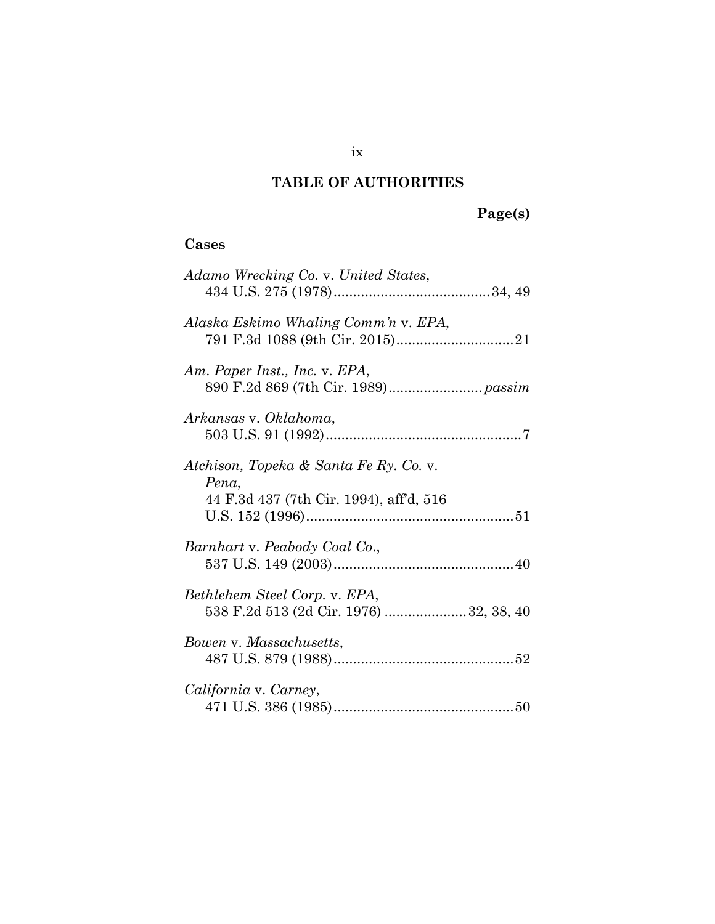## **TABLE OF AUTHORITIES**

# **Page(s)**

## **Cases**

| Adamo Wrecking Co. v. United States,                                                       |
|--------------------------------------------------------------------------------------------|
| Alaska Eskimo Whaling Comm'n v. EPA,                                                       |
| Am. Paper Inst., Inc. v. EPA,                                                              |
| Arkansas v. Oklahoma,                                                                      |
| Atchison, Topeka & Santa Fe Ry. Co. v.<br>Pena,<br>44 F.3d 437 (7th Cir. 1994), aff'd, 516 |
| Barnhart v. Peabody Coal Co.,                                                              |
| Bethlehem Steel Corp. v. EPA,<br>538 F.2d 513 (2d Cir. 1976) 32, 38, 40                    |
| Bowen v. Massachusetts,                                                                    |
| California v. Carney,                                                                      |

ix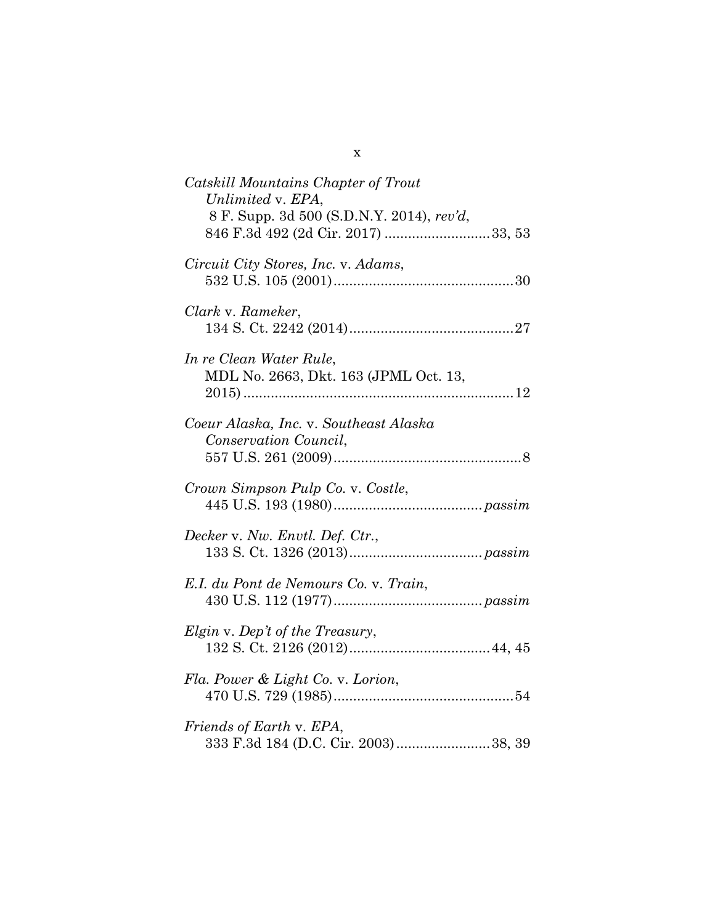| Catskill Mountains Chapter of Trout<br>Unlimited v. EPA,<br>8 F. Supp. 3d 500 (S.D.N.Y. 2014), rev'd, |
|-------------------------------------------------------------------------------------------------------|
| Circuit City Stores, Inc. v. Adams,                                                                   |
| Clark v. Rameker,                                                                                     |
| In re Clean Water Rule,<br>MDL No. 2663, Dkt. 163 (JPML Oct. 13,                                      |
| Coeur Alaska, Inc. v. Southeast Alaska<br>Conservation Council,                                       |
| Crown Simpson Pulp Co. v. Costle,                                                                     |
| Decker v. Nw. Envtl. Def. Ctr.,                                                                       |
| E.I. du Pont de Nemours Co. v. Train,                                                                 |
| Elgin v. Dep't of the Treasury,                                                                       |
| Fla. Power & Light Co. v. Lorion,                                                                     |
| Friends of Earth v. EPA,<br>333 F.3d 184 (D.C. Cir. 2003)38, 39                                       |

x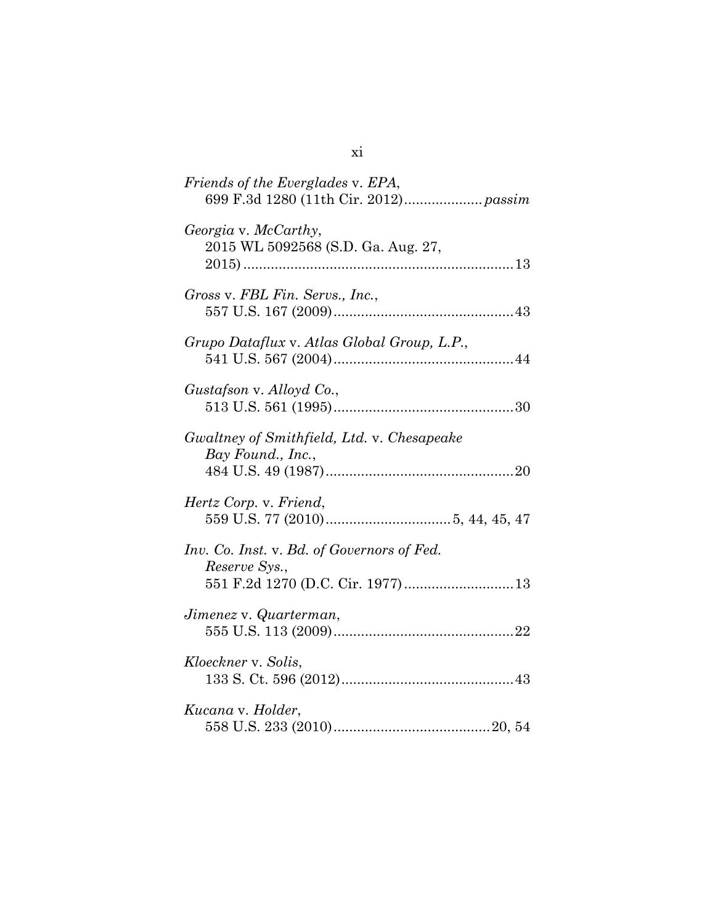| Friends of the Everglades v. EPA,                               |
|-----------------------------------------------------------------|
| Georgia v. McCarthy,<br>2015 WL 5092568 (S.D. Ga. Aug. 27,      |
| Gross v. FBL Fin. Servs., Inc.,                                 |
| Grupo Dataflux v. Atlas Global Group, L.P.,                     |
| Gustafson v. Alloyd Co.,                                        |
| Gwaltney of Smithfield, Ltd. v. Chesapeake<br>Bay Found., Inc., |
| Hertz Corp. v. Friend,                                          |
| Inv. Co. Inst. v. Bd. of Governors of Fed.<br>Reserve Sys.,     |
| Jimenez v. Quarterman,                                          |
| Kloeckner v. Solis,                                             |
| Kucana v. Holder,                                               |

xi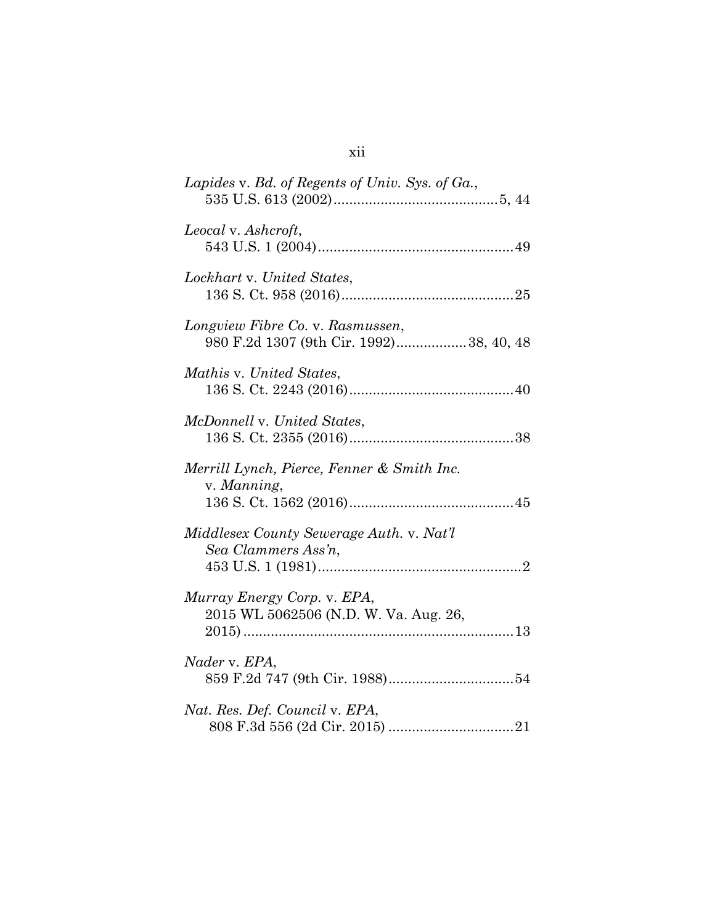| Lapides v. Bd. of Regents of Univ. Sys. of Ga.,                             |
|-----------------------------------------------------------------------------|
| Leocal v. Ashcroft,                                                         |
| Lockhart v. United States,                                                  |
| Longview Fibre Co. v. Rasmussen,<br>980 F.2d 1307 (9th Cir. 1992)38, 40, 48 |
| Mathis v. United States,                                                    |
| McDonnell v. United States,                                                 |
| Merrill Lynch, Pierce, Fenner & Smith Inc.<br>v. Manning,                   |
| Middlesex County Sewerage Auth. v. Nat'l<br>Sea Clammers Ass'n,             |
| Murray Energy Corp. v. EPA,<br>2015 WL 5062506 (N.D. W. Va. Aug. 26,        |
| Nader v. EPA,                                                               |
| Nat. Res. Def. Council v. EPA,                                              |

xii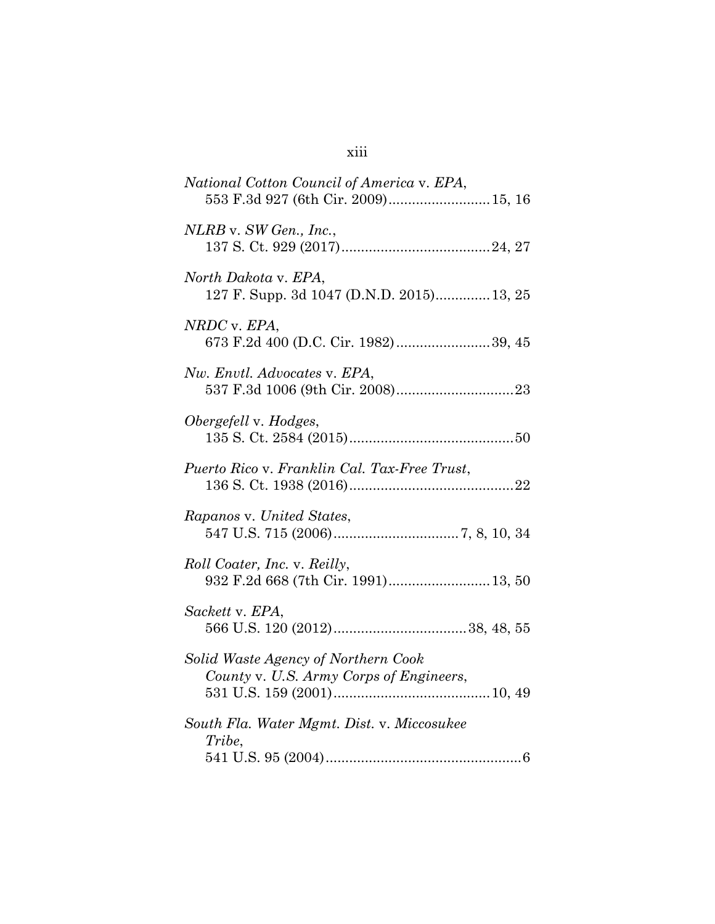| National Cotton Council of America v. EPA,<br>553 F.3d 927 (6th Cir. 2009) 15, 16 |
|-----------------------------------------------------------------------------------|
| NLRB v. SW Gen., Inc.,                                                            |
| North Dakota v. EPA,<br>127 F. Supp. 3d 1047 (D.N.D. 2015) 13, 25                 |
| NRDC v. EPA,<br>673 F.2d 400 (D.C. Cir. 1982)39, 45                               |
| Nw. Envtl. Advocates v. EPA,                                                      |
| Obergefell v. Hodges,                                                             |
| Puerto Rico v. Franklin Cal. Tax-Free Trust,                                      |
| Rapanos v. United States,                                                         |
| <i>Roll Coater, Inc. v. Reilly,</i><br>932 F.2d 668 (7th Cir. 1991) 13, 50        |
| Sackett v. EPA,                                                                   |
| Solid Waste Agency of Northern Cook<br>County v. U.S. Army Corps of Engineers,    |
| South Fla. Water Mgmt. Dist. v. Miccosukee<br>Tribe,                              |

xiii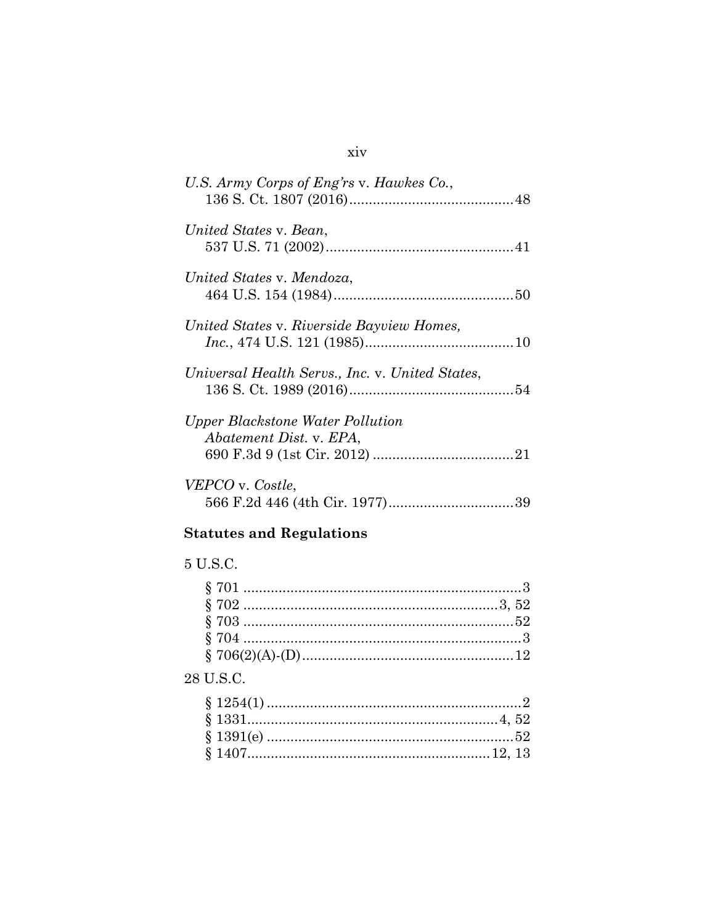| U.S. Army Corps of Eng'rs v. Hawkes Co.,                    |  |
|-------------------------------------------------------------|--|
| United States v. Bean,                                      |  |
| United States v. Mendoza,                                   |  |
| United States v. Riverside Bayview Homes,                   |  |
| Universal Health Servs., Inc. v. United States,             |  |
| Upper Blackstone Water Pollution<br>Abatement Dist. v. EPA, |  |
| VEPCO v. Costle,                                            |  |

## **Statutes and Regulations**

## 5 U.S.C.

## $28$  U.S.C.

## $\dot{x}$ iv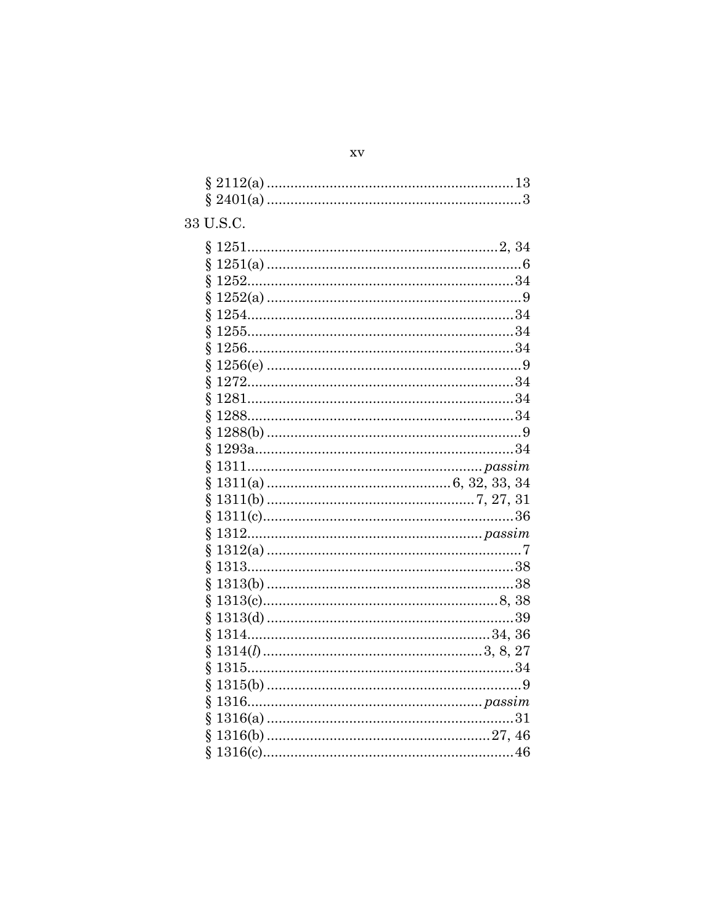| 33 U.S.C. |  |
|-----------|--|
|           |  |
| Ş         |  |
| ş         |  |
| Ş         |  |
| Ş         |  |
| Ş<br>Ş    |  |
| ş         |  |
| ş         |  |
| Ş         |  |
| $\S$      |  |
| Ş         |  |
| Ş         |  |
| Ş         |  |
| ş         |  |
| Ş         |  |
| Ş         |  |
| Ş         |  |
| Ş         |  |
| Ş         |  |
| Ş         |  |
| ş         |  |
| Ş         |  |
| ş         |  |
| Ş         |  |
| Ş         |  |
| Ş         |  |
| ş         |  |
| ş         |  |
| Ş         |  |
| ş         |  |
|           |  |

 $\mathbf{X}\mathbf{V}$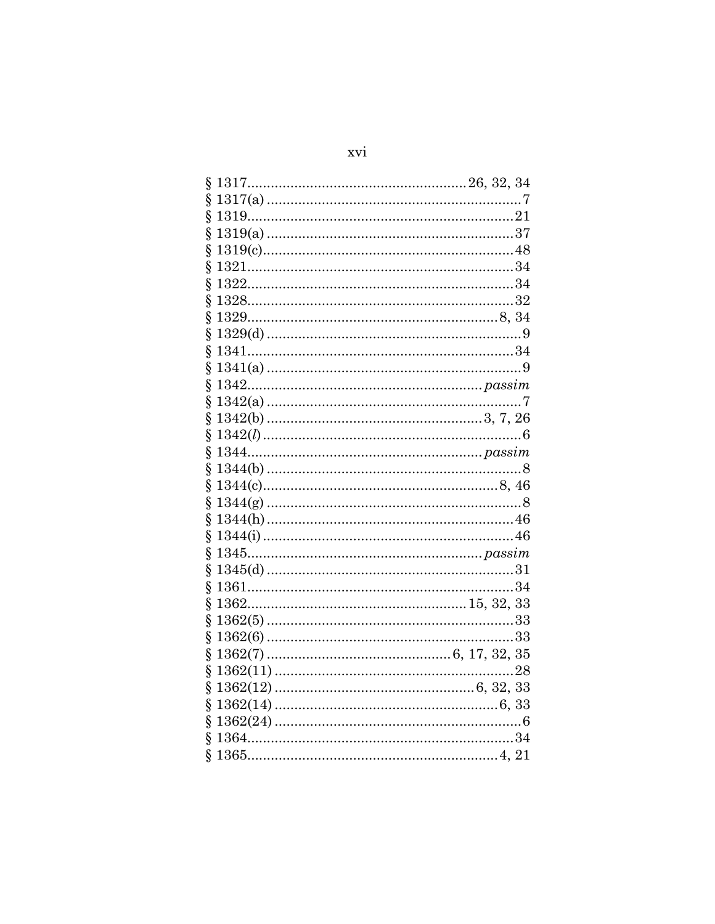# xvi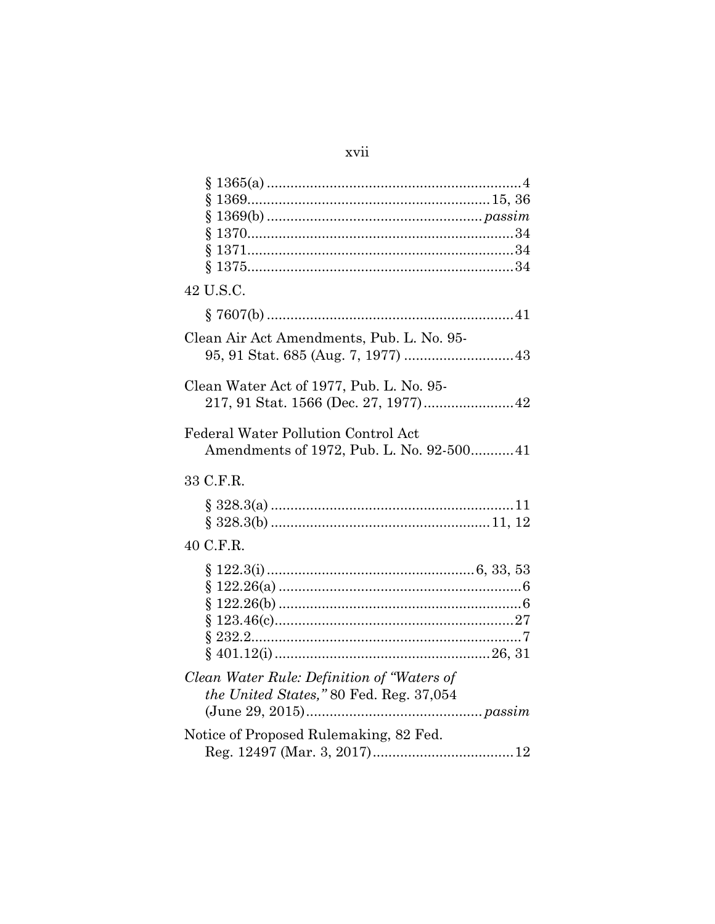## xvii

| ş                                                                                     |
|---------------------------------------------------------------------------------------|
| 42 U.S.C.                                                                             |
|                                                                                       |
| Clean Air Act Amendments, Pub. L. No. 95-                                             |
| Clean Water Act of 1977, Pub. L. No. 95-                                              |
| Federal Water Pollution Control Act<br>Amendments of 1972, Pub. L. No. 92-500 41      |
| 33 C.F.R.                                                                             |
|                                                                                       |
| 40 C.F.R.                                                                             |
|                                                                                       |
| Clean Water Rule: Definition of "Waters of<br>the United States," 80 Fed. Reg. 37,054 |
| Notice of Proposed Rulemaking, 82 Fed.                                                |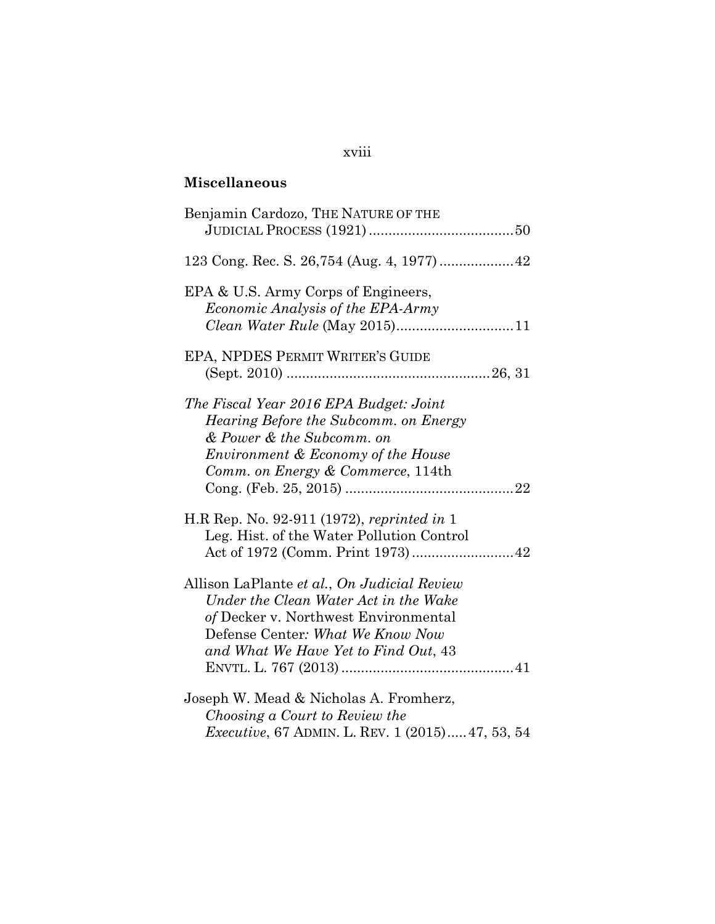# **Miscellaneous**

| Benjamin Cardozo, THE NATURE OF THE                                                                                                                                                                      |
|----------------------------------------------------------------------------------------------------------------------------------------------------------------------------------------------------------|
|                                                                                                                                                                                                          |
| EPA & U.S. Army Corps of Engineers,<br><i>Economic Analysis of the EPA-Army</i>                                                                                                                          |
| EPA, NPDES PERMIT WRITER'S GUIDE                                                                                                                                                                         |
| The Fiscal Year 2016 EPA Budget: Joint<br>Hearing Before the Subcomm. on Energy<br>& Power & the Subcomm. on<br><i>Environment &amp; Economy of the House</i><br>Comm. on Energy & Commerce, 114th       |
| H.R Rep. No. 92-911 (1972), reprinted in 1<br>Leg. Hist. of the Water Pollution Control                                                                                                                  |
| Allison LaPlante et al., On Judicial Review<br>Under the Clean Water Act in the Wake<br>of Decker v. Northwest Environmental<br>Defense Center: What We Know Now<br>and What We Have Yet to Find Out, 43 |
| Joseph W. Mead & Nicholas A. Fromherz,<br>Choosing a Court to Review the<br><i>Executive, 67 ADMIN. L. REV. 1 (2015) 47, 53, 54</i>                                                                      |

## xviii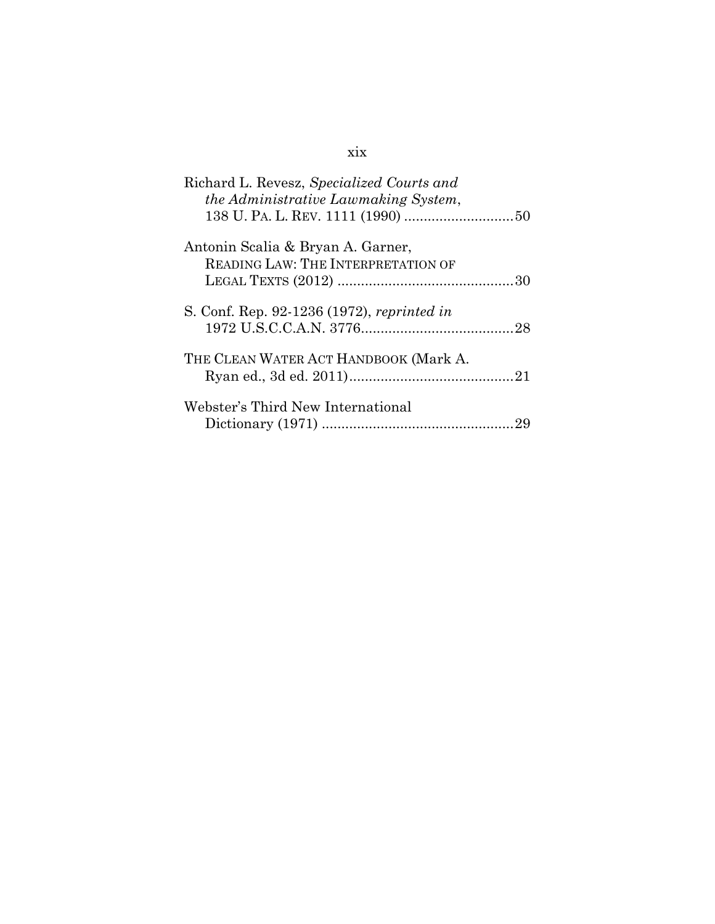## xix

| Richard L. Revesz, Specialized Courts and<br>the Administrative Lawmaking System, |
|-----------------------------------------------------------------------------------|
|                                                                                   |
| Antonin Scalia & Bryan A. Garner,<br>READING LAW: THE INTERPRETATION OF           |
|                                                                                   |
| S. Conf. Rep. 92-1236 (1972), reprinted in                                        |
| THE CLEAN WATER ACT HANDBOOK (Mark A.                                             |
| Webster's Third New International                                                 |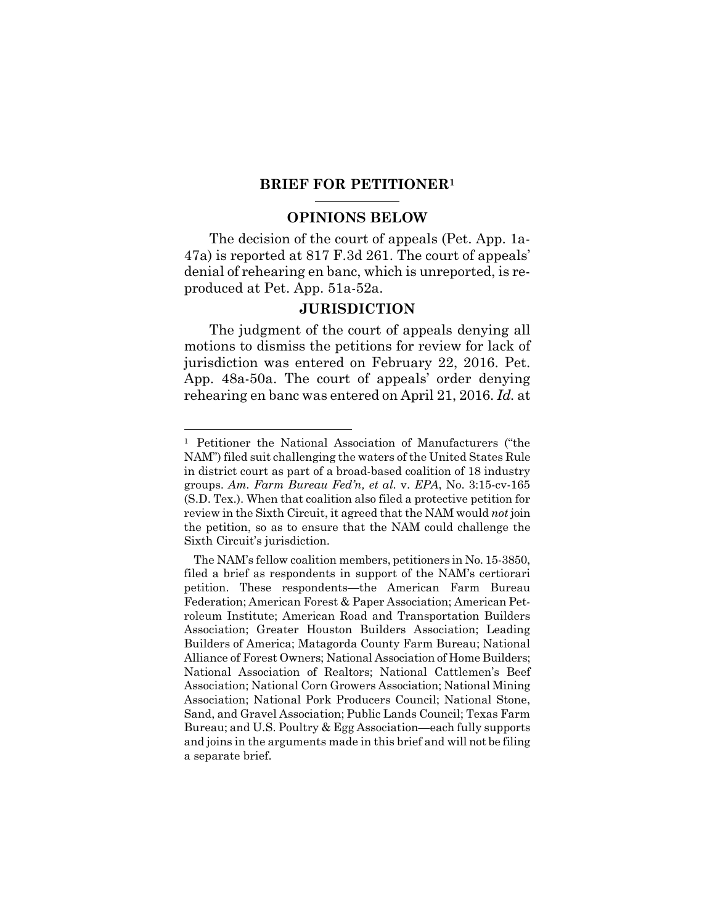### **BRIEF FOR PETITIONER<sup>1</sup>**

### **OPINIONS BELOW**

The decision of the court of appeals (Pet. App. 1a-47a) is reported at 817 F.3d 261. The court of appeals' denial of rehearing en banc, which is unreported, is reproduced at Pet. App. 51a-52a.

### **JURISDICTION**

The judgment of the court of appeals denying all motions to dismiss the petitions for review for lack of jurisdiction was entered on February 22, 2016. Pet. App. 48a-50a. The court of appeals' order denying rehearing en banc was entered on April 21, 2016. *Id.* at

<sup>1</sup> Petitioner the National Association of Manufacturers ("the NAM") filed suit challenging the waters of the United States Rule in district court as part of a broad-based coalition of 18 industry groups. *Am. Farm Bureau Fed'n, et al.* v. *EPA*, No. 3:15-cv-165 (S.D. Tex.). When that coalition also filed a protective petition for review in the Sixth Circuit, it agreed that the NAM would *not* join the petition, so as to ensure that the NAM could challenge the Sixth Circuit's jurisdiction.

The NAM's fellow coalition members, petitioners in No. 15-3850, filed a brief as respondents in support of the NAM's certiorari petition. These respondents—the American Farm Bureau Federation; American Forest & Paper Association; American Petroleum Institute; American Road and Transportation Builders Association; Greater Houston Builders Association; Leading Builders of America; Matagorda County Farm Bureau; National Alliance of Forest Owners; National Association of Home Builders; National Association of Realtors; National Cattlemen's Beef Association; National Corn Growers Association; National Mining Association; National Pork Producers Council; National Stone, Sand, and Gravel Association; Public Lands Council; Texas Farm Bureau; and U.S. Poultry & Egg Association—each fully supports and joins in the arguments made in this brief and will not be filing a separate brief.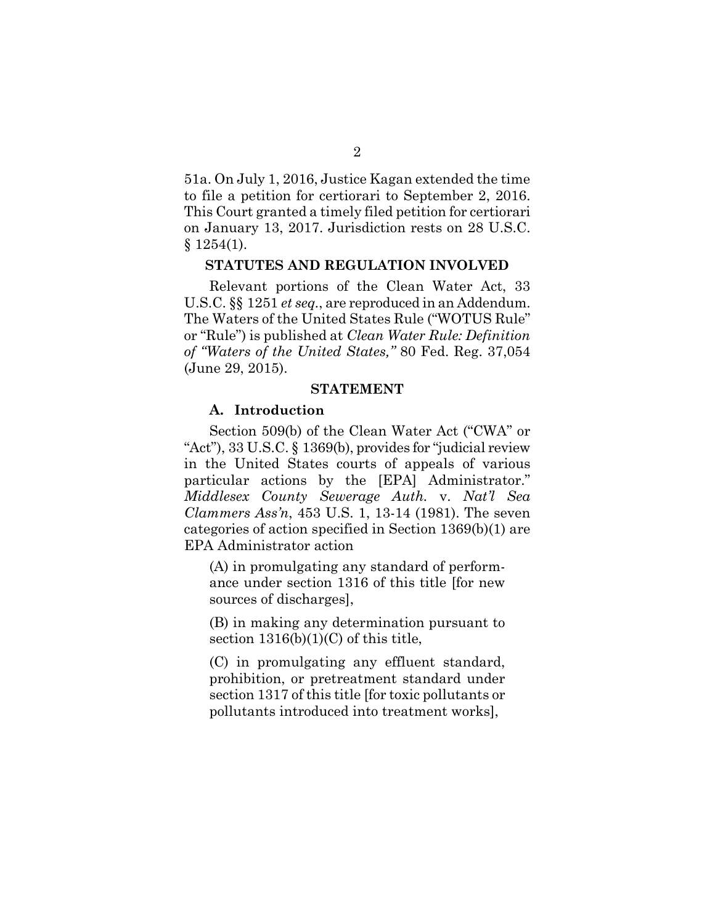51a. On July 1, 2016, Justice Kagan extended the time to file a petition for certiorari to September 2, 2016. This Court granted a timely filed petition for certiorari on January 13, 2017. Jurisdiction rests on 28 U.S.C.  $$1254(1).$ 

### **STATUTES AND REGULATION INVOLVED**

Relevant portions of the Clean Water Act, 33 U.S.C. §§ 1251 *et seq.*, are reproduced in an Addendum. The Waters of the United States Rule ("WOTUS Rule" or "Rule") is published at *Clean Water Rule: Definition of "Waters of the United States,"* 80 Fed. Reg. 37,054 (June 29, 2015).

#### **STATEMENT**

### **A. Introduction**

Section 509(b) of the Clean Water Act ("CWA" or "Act"), 33 U.S.C. § 1369(b), provides for "judicial review in the United States courts of appeals of various particular actions by the [EPA] Administrator." *Middlesex County Sewerage Auth.* v. *Nat'l Sea Clammers Ass'n*, 453 U.S. 1, 13-14 (1981). The seven categories of action specified in Section 1369(b)(1) are EPA Administrator action

(A) in promulgating any standard of performance under section 1316 of this title [for new sources of discharges],

(B) in making any determination pursuant to section  $1316(b)(1)(C)$  of this title,

(C) in promulgating any effluent standard, prohibition, or pretreatment standard under section 1317 of this title [for toxic pollutants or pollutants introduced into treatment works],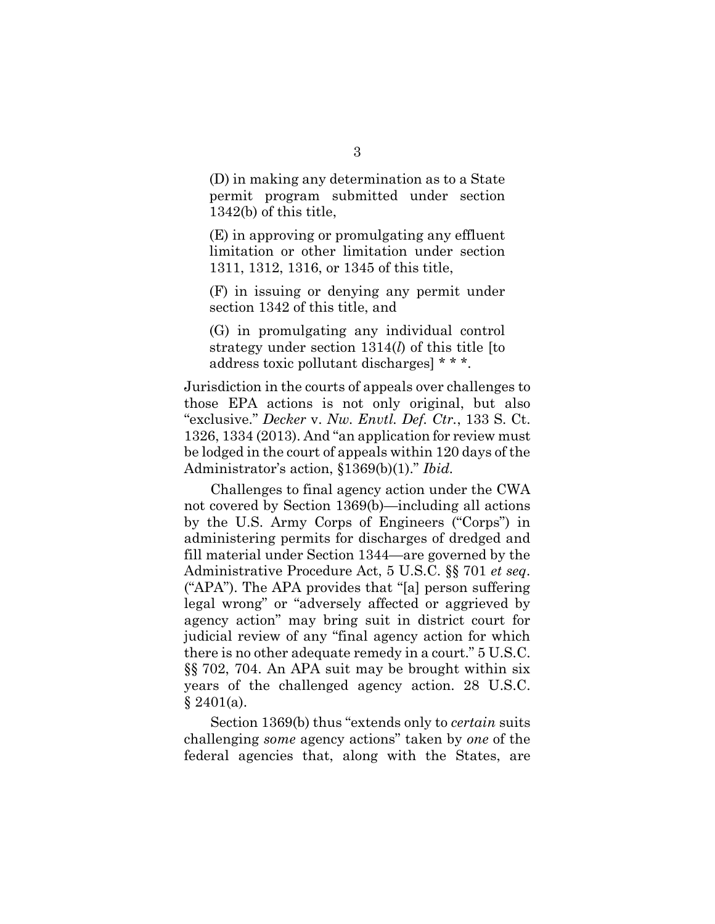(D) in making any determination as to a State permit program submitted under section 1342(b) of this title,

(E) in approving or promulgating any effluent limitation or other limitation under section 1311, 1312, 1316, or 1345 of this title,

(F) in issuing or denying any permit under section 1342 of this title, and

(G) in promulgating any individual control strategy under section 1314(*l*) of this title [to address toxic pollutant discharges] \* \* \*.

Jurisdiction in the courts of appeals over challenges to those EPA actions is not only original, but also "exclusive." *Decker* v. *Nw. Envtl. Def. Ctr.*, 133 S. Ct. 1326, 1334 (2013). And "an application for review must be lodged in the court of appeals within 120 days of the Administrator's action, §1369(b)(1)." *Ibid.*

Challenges to final agency action under the CWA not covered by Section 1369(b)—including all actions by the U.S. Army Corps of Engineers ("Corps") in administering permits for discharges of dredged and fill material under Section 1344—are governed by the Administrative Procedure Act, 5 U.S.C. §§ 701 *et seq*. ("APA"). The APA provides that "[a] person suffering legal wrong" or "adversely affected or aggrieved by agency action" may bring suit in district court for judicial review of any "final agency action for which there is no other adequate remedy in a court." 5 U.S.C. §§ 702, 704. An APA suit may be brought within six years of the challenged agency action. 28 U.S.C.  $§ 2401(a).$ 

Section 1369(b) thus "extends only to *certain* suits challenging *some* agency actions" taken by *one* of the federal agencies that, along with the States, are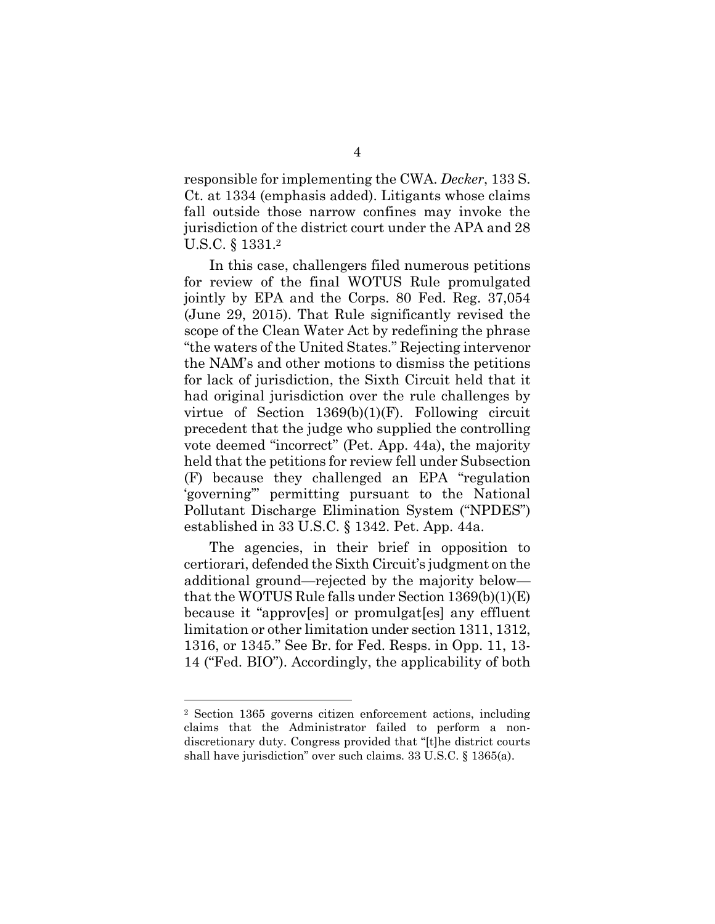responsible for implementing the CWA. *Decker*, 133 S. Ct. at 1334 (emphasis added). Litigants whose claims fall outside those narrow confines may invoke the jurisdiction of the district court under the APA and 28 U.S.C. § 1331.<sup>2</sup>

In this case, challengers filed numerous petitions for review of the final WOTUS Rule promulgated jointly by EPA and the Corps. 80 Fed. Reg. 37,054 (June 29, 2015). That Rule significantly revised the scope of the Clean Water Act by redefining the phrase "the waters of the United States." Rejecting intervenor the NAM's and other motions to dismiss the petitions for lack of jurisdiction, the Sixth Circuit held that it had original jurisdiction over the rule challenges by virtue of Section 1369(b)(1)(F). Following circuit precedent that the judge who supplied the controlling vote deemed "incorrect" (Pet. App. 44a), the majority held that the petitions for review fell under Subsection (F) because they challenged an EPA "regulation 'governing'" permitting pursuant to the National Pollutant Discharge Elimination System ("NPDES") established in 33 U.S.C. § 1342. Pet. App. 44a.

The agencies, in their brief in opposition to certiorari, defended the Sixth Circuit's judgment on the additional ground—rejected by the majority below that the WOTUS Rule falls under Section 1369(b)(1)(E) because it "approv[es] or promulgat[es] any effluent limitation or other limitation under section 1311, 1312, 1316, or 1345." See Br. for Fed. Resps. in Opp. 11, 13- 14 ("Fed. BIO"). Accordingly, the applicability of both

<sup>2</sup> Section 1365 governs citizen enforcement actions, including claims that the Administrator failed to perform a nondiscretionary duty. Congress provided that "[t]he district courts shall have jurisdiction" over such claims. 33 U.S.C. § 1365(a).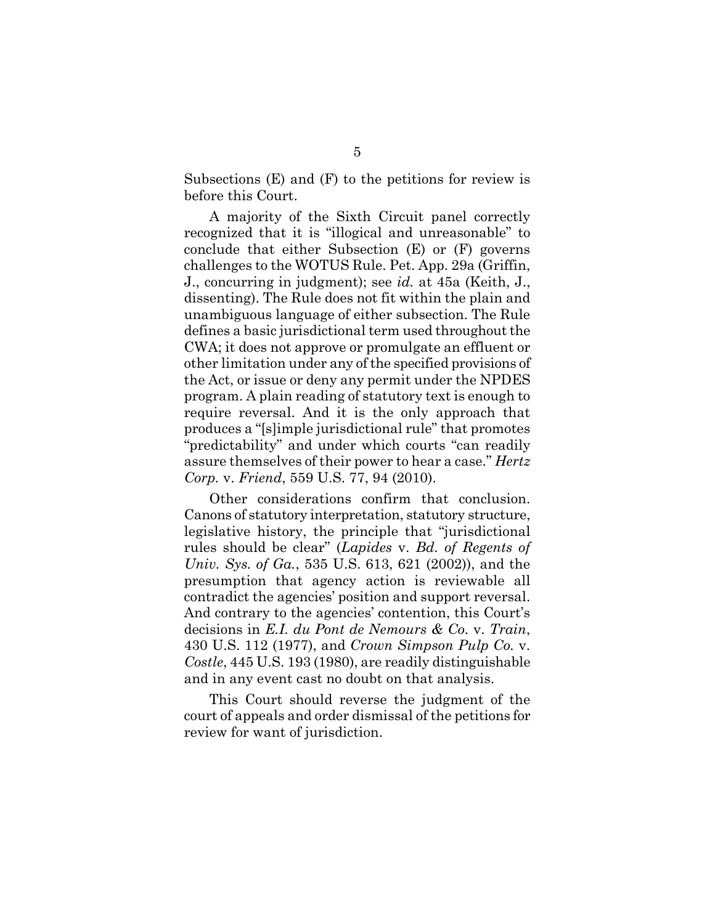Subsections (E) and (F) to the petitions for review is before this Court.

A majority of the Sixth Circuit panel correctly recognized that it is "illogical and unreasonable" to conclude that either Subsection (E) or (F) governs challenges to the WOTUS Rule. Pet. App. 29a (Griffin, J., concurring in judgment); see *id.* at 45a (Keith, J., dissenting). The Rule does not fit within the plain and unambiguous language of either subsection. The Rule defines a basic jurisdictional term used throughout the CWA; it does not approve or promulgate an effluent or other limitation under any of the specified provisions of the Act, or issue or deny any permit under the NPDES program. A plain reading of statutory text is enough to require reversal. And it is the only approach that produces a "[s]imple jurisdictional rule" that promotes "predictability" and under which courts "can readily assure themselves of their power to hear a case." *Hertz Corp.* v. *Friend*, 559 U.S. 77, 94 (2010).

Other considerations confirm that conclusion. Canons of statutory interpretation, statutory structure, legislative history, the principle that "jurisdictional rules should be clear" (*Lapides* v. *Bd. of Regents of Univ. Sys. of Ga.*, 535 U.S. 613, 621 (2002)), and the presumption that agency action is reviewable all contradict the agencies' position and support reversal. And contrary to the agencies' contention, this Court's decisions in *E.I. du Pont de Nemours & Co.* v. *Train*, 430 U.S. 112 (1977), and *Crown Simpson Pulp Co.* v. *Costle*, 445 U.S. 193 (1980), are readily distinguishable and in any event cast no doubt on that analysis.

This Court should reverse the judgment of the court of appeals and order dismissal of the petitions for review for want of jurisdiction.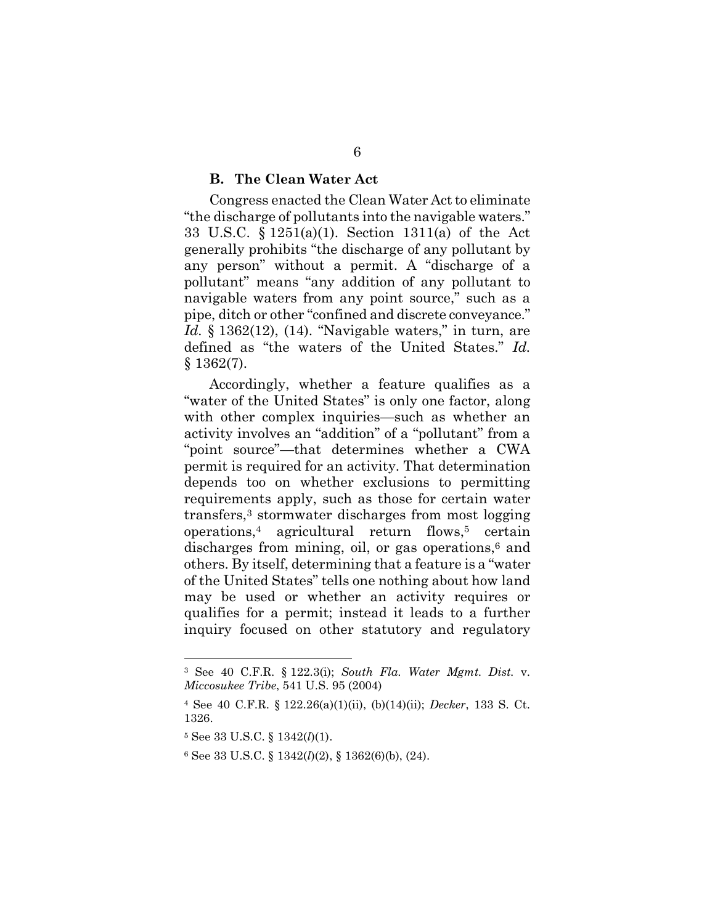### **B. The Clean Water Act**

Congress enacted the Clean Water Act to eliminate "the discharge of pollutants into the navigable waters." 33 U.S.C. § 1251(a)(1). Section 1311(a) of the Act generally prohibits "the discharge of any pollutant by any person" without a permit. A "discharge of a pollutant" means "any addition of any pollutant to navigable waters from any point source," such as a pipe, ditch or other "confined and discrete conveyance." *Id.* § 1362(12), (14). "Navigable waters," in turn, are defined as "the waters of the United States." *Id.* § 1362(7).

Accordingly, whether a feature qualifies as a "water of the United States" is only one factor, along with other complex inquiries—such as whether an activity involves an "addition" of a "pollutant" from a "point source"—that determines whether a CWA permit is required for an activity. That determination depends too on whether exclusions to permitting requirements apply, such as those for certain water transfers,<sup>3</sup> stormwater discharges from most logging  $operations<sup>4</sup>$  agricultural return flows,<sup>5</sup> certain discharges from mining, oil, or gas operations, $6$  and others. By itself, determining that a feature is a "water of the United States" tells one nothing about how land may be used or whether an activity requires or qualifies for a permit; instead it leads to a further inquiry focused on other statutory and regulatory

<sup>3</sup> See 40 C.F.R. § 122.3(i); *South Fla. Water Mgmt. Dist.* v. *Miccosukee Tribe*, 541 U.S. 95 (2004)

<sup>4</sup> See 40 C.F.R. § 122.26(a)(1)(ii), (b)(14)(ii); *Decker*, 133 S. Ct. 1326.

<sup>5</sup> See 33 U.S.C. § 1342(*l*)(1).

<sup>6</sup> See 33 U.S.C. § 1342(*l*)(2), § 1362(6)(b), (24).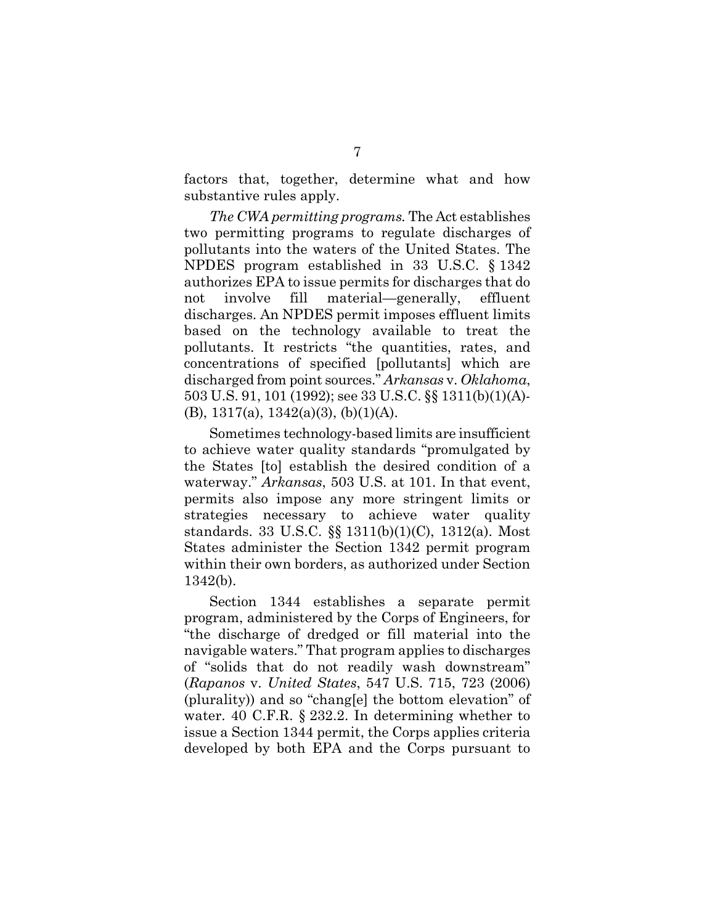factors that, together, determine what and how substantive rules apply.

*The CWA permitting programs.* The Act establishes two permitting programs to regulate discharges of pollutants into the waters of the United States. The NPDES program established in 33 U.S.C. § 1342 authorizes EPA to issue permits for discharges that do not involve fill material—generally, effluent discharges. An NPDES permit imposes effluent limits based on the technology available to treat the pollutants. It restricts "the quantities, rates, and concentrations of specified [pollutants] which are discharged from point sources." *Arkansas* v. *Oklahoma*, 503 U.S. 91, 101 (1992); see 33 U.S.C. §§ 1311(b)(1)(A)- (B),  $1317(a)$ ,  $1342(a)(3)$ ,  $(b)(1)(A)$ .

Sometimes technology-based limits are insufficient to achieve water quality standards "promulgated by the States [to] establish the desired condition of a waterway." *Arkansas*, 503 U.S. at 101. In that event, permits also impose any more stringent limits or strategies necessary to achieve water quality standards. 33 U.S.C. §§ 1311(b)(1)(C), 1312(a). Most States administer the Section 1342 permit program within their own borders, as authorized under Section 1342(b).

Section 1344 establishes a separate permit program, administered by the Corps of Engineers, for "the discharge of dredged or fill material into the navigable waters." That program applies to discharges of "solids that do not readily wash downstream" (*Rapanos* v. *United States*, 547 U.S. 715, 723 (2006) (plurality)) and so "chang[e] the bottom elevation" of water. 40 C.F.R. § 232.2. In determining whether to issue a Section 1344 permit, the Corps applies criteria developed by both EPA and the Corps pursuant to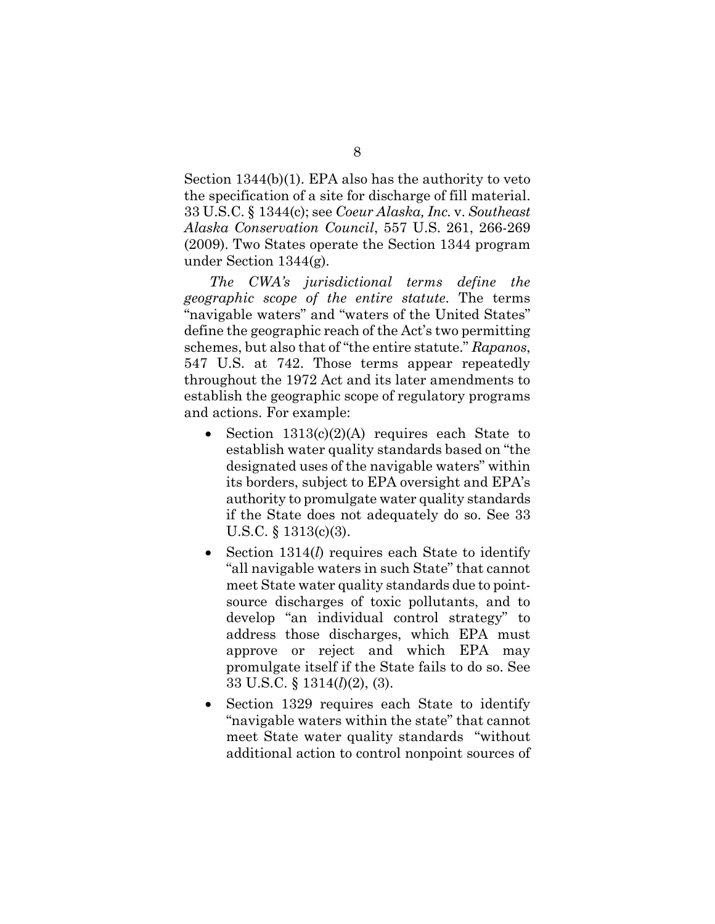Section 1344(b)(1). EPA also has the authority to veto the specification of a site for discharge of fill material. 33 U.S.C. § 1344(c); see *Coeur Alaska, Inc.* v. *Southeast Alaska Conservation Council*, 557 U.S. 261, 266-269 (2009). Two States operate the Section 1344 program under Section 1344(g).

*The CWA's jurisdictional terms define the geographic scope of the entire statute*. The terms "navigable waters" and "waters of the United States" define the geographic reach of the Act's two permitting schemes, but also that of "the entire statute." *Rapanos*, 547 U.S. at 742. Those terms appear repeatedly throughout the 1972 Act and its later amendments to establish the geographic scope of regulatory programs and actions. For example:

- Section 1313(c)(2)(A) requires each State to establish water quality standards based on "the designated uses of the navigable waters" within its borders, subject to EPA oversight and EPA's authority to promulgate water quality standards if the State does not adequately do so. See 33 U.S.C. § 1313(c)(3).
- Section 1314(*l*) requires each State to identify "all navigable waters in such State" that cannot meet State water quality standards due to pointsource discharges of toxic pollutants, and to develop "an individual control strategy" to address those discharges, which EPA must approve or reject and which EPA may promulgate itself if the State fails to do so. See 33 U.S.C. § 1314(*l*)(2), (3).
- Section 1329 requires each State to identify "navigable waters within the state" that cannot meet State water quality standards "without additional action to control nonpoint sources of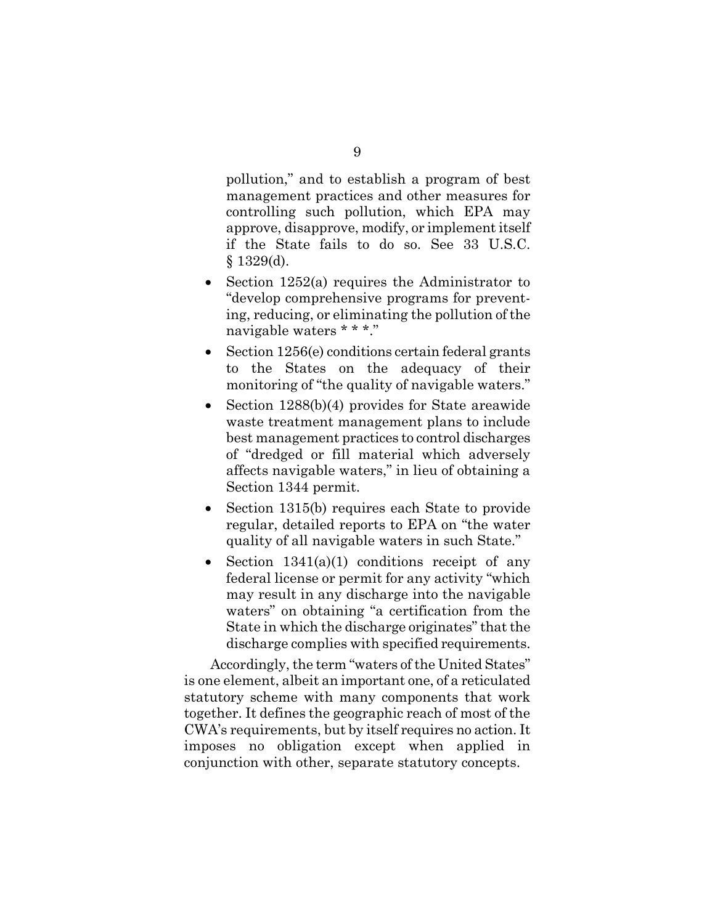pollution," and to establish a program of best management practices and other measures for controlling such pollution, which EPA may approve, disapprove, modify, or implement itself if the State fails to do so. See 33 U.S.C.  $§$  1329(d).

- Section 1252(a) requires the Administrator to "develop comprehensive programs for preventing, reducing, or eliminating the pollution of the navigable waters \* \* \*."
- Section 1256(e) conditions certain federal grants to the States on the adequacy of their monitoring of "the quality of navigable waters."
- Section 1288(b)(4) provides for State areawide waste treatment management plans to include best management practices to control discharges of "dredged or fill material which adversely affects navigable waters," in lieu of obtaining a Section 1344 permit.
- Section 1315(b) requires each State to provide regular, detailed reports to EPA on "the water quality of all navigable waters in such State."
- Section  $1341(a)(1)$  conditions receipt of any federal license or permit for any activity "which may result in any discharge into the navigable waters" on obtaining "a certification from the State in which the discharge originates" that the discharge complies with specified requirements.

Accordingly, the term "waters of the United States" is one element, albeit an important one, of a reticulated statutory scheme with many components that work together. It defines the geographic reach of most of the CWA's requirements, but by itself requires no action. It imposes no obligation except when applied in conjunction with other, separate statutory concepts.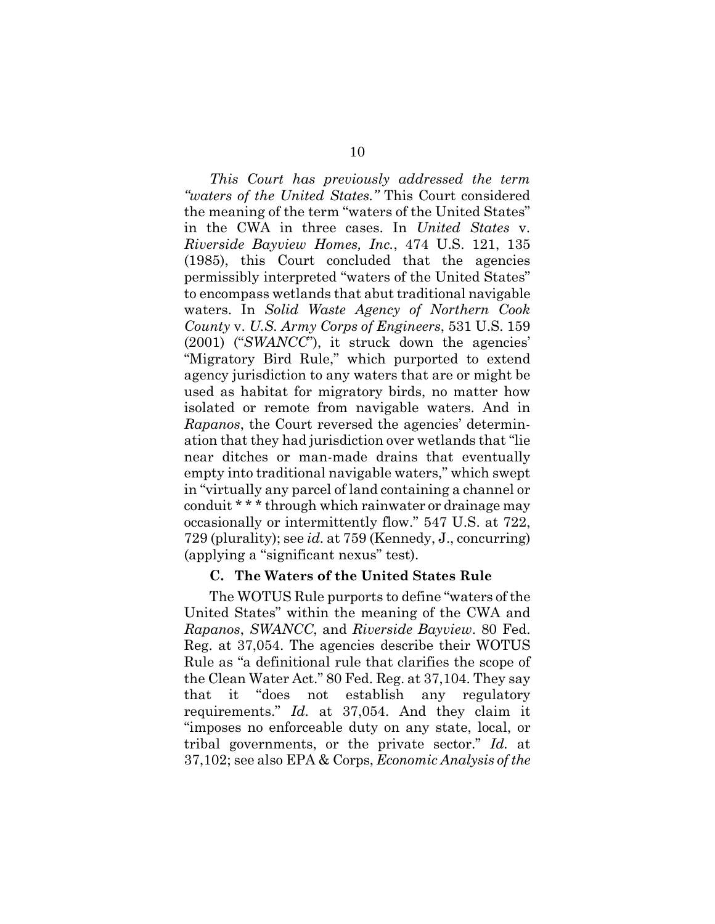*This Court has previously addressed the term "waters of the United States."* This Court considered the meaning of the term "waters of the United States" in the CWA in three cases. In *United States* v. *Riverside Bayview Homes, Inc.*, 474 U.S. 121, 135 (1985), this Court concluded that the agencies permissibly interpreted "waters of the United States" to encompass wetlands that abut traditional navigable waters. In *Solid Waste Agency of Northern Cook County* v. *U.S. Army Corps of Engineers*, 531 U.S. 159 (2001) ("*SWANCC*"), it struck down the agencies' "Migratory Bird Rule," which purported to extend agency jurisdiction to any waters that are or might be used as habitat for migratory birds, no matter how isolated or remote from navigable waters. And in *Rapanos*, the Court reversed the agencies' determination that they had jurisdiction over wetlands that "lie near ditches or man-made drains that eventually empty into traditional navigable waters," which swept in "virtually any parcel of land containing a channel or conduit \* \* \* through which rainwater or drainage may occasionally or intermittently flow." 547 U.S. at 722, 729 (plurality); see *id.* at 759 (Kennedy, J., concurring) (applying a "significant nexus" test).

### **C. The Waters of the United States Rule**

The WOTUS Rule purports to define "waters of the United States" within the meaning of the CWA and *Rapanos*, *SWANCC*, and *Riverside Bayview*. 80 Fed. Reg. at 37,054. The agencies describe their WOTUS Rule as "a definitional rule that clarifies the scope of the Clean Water Act." 80 Fed. Reg. at 37,104. They say that it "does not establish any regulatory requirements." *Id.* at 37,054. And they claim it "imposes no enforceable duty on any state, local, or tribal governments, or the private sector." *Id.* at 37,102; see also EPA & Corps, *Economic Analysis of the*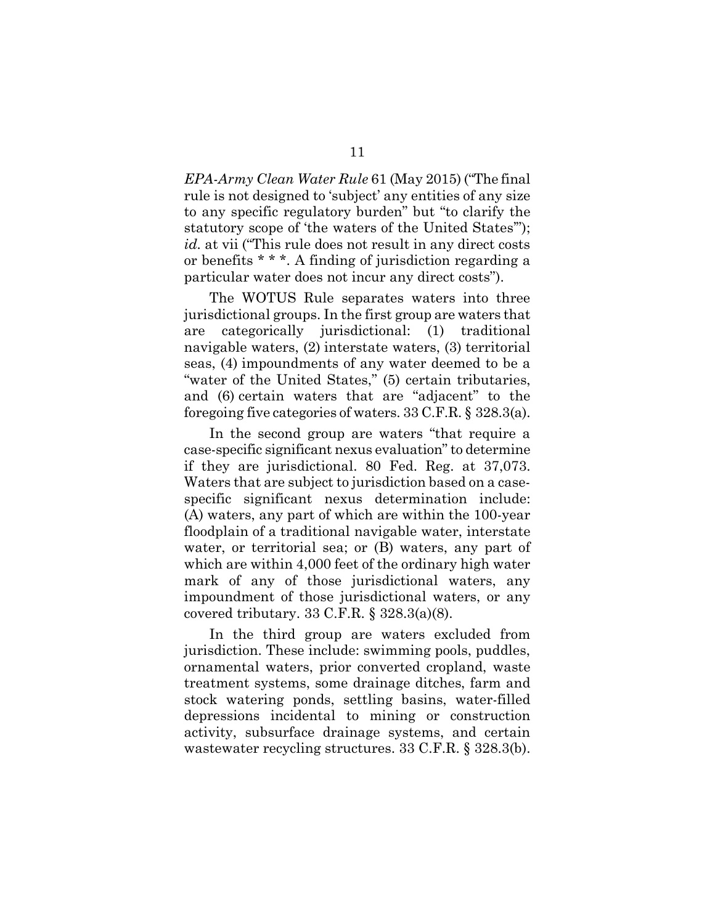*EPA-Army Clean Water Rule* 61 (May 2015) ("The final rule is not designed to 'subject' any entities of any size to any specific regulatory burden" but "to clarify the statutory scope of 'the waters of the United States'"); *id.* at vii ("This rule does not result in any direct costs or benefits \* \* \*. A finding of jurisdiction regarding a particular water does not incur any direct costs").

The WOTUS Rule separates waters into three jurisdictional groups. In the first group are waters that are categorically jurisdictional: (1) traditional navigable waters, (2) interstate waters, (3) territorial seas, (4) impoundments of any water deemed to be a "water of the United States," (5) certain tributaries, and (6) certain waters that are "adjacent" to the foregoing five categories of waters. 33 C.F.R. § 328.3(a).

In the second group are waters "that require a case-specific significant nexus evaluation" to determine if they are jurisdictional. 80 Fed. Reg. at 37,073. Waters that are subject to jurisdiction based on a casespecific significant nexus determination include: (A) waters, any part of which are within the 100-year floodplain of a traditional navigable water, interstate water, or territorial sea; or (B) waters, any part of which are within 4,000 feet of the ordinary high water mark of any of those jurisdictional waters, any impoundment of those jurisdictional waters, or any covered tributary. 33 C.F.R. § 328.3(a)(8).

In the third group are waters excluded from jurisdiction. These include: swimming pools, puddles, ornamental waters, prior converted cropland, waste treatment systems, some drainage ditches, farm and stock watering ponds, settling basins, water-filled depressions incidental to mining or construction activity, subsurface drainage systems, and certain wastewater recycling structures. 33 C.F.R. § 328.3(b).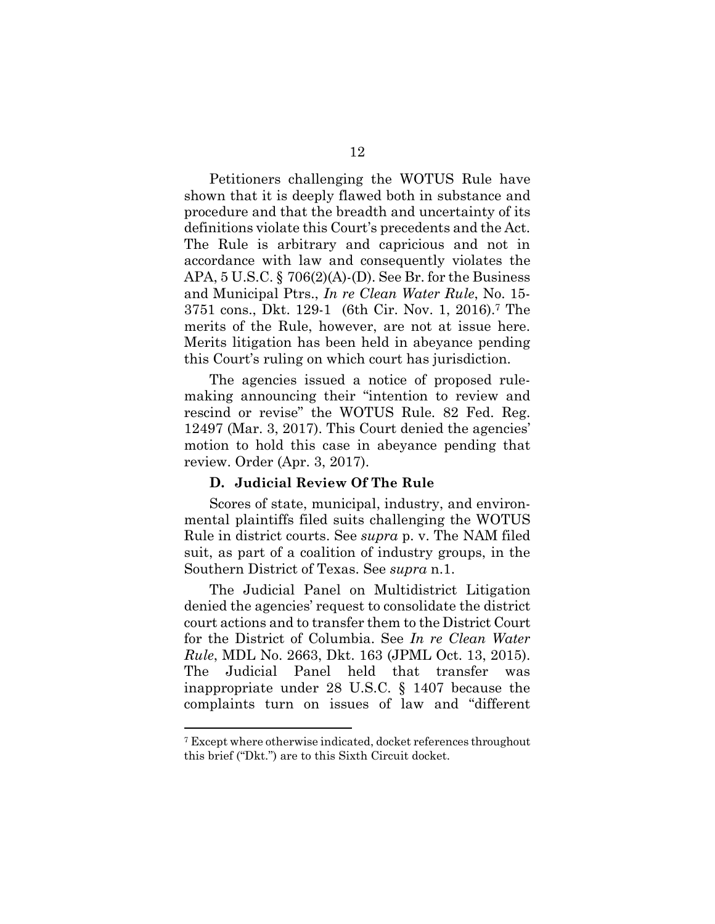Petitioners challenging the WOTUS Rule have shown that it is deeply flawed both in substance and procedure and that the breadth and uncertainty of its definitions violate this Court's precedents and the Act. The Rule is arbitrary and capricious and not in accordance with law and consequently violates the APA,  $5 \text{ U.S.C.}$  §  $706(2)(\text{A})$ -(D). See Br. for the Business and Municipal Ptrs., *In re Clean Water Rule*, No. 15- 3751 cons., Dkt. 129-1 (6th Cir. Nov. 1, 2016).<sup>7</sup> The merits of the Rule, however, are not at issue here. Merits litigation has been held in abeyance pending this Court's ruling on which court has jurisdiction.

The agencies issued a notice of proposed rulemaking announcing their "intention to review and rescind or revise" the WOTUS Rule. 82 Fed. Reg. 12497 (Mar. 3, 2017). This Court denied the agencies' motion to hold this case in abeyance pending that review. Order (Apr. 3, 2017).

### **D. Judicial Review Of The Rule**

Scores of state, municipal, industry, and environmental plaintiffs filed suits challenging the WOTUS Rule in district courts. See *supra* p. v. The NAM filed suit, as part of a coalition of industry groups, in the Southern District of Texas. See *supra* n.1.

The Judicial Panel on Multidistrict Litigation denied the agencies' request to consolidate the district court actions and to transfer them to the District Court for the District of Columbia. See *In re Clean Water Rule*, MDL No. 2663, Dkt. 163 (JPML Oct. 13, 2015). The Judicial Panel held that transfer was inappropriate under 28 U.S.C. § 1407 because the complaints turn on issues of law and "different

<sup>7</sup> Except where otherwise indicated, docket references throughout this brief ("Dkt.") are to this Sixth Circuit docket.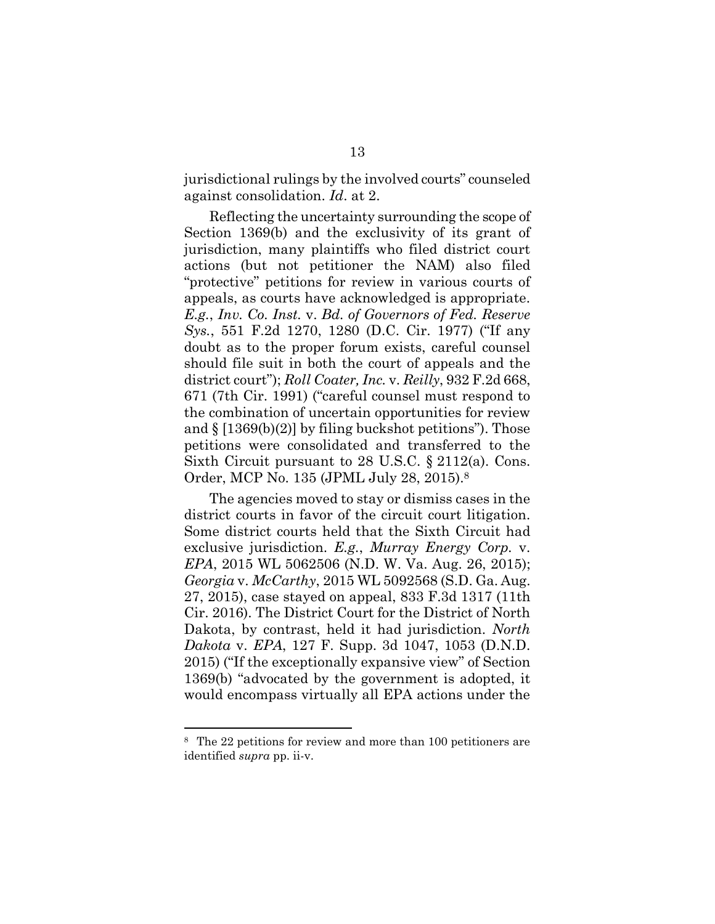jurisdictional rulings by the involved courts" counseled against consolidation. *Id*. at 2.

Reflecting the uncertainty surrounding the scope of Section 1369(b) and the exclusivity of its grant of jurisdiction, many plaintiffs who filed district court actions (but not petitioner the NAM) also filed "protective" petitions for review in various courts of appeals, as courts have acknowledged is appropriate. *E.g.*, *Inv. Co. Inst.* v. *Bd. of Governors of Fed. Reserve Sys.*, 551 F.2d 1270, 1280 (D.C. Cir. 1977) ("If any doubt as to the proper forum exists, careful counsel should file suit in both the court of appeals and the district court"); *Roll Coater, Inc.* v. *Reilly*, 932 F.2d 668, 671 (7th Cir. 1991) ("careful counsel must respond to the combination of uncertain opportunities for review and  $\S$  [1369(b)(2)] by filing buckshot petitions"). Those petitions were consolidated and transferred to the Sixth Circuit pursuant to 28 U.S.C. § 2112(a). Cons. Order, MCP No. 135 (JPML July 28, 2015).<sup>8</sup>

The agencies moved to stay or dismiss cases in the district courts in favor of the circuit court litigation. Some district courts held that the Sixth Circuit had exclusive jurisdiction. *E.g.*, *Murray Energy Corp.* v. *EPA*, 2015 WL 5062506 (N.D. W. Va. Aug. 26, 2015); *Georgia* v. *McCarthy*, 2015 WL 5092568 (S.D. Ga. Aug. 27, 2015), case stayed on appeal, 833 F.3d 1317 (11th Cir. 2016). The District Court for the District of North Dakota, by contrast, held it had jurisdiction. *North Dakota* v. *EPA*, 127 F. Supp. 3d 1047, 1053 (D.N.D. 2015) ("If the exceptionally expansive view" of Section 1369(b) "advocated by the government is adopted, it would encompass virtually all EPA actions under the

<sup>8</sup> The 22 petitions for review and more than 100 petitioners are identified *supra* pp. ii-v.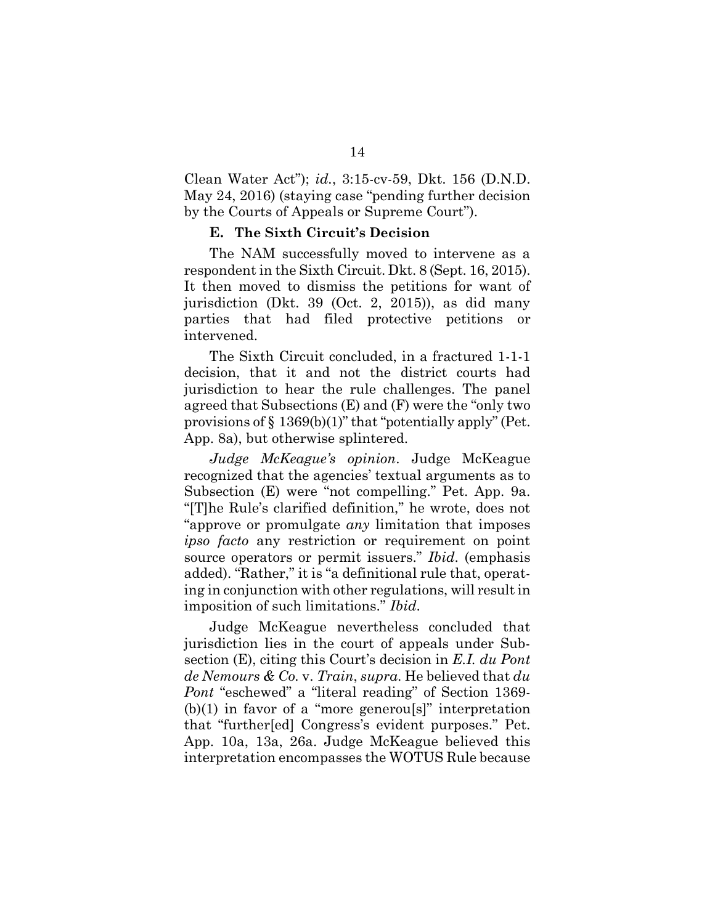Clean Water Act"); *id.*, 3:15-cv-59, Dkt. 156 (D.N.D. May 24, 2016) (staying case "pending further decision by the Courts of Appeals or Supreme Court").

### **E. The Sixth Circuit's Decision**

The NAM successfully moved to intervene as a respondent in the Sixth Circuit. Dkt. 8 (Sept. 16, 2015). It then moved to dismiss the petitions for want of jurisdiction (Dkt. 39 (Oct. 2, 2015)), as did many parties that had filed protective petitions or intervened.

The Sixth Circuit concluded, in a fractured 1-1-1 decision, that it and not the district courts had jurisdiction to hear the rule challenges. The panel agreed that Subsections (E) and (F) were the "only two provisions of  $\S$  1369(b)(1)" that "potentially apply" (Pet. App. 8a), but otherwise splintered.

*Judge McKeague's opinion*. Judge McKeague recognized that the agencies' textual arguments as to Subsection (E) were "not compelling." Pet. App. 9a. "[T]he Rule's clarified definition," he wrote, does not "approve or promulgate *any* limitation that imposes *ipso facto* any restriction or requirement on point source operators or permit issuers." *Ibid*. (emphasis added). "Rather," it is "a definitional rule that, operating in conjunction with other regulations, will result in imposition of such limitations." *Ibid*.

Judge McKeague nevertheless concluded that jurisdiction lies in the court of appeals under Subsection (E), citing this Court's decision in *E.I. du Pont de Nemours & Co.* v. *Train*, *supra*. He believed that *du Pont* "eschewed" a "literal reading" of Section 1369-  $(b)(1)$  in favor of a "more generous" interpretation that "further[ed] Congress's evident purposes." Pet. App. 10a, 13a, 26a. Judge McKeague believed this interpretation encompasses the WOTUS Rule because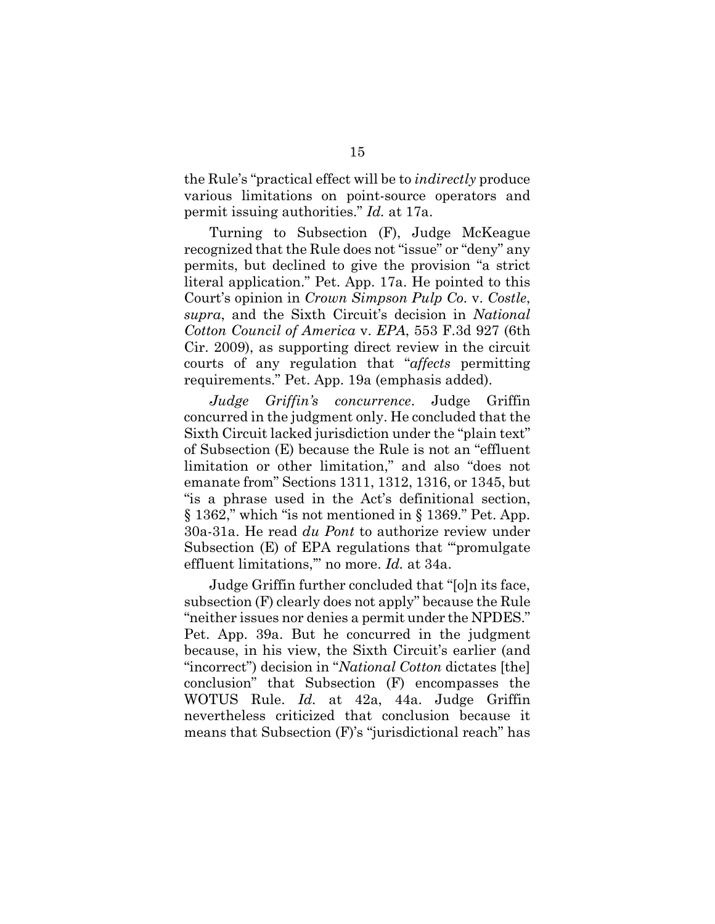the Rule's "practical effect will be to *indirectly* produce various limitations on point-source operators and permit issuing authorities." *Id.* at 17a.

Turning to Subsection (F), Judge McKeague recognized that the Rule does not "issue" or "deny" any permits, but declined to give the provision "a strict literal application." Pet. App. 17a. He pointed to this Court's opinion in *Crown Simpson Pulp Co.* v. *Costle*, *supra*, and the Sixth Circuit's decision in *National Cotton Council of America* v. *EPA*, 553 F.3d 927 (6th Cir. 2009), as supporting direct review in the circuit courts of any regulation that "*affects* permitting requirements." Pet. App. 19a (emphasis added).

*Judge Griffin's concurrence*. Judge Griffin concurred in the judgment only. He concluded that the Sixth Circuit lacked jurisdiction under the "plain text" of Subsection (E) because the Rule is not an "effluent limitation or other limitation," and also "does not emanate from" Sections 1311, 1312, 1316, or 1345, but "is a phrase used in the Act's definitional section, § 1362," which "is not mentioned in § 1369." Pet. App. 30a-31a. He read *du Pont* to authorize review under Subsection (E) of EPA regulations that "'promulgate effluent limitations,'" no more. *Id.* at 34a.

Judge Griffin further concluded that "[o]n its face, subsection (F) clearly does not apply" because the Rule "neither issues nor denies a permit under the NPDES." Pet. App. 39a. But he concurred in the judgment because, in his view, the Sixth Circuit's earlier (and "incorrect") decision in "*National Cotton* dictates [the] conclusion" that Subsection (F) encompasses the WOTUS Rule. *Id.* at 42a, 44a. Judge Griffin nevertheless criticized that conclusion because it means that Subsection (F)'s "jurisdictional reach" has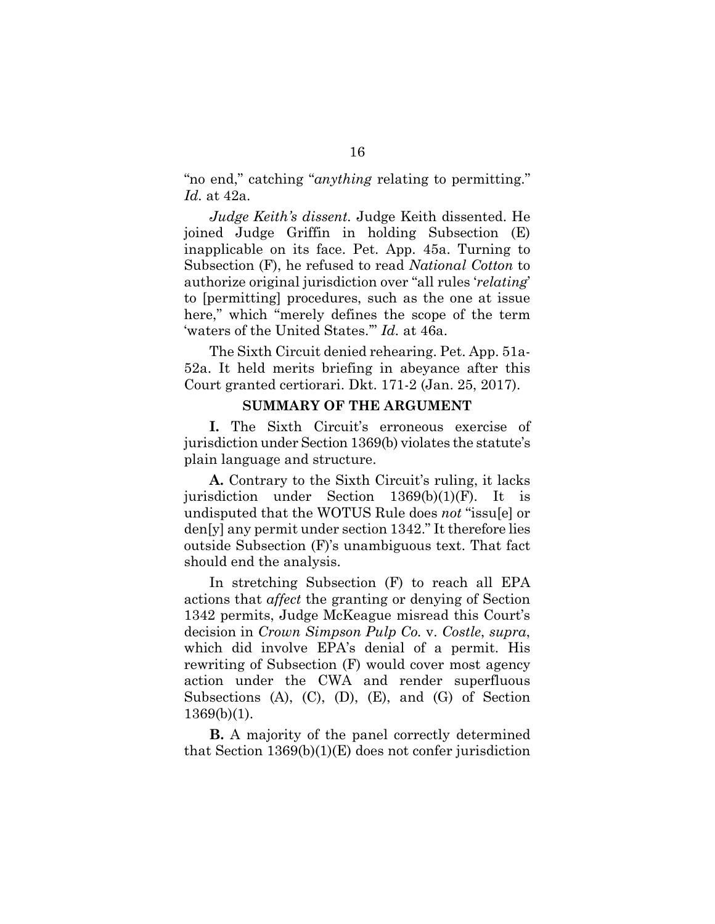"no end," catching "*anything* relating to permitting." *Id.* at 42a.

*Judge Keith's dissent.* Judge Keith dissented. He joined Judge Griffin in holding Subsection (E) inapplicable on its face. Pet. App. 45a. Turning to Subsection (F), he refused to read *National Cotton* to authorize original jurisdiction over "all rules '*relating*' to [permitting] procedures, such as the one at issue here," which "merely defines the scope of the term 'waters of the United States.'" *Id.* at 46a.

The Sixth Circuit denied rehearing. Pet. App. 51a-52a. It held merits briefing in abeyance after this Court granted certiorari. Dkt. 171-2 (Jan. 25, 2017).

### **SUMMARY OF THE ARGUMENT**

**I.** The Sixth Circuit's erroneous exercise of jurisdiction under Section 1369(b) violates the statute's plain language and structure.

**A.** Contrary to the Sixth Circuit's ruling, it lacks jurisdiction under Section 1369(b)(1)(F). It is undisputed that the WOTUS Rule does *not* "issu[e] or den[y] any permit under section 1342." It therefore lies outside Subsection (F)'s unambiguous text. That fact should end the analysis.

In stretching Subsection (F) to reach all EPA actions that *affect* the granting or denying of Section 1342 permits, Judge McKeague misread this Court's decision in *Crown Simpson Pulp Co.* v. *Costle*, *supra*, which did involve EPA's denial of a permit. His rewriting of Subsection (F) would cover most agency action under the CWA and render superfluous Subsections (A), (C), (D), (E), and (G) of Section 1369(b)(1).

**B.** A majority of the panel correctly determined that Section 1369(b)(1)(E) does not confer jurisdiction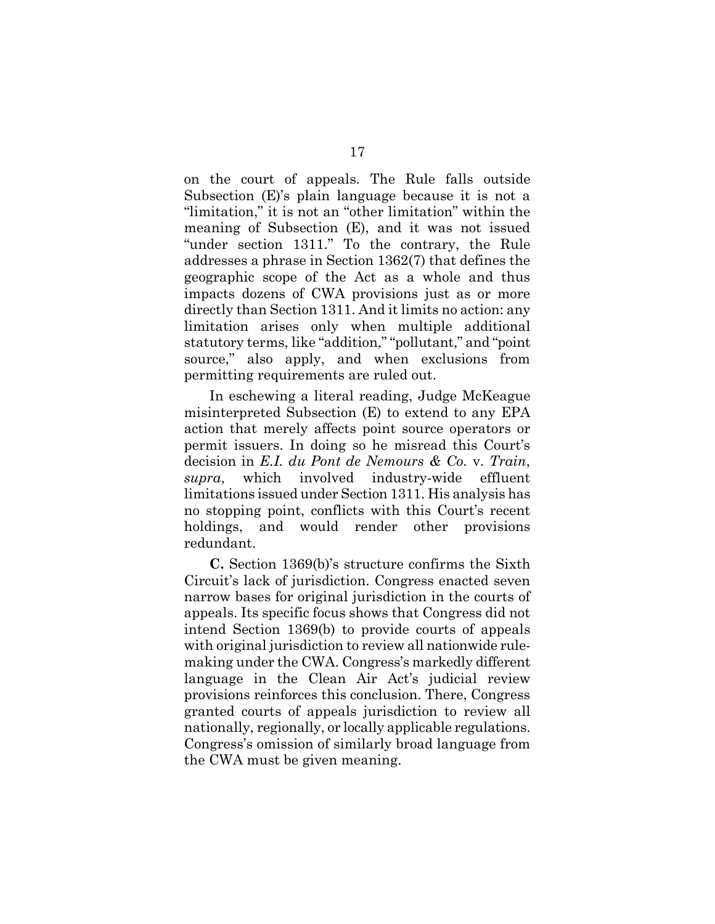on the court of appeals. The Rule falls outside Subsection (E)'s plain language because it is not a "limitation," it is not an "other limitation" within the meaning of Subsection (E), and it was not issued "under section 1311." To the contrary, the Rule addresses a phrase in Section 1362(7) that defines the geographic scope of the Act as a whole and thus impacts dozens of CWA provisions just as or more directly than Section 1311. And it limits no action: any limitation arises only when multiple additional statutory terms, like "addition," "pollutant," and "point source," also apply, and when exclusions from permitting requirements are ruled out.

In eschewing a literal reading, Judge McKeague misinterpreted Subsection (E) to extend to any EPA action that merely affects point source operators or permit issuers. In doing so he misread this Court's decision in *E.I. du Pont de Nemours & Co.* v. *Train*, *supra*, which involved industry-wide effluent limitations issued under Section 1311. His analysis has no stopping point, conflicts with this Court's recent holdings, and would render other provisions redundant.

**C.** Section 1369(b)'s structure confirms the Sixth Circuit's lack of jurisdiction. Congress enacted seven narrow bases for original jurisdiction in the courts of appeals. Its specific focus shows that Congress did not intend Section 1369(b) to provide courts of appeals with original jurisdiction to review all nationwide rulemaking under the CWA. Congress's markedly different language in the Clean Air Act's judicial review provisions reinforces this conclusion. There, Congress granted courts of appeals jurisdiction to review all nationally, regionally, or locally applicable regulations. Congress's omission of similarly broad language from the CWA must be given meaning.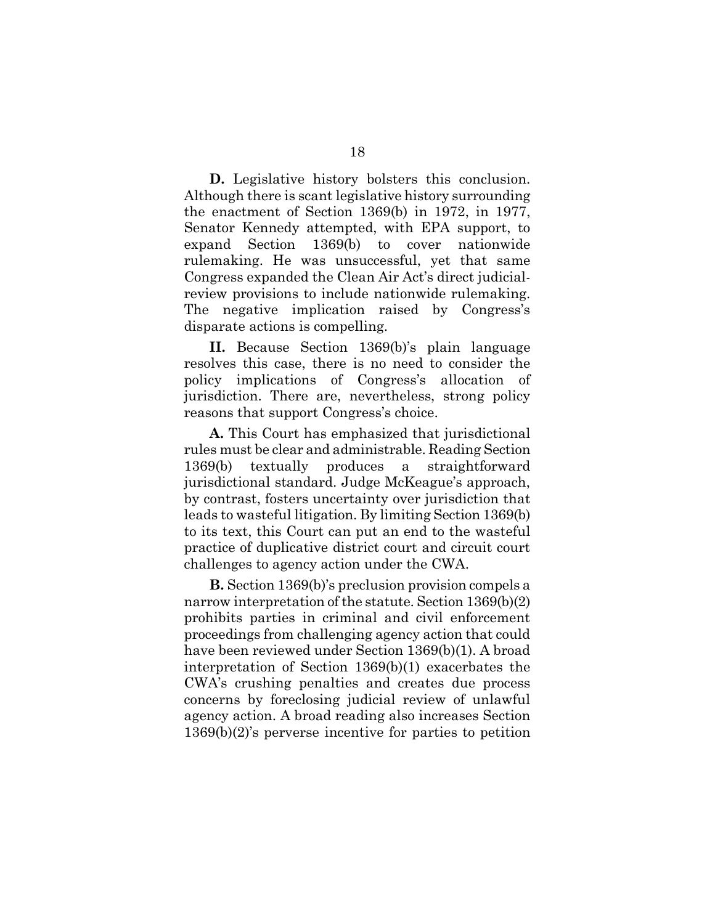**D.** Legislative history bolsters this conclusion. Although there is scant legislative history surrounding the enactment of Section 1369(b) in 1972, in 1977, Senator Kennedy attempted, with EPA support, to expand Section 1369(b) to cover nationwide rulemaking. He was unsuccessful, yet that same Congress expanded the Clean Air Act's direct judicialreview provisions to include nationwide rulemaking. The negative implication raised by Congress's disparate actions is compelling.

**II.** Because Section 1369(b)'s plain language resolves this case, there is no need to consider the policy implications of Congress's allocation of jurisdiction. There are, nevertheless, strong policy reasons that support Congress's choice.

**A.** This Court has emphasized that jurisdictional rules must be clear and administrable. Reading Section 1369(b) textually produces a straightforward jurisdictional standard. Judge McKeague's approach, by contrast, fosters uncertainty over jurisdiction that leads to wasteful litigation. By limiting Section 1369(b) to its text, this Court can put an end to the wasteful practice of duplicative district court and circuit court challenges to agency action under the CWA.

**B.** Section 1369(b)'s preclusion provision compels a narrow interpretation of the statute. Section 1369(b)(2) prohibits parties in criminal and civil enforcement proceedings from challenging agency action that could have been reviewed under Section 1369(b)(1). A broad interpretation of Section 1369(b)(1) exacerbates the CWA's crushing penalties and creates due process concerns by foreclosing judicial review of unlawful agency action. A broad reading also increases Section 1369(b)(2)'s perverse incentive for parties to petition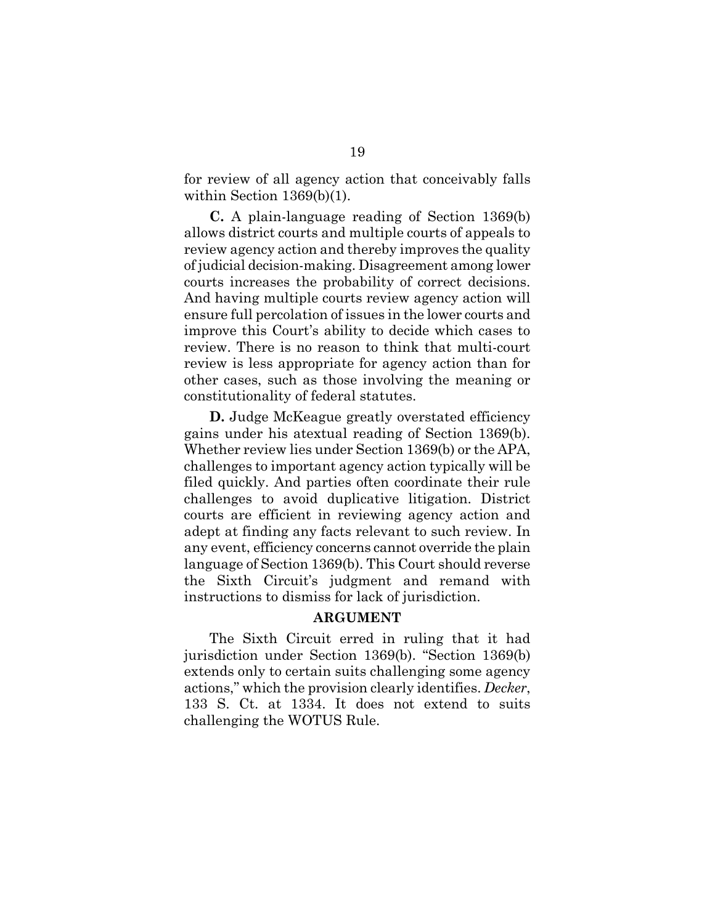for review of all agency action that conceivably falls within Section 1369(b)(1).

**C.** A plain-language reading of Section 1369(b) allows district courts and multiple courts of appeals to review agency action and thereby improves the quality of judicial decision-making. Disagreement among lower courts increases the probability of correct decisions. And having multiple courts review agency action will ensure full percolation of issues in the lower courts and improve this Court's ability to decide which cases to review. There is no reason to think that multi-court review is less appropriate for agency action than for other cases, such as those involving the meaning or constitutionality of federal statutes.

**D.** Judge McKeague greatly overstated efficiency gains under his atextual reading of Section 1369(b). Whether review lies under Section 1369(b) or the APA, challenges to important agency action typically will be filed quickly. And parties often coordinate their rule challenges to avoid duplicative litigation. District courts are efficient in reviewing agency action and adept at finding any facts relevant to such review. In any event, efficiency concerns cannot override the plain language of Section 1369(b). This Court should reverse the Sixth Circuit's judgment and remand with instructions to dismiss for lack of jurisdiction.

#### **ARGUMENT**

The Sixth Circuit erred in ruling that it had jurisdiction under Section 1369(b). "Section 1369(b) extends only to certain suits challenging some agency actions," which the provision clearly identifies. *Decker*, 133 S. Ct. at 1334. It does not extend to suits challenging the WOTUS Rule.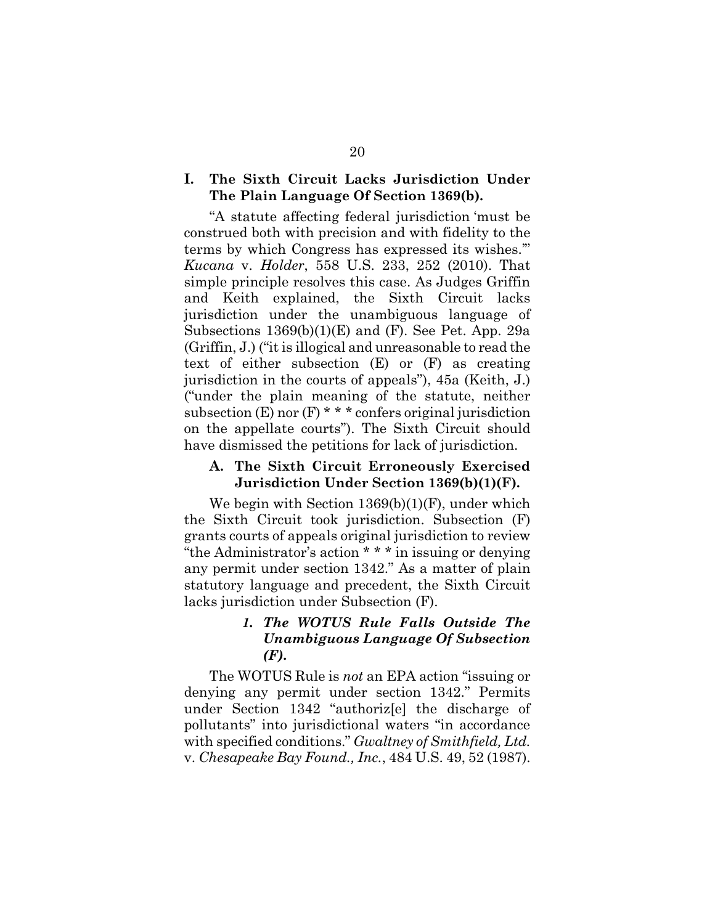### **I. The Sixth Circuit Lacks Jurisdiction Under The Plain Language Of Section 1369(b).**

"A statute affecting federal jurisdiction 'must be construed both with precision and with fidelity to the terms by which Congress has expressed its wishes.'" *Kucana* v. *Holder*, 558 U.S. 233, 252 (2010). That simple principle resolves this case. As Judges Griffin and Keith explained, the Sixth Circuit lacks jurisdiction under the unambiguous language of Subsections 1369(b)(1)(E) and (F). See Pet. App. 29a (Griffin, J.) ("it is illogical and unreasonable to read the text of either subsection (E) or (F) as creating jurisdiction in the courts of appeals"), 45a (Keith, J.) ("under the plain meaning of the statute, neither subsection  $(E)$  nor  $(F)$  \* \* \* confers original jurisdiction on the appellate courts"). The Sixth Circuit should have dismissed the petitions for lack of jurisdiction.

#### **A. The Sixth Circuit Erroneously Exercised Jurisdiction Under Section 1369(b)(1)(F).**

We begin with Section 1369(b)(1)(F), under which the Sixth Circuit took jurisdiction. Subsection (F) grants courts of appeals original jurisdiction to review "the Administrator's action \* \* \* in issuing or denying any permit under section 1342." As a matter of plain statutory language and precedent, the Sixth Circuit lacks jurisdiction under Subsection (F).

# *1. The WOTUS Rule Falls Outside The Unambiguous Language Of Subsection (F).*

The WOTUS Rule is *not* an EPA action "issuing or denying any permit under section 1342." Permits under Section 1342 "authoriz[e] the discharge of pollutants" into jurisdictional waters "in accordance with specified conditions." *Gwaltney of Smithfield, Ltd.* v. *Chesapeake Bay Found., Inc.*, 484 U.S. 49, 52 (1987).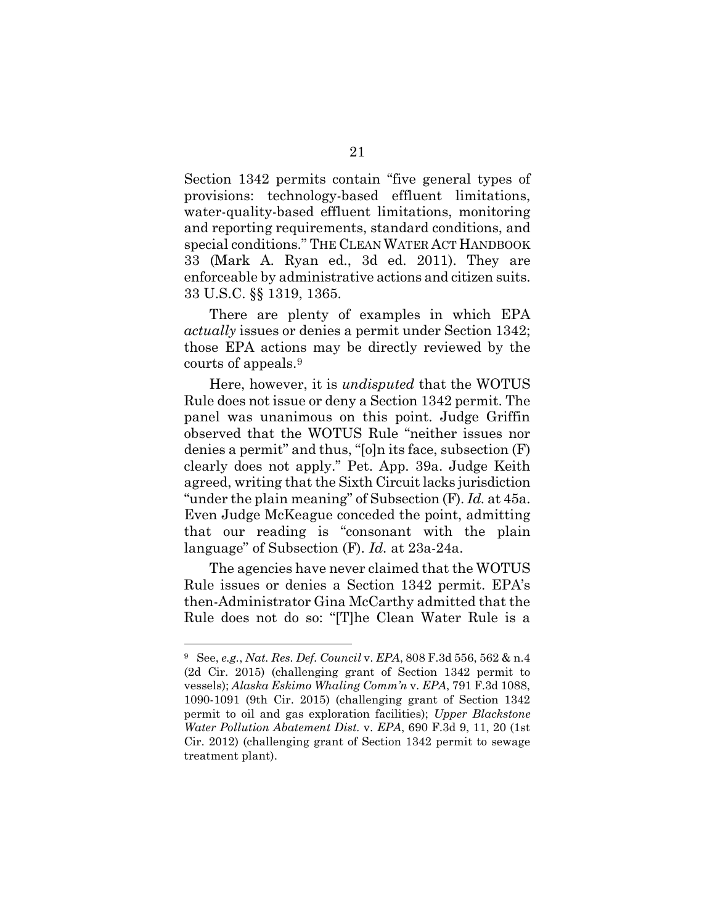Section 1342 permits contain "five general types of provisions: technology-based effluent limitations, water-quality-based effluent limitations, monitoring and reporting requirements, standard conditions, and special conditions." THE CLEAN WATER ACT HANDBOOK 33 (Mark A. Ryan ed., 3d ed. 2011). They are enforceable by administrative actions and citizen suits. 33 U.S.C. §§ 1319, 1365.

There are plenty of examples in which EPA *actually* issues or denies a permit under Section 1342; those EPA actions may be directly reviewed by the courts of appeals.<sup>9</sup>

Here, however, it is *undisputed* that the WOTUS Rule does not issue or deny a Section 1342 permit. The panel was unanimous on this point. Judge Griffin observed that the WOTUS Rule "neither issues nor denies a permit" and thus, "[o]n its face, subsection (F) clearly does not apply." Pet. App. 39a. Judge Keith agreed, writing that the Sixth Circuit lacks jurisdiction "under the plain meaning" of Subsection (F). *Id.* at 45a. Even Judge McKeague conceded the point, admitting that our reading is "consonant with the plain language" of Subsection (F). *Id.* at 23a-24a.

The agencies have never claimed that the WOTUS Rule issues or denies a Section 1342 permit. EPA's then-Administrator Gina McCarthy admitted that the Rule does not do so: "[T]he Clean Water Rule is a

<sup>9</sup> See, *e.g.*, *Nat. Res. Def. Council* v. *EPA*, 808 F.3d 556, 562 & n.4 (2d Cir. 2015) (challenging grant of Section 1342 permit to vessels); *Alaska Eskimo Whaling Comm'n* v. *EPA*, 791 F.3d 1088, 1090-1091 (9th Cir. 2015) (challenging grant of Section 1342 permit to oil and gas exploration facilities); *Upper Blackstone Water Pollution Abatement Dist.* v. *EPA*, 690 F.3d 9, 11, 20 (1st Cir. 2012) (challenging grant of Section 1342 permit to sewage treatment plant).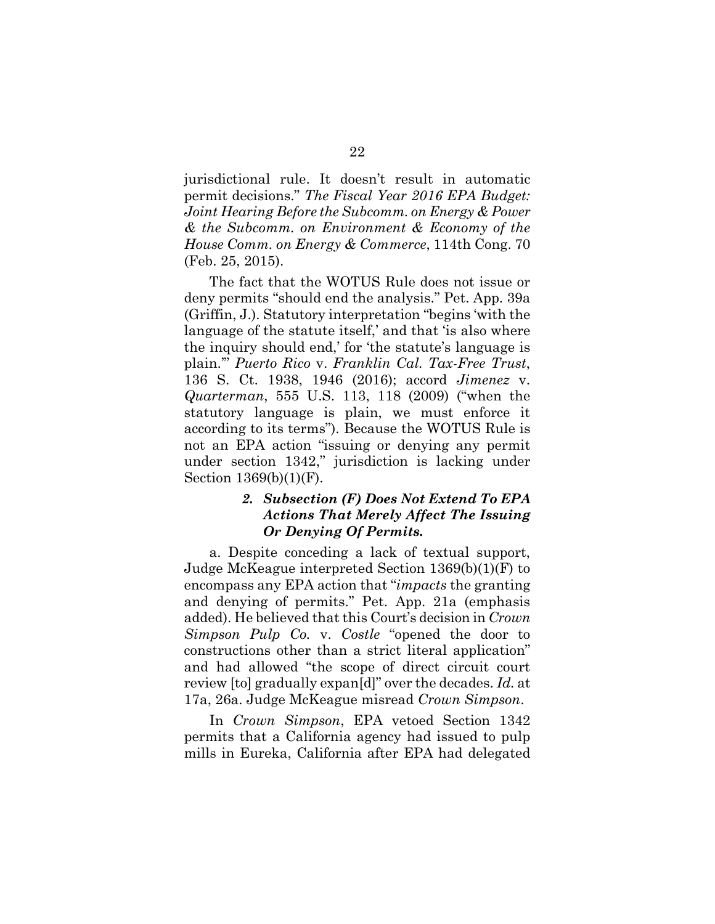jurisdictional rule. It doesn't result in automatic permit decisions." *The Fiscal Year 2016 EPA Budget: Joint Hearing Before the Subcomm. on Energy & Power & the Subcomm. on Environment & Economy of the House Comm. on Energy & Commerce*, 114th Cong. 70 (Feb. 25, 2015).

The fact that the WOTUS Rule does not issue or deny permits "should end the analysis." Pet. App. 39a (Griffin, J.). Statutory interpretation "begins 'with the language of the statute itself,' and that 'is also where the inquiry should end,' for 'the statute's language is plain.'" *Puerto Rico* v. *Franklin Cal. Tax-Free Trust*, 136 S. Ct. 1938, 1946 (2016); accord *Jimenez* v. *Quarterman*, 555 U.S. 113, 118 (2009) ("when the statutory language is plain, we must enforce it according to its terms"). Because the WOTUS Rule is not an EPA action "issuing or denying any permit under section 1342," jurisdiction is lacking under Section 1369(b)(1)(F).

# *2. Subsection (F) Does Not Extend To EPA Actions That Merely Affect The Issuing Or Denying Of Permits.*

a. Despite conceding a lack of textual support, Judge McKeague interpreted Section 1369(b)(1)(F) to encompass any EPA action that "*impacts* the granting and denying of permits." Pet. App. 21a (emphasis added). He believed that this Court's decision in *Crown Simpson Pulp Co.* v. *Costle* "opened the door to constructions other than a strict literal application" and had allowed "the scope of direct circuit court review [to] gradually expan[d]" over the decades. *Id.* at 17a, 26a. Judge McKeague misread *Crown Simpson*.

In *Crown Simpson*, EPA vetoed Section 1342 permits that a California agency had issued to pulp mills in Eureka, California after EPA had delegated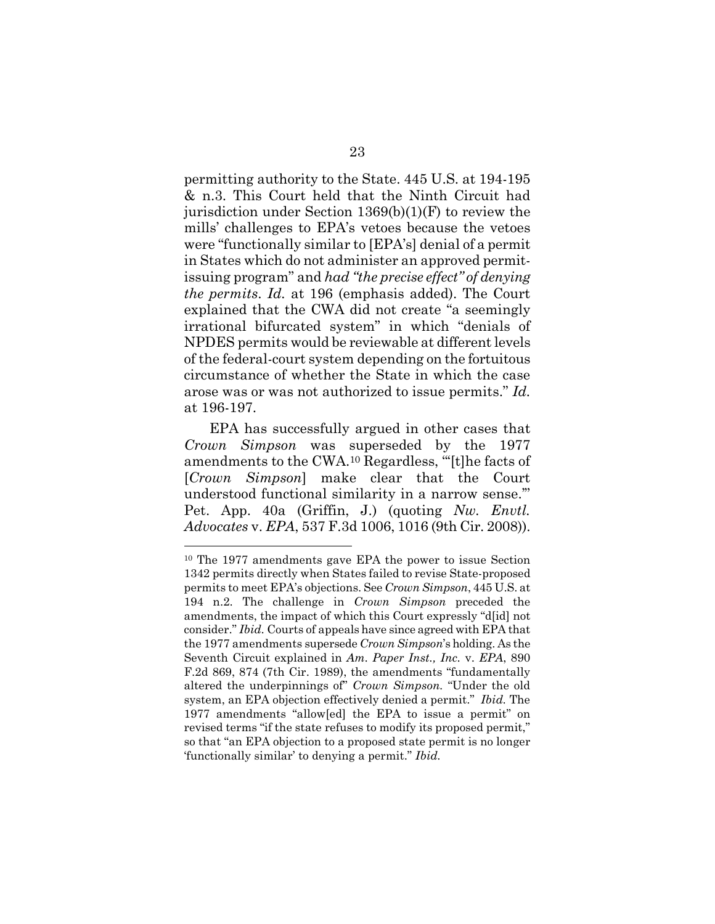permitting authority to the State. 445 U.S. at 194-195 & n.3. This Court held that the Ninth Circuit had jurisdiction under Section 1369(b)(1)(F) to review the mills' challenges to EPA's vetoes because the vetoes were "functionally similar to [EPA's] denial of a permit in States which do not administer an approved permitissuing program" and *had "the precise effect" of denying the permits*. *Id.* at 196 (emphasis added). The Court explained that the CWA did not create "a seemingly irrational bifurcated system" in which "denials of NPDES permits would be reviewable at different levels of the federal-court system depending on the fortuitous circumstance of whether the State in which the case arose was or was not authorized to issue permits." *Id.* at 196-197.

EPA has successfully argued in other cases that *Crown Simpson* was superseded by the 1977 amendments to the CWA.<sup>10</sup> Regardless, "'[t]he facts of [*Crown Simpson*] make clear that the Court understood functional similarity in a narrow sense.'" Pet. App. 40a (Griffin, J.) (quoting *Nw. Envtl. Advocates* v. *EPA*, 537 F.3d 1006, 1016 (9th Cir. 2008)).

<sup>10</sup> The 1977 amendments gave EPA the power to issue Section 1342 permits directly when States failed to revise State-proposed permits to meet EPA's objections. See *Crown Simpson*, 445 U.S. at 194 n.2. The challenge in *Crown Simpson* preceded the amendments, the impact of which this Court expressly "d[id] not consider." *Ibid.* Courts of appeals have since agreed with EPA that the 1977 amendments supersede *Crown Simpson*'s holding. As the Seventh Circuit explained in *Am. Paper Inst., Inc.* v. *EPA*, 890 F.2d 869, 874 (7th Cir. 1989), the amendments "fundamentally altered the underpinnings of" *Crown Simpson.* "Under the old system, an EPA objection effectively denied a permit." *Ibid.* The 1977 amendments "allow[ed] the EPA to issue a permit" on revised terms "if the state refuses to modify its proposed permit," so that "an EPA objection to a proposed state permit is no longer 'functionally similar' to denying a permit." *Ibid.*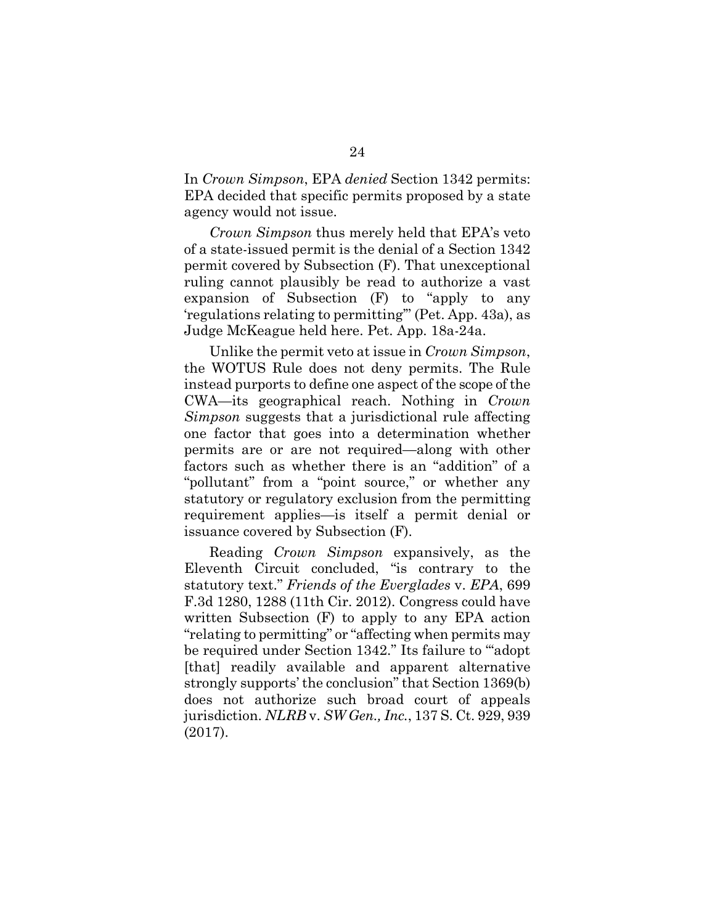In *Crown Simpson*, EPA *denied* Section 1342 permits: EPA decided that specific permits proposed by a state agency would not issue.

*Crown Simpson* thus merely held that EPA's veto of a state-issued permit is the denial of a Section 1342 permit covered by Subsection (F). That unexceptional ruling cannot plausibly be read to authorize a vast expansion of Subsection (F) to "apply to any 'regulations relating to permitting'" (Pet. App. 43a), as Judge McKeague held here. Pet. App. 18a-24a.

Unlike the permit veto at issue in *Crown Simpson*, the WOTUS Rule does not deny permits. The Rule instead purports to define one aspect of the scope of the CWA—its geographical reach. Nothing in *Crown Simpson* suggests that a jurisdictional rule affecting one factor that goes into a determination whether permits are or are not required—along with other factors such as whether there is an "addition" of a "pollutant" from a "point source," or whether any statutory or regulatory exclusion from the permitting requirement applies—is itself a permit denial or issuance covered by Subsection (F).

Reading *Crown Simpson* expansively, as the Eleventh Circuit concluded, "is contrary to the statutory text." *Friends of the Everglades* v. *EPA*, 699 F.3d 1280, 1288 (11th Cir. 2012). Congress could have written Subsection (F) to apply to any EPA action "relating to permitting" or "affecting when permits may be required under Section 1342." Its failure to "'adopt [that] readily available and apparent alternative strongly supports' the conclusion" that Section 1369(b) does not authorize such broad court of appeals jurisdiction. *NLRB* v. *SW Gen., Inc.*, 137 S. Ct. 929, 939 (2017).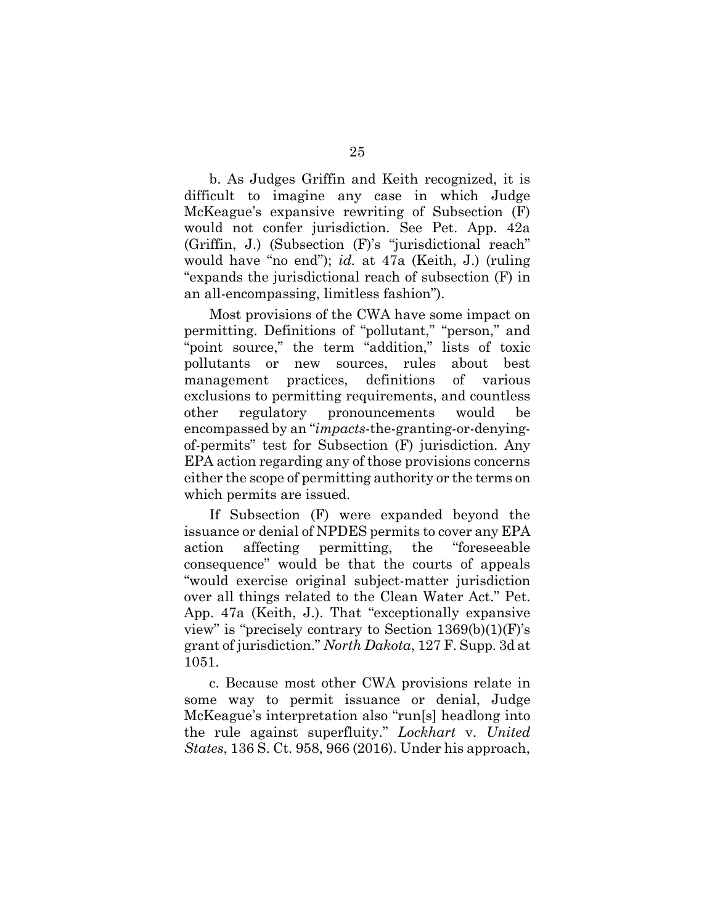b. As Judges Griffin and Keith recognized, it is difficult to imagine any case in which Judge McKeague's expansive rewriting of Subsection (F) would not confer jurisdiction. See Pet. App. 42a (Griffin, J.) (Subsection (F)'s "jurisdictional reach" would have "no end"); *id.* at 47a (Keith, J.) (ruling "expands the jurisdictional reach of subsection (F) in an all-encompassing, limitless fashion").

Most provisions of the CWA have some impact on permitting. Definitions of "pollutant," "person," and "point source," the term "addition," lists of toxic pollutants or new sources, rules about best management practices, definitions of various exclusions to permitting requirements, and countless other regulatory pronouncements would be encompassed by an "*impacts*-the-granting-or-denyingof-permits" test for Subsection (F) jurisdiction. Any EPA action regarding any of those provisions concerns either the scope of permitting authority or the terms on which permits are issued.

If Subsection (F) were expanded beyond the issuance or denial of NPDES permits to cover any EPA action affecting permitting, the "foreseeable consequence" would be that the courts of appeals "would exercise original subject-matter jurisdiction over all things related to the Clean Water Act." Pet. App. 47a (Keith, J.). That "exceptionally expansive view" is "precisely contrary to Section  $1369(b)(1)(F)$ 's grant of jurisdiction." *North Dakota*, 127 F. Supp. 3d at 1051.

c. Because most other CWA provisions relate in some way to permit issuance or denial, Judge McKeague's interpretation also "run[s] headlong into the rule against superfluity." *Lockhart* v. *United States*, 136 S. Ct. 958, 966 (2016). Under his approach,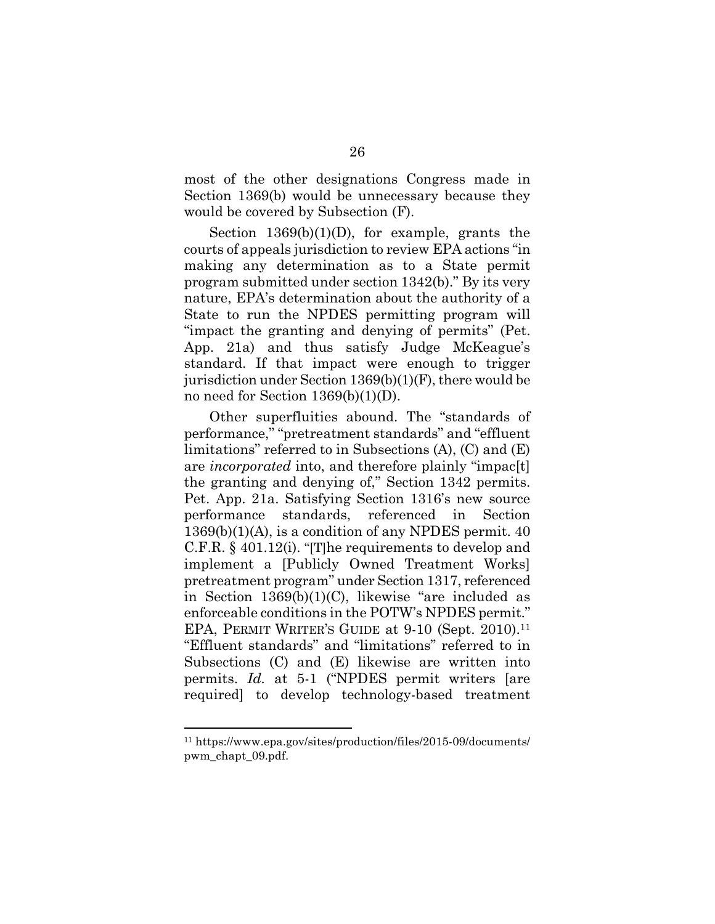most of the other designations Congress made in Section 1369(b) would be unnecessary because they would be covered by Subsection (F).

Section 1369(b)(1)(D), for example, grants the courts of appeals jurisdiction to review EPA actions "in making any determination as to a State permit program submitted under section 1342(b)." By its very nature, EPA's determination about the authority of a State to run the NPDES permitting program will "impact the granting and denying of permits" (Pet. App. 21a) and thus satisfy Judge McKeague's standard. If that impact were enough to trigger jurisdiction under Section 1369(b)(1)(F), there would be no need for Section 1369(b)(1)(D).

Other superfluities abound. The "standards of performance," "pretreatment standards" and "effluent limitations" referred to in Subsections (A), (C) and (E) are *incorporated* into, and therefore plainly "impac[t] the granting and denying of," Section 1342 permits. Pet. App. 21a. Satisfying Section 1316's new source performance standards, referenced in Section 1369(b)(1)(A), is a condition of any NPDES permit. 40 C.F.R. § 401.12(i). "[T]he requirements to develop and implement a [Publicly Owned Treatment Works] pretreatment program" under Section 1317, referenced in Section 1369(b)(1)(C), likewise "are included as enforceable conditions in the POTW's NPDES permit." EPA, PERMIT WRITER'S GUIDE at 9-10 (Sept. 2010).<sup>11</sup> "Effluent standards" and "limitations" referred to in Subsections (C) and (E) likewise are written into permits. *Id.* at 5-1 ("NPDES permit writers [are required] to develop technology-based treatment

<sup>11</sup> https://www.epa.gov/sites/production/files/2015-09/documents/ pwm\_chapt\_09.pdf.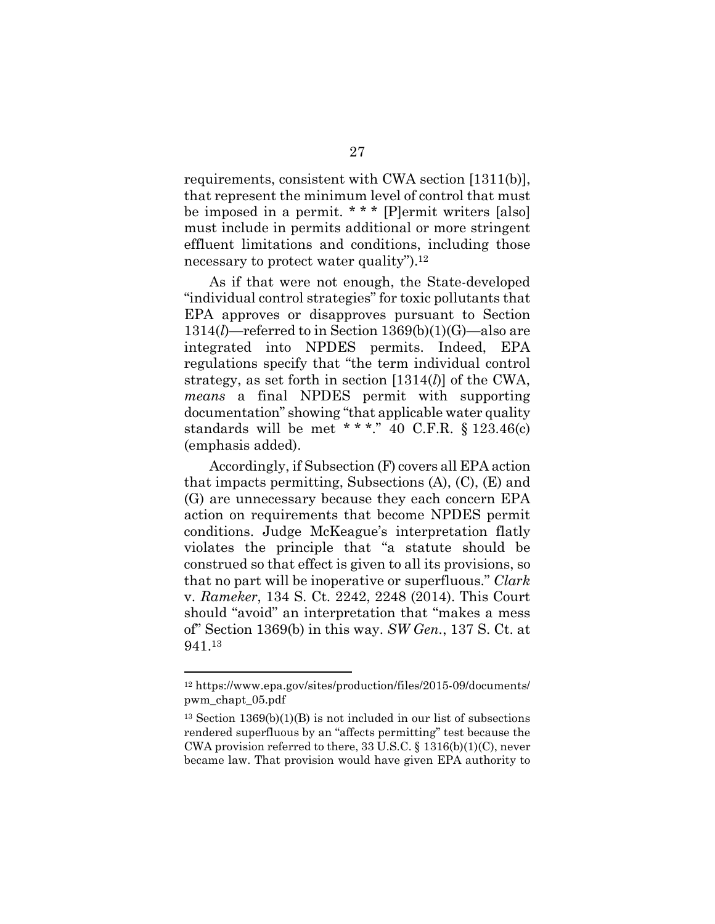requirements, consistent with CWA section [1311(b)], that represent the minimum level of control that must be imposed in a permit. \* \* \* [P]ermit writers [also] must include in permits additional or more stringent effluent limitations and conditions, including those necessary to protect water quality").<sup>12</sup>

As if that were not enough, the State-developed "individual control strategies" for toxic pollutants that EPA approves or disapproves pursuant to Section 1314(*l*)—referred to in Section 1369(b)(1)(G)—also are integrated into NPDES permits. Indeed, EPA regulations specify that "the term individual control strategy, as set forth in section [1314(*l*)] of the CWA, *means* a final NPDES permit with supporting documentation" showing "that applicable water quality standards will be met \* \* \*." 40 C.F.R. §  $123.46(c)$ (emphasis added).

Accordingly, if Subsection (F) covers all EPA action that impacts permitting, Subsections (A), (C), (E) and (G) are unnecessary because they each concern EPA action on requirements that become NPDES permit conditions. Judge McKeague's interpretation flatly violates the principle that "a statute should be construed so that effect is given to all its provisions, so that no part will be inoperative or superfluous." *Clark* v. *Rameker*, 134 S. Ct. 2242, 2248 (2014). This Court should "avoid" an interpretation that "makes a mess of" Section 1369(b) in this way. *SW Gen.*, 137 S. Ct. at 941.<sup>13</sup>

<sup>12</sup> https://www.epa.gov/sites/production/files/2015-09/documents/ pwm\_chapt\_05.pdf

 $13$  Section  $1369(b)(1)(B)$  is not included in our list of subsections rendered superfluous by an "affects permitting" test because the CWA provision referred to there, 33 U.S.C. § 1316(b)(1)(C), never became law. That provision would have given EPA authority to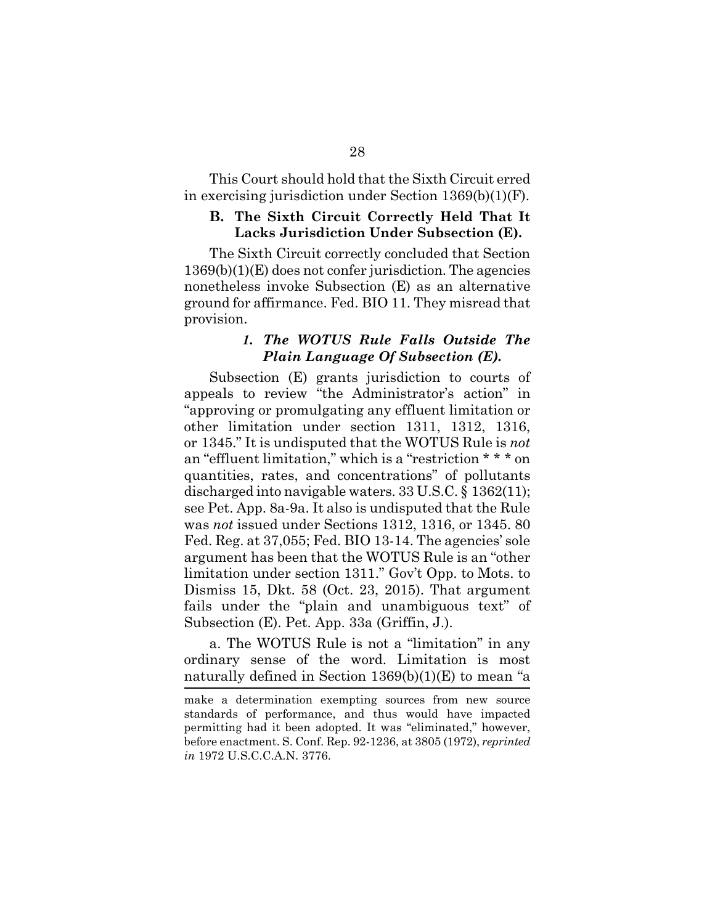This Court should hold that the Sixth Circuit erred in exercising jurisdiction under Section 1369(b)(1)(F).

#### **B. The Sixth Circuit Correctly Held That It Lacks Jurisdiction Under Subsection (E).**

The Sixth Circuit correctly concluded that Section 1369(b)(1)(E) does not confer jurisdiction. The agencies nonetheless invoke Subsection (E) as an alternative ground for affirmance. Fed. BIO 11. They misread that provision.

### *1. The WOTUS Rule Falls Outside The Plain Language Of Subsection (E).*

Subsection (E) grants jurisdiction to courts of appeals to review "the Administrator's action" in "approving or promulgating any effluent limitation or other limitation under section 1311, 1312, 1316, or 1345." It is undisputed that the WOTUS Rule is *not* an "effluent limitation," which is a "restriction \* \* \* on quantities, rates, and concentrations" of pollutants discharged into navigable waters. 33 U.S.C. § 1362(11); see Pet. App. 8a-9a. It also is undisputed that the Rule was *not* issued under Sections 1312, 1316, or 1345. 80 Fed. Reg. at 37,055; Fed. BIO 13-14. The agencies' sole argument has been that the WOTUS Rule is an "other limitation under section 1311." Gov't Opp. to Mots. to Dismiss 15, Dkt. 58 (Oct. 23, 2015). That argument fails under the "plain and unambiguous text" of Subsection (E). Pet. App. 33a (Griffin, J.).

a. The WOTUS Rule is not a "limitation" in any ordinary sense of the word. Limitation is most naturally defined in Section 1369(b)(1)(E) to mean "a

make a determination exempting sources from new source standards of performance, and thus would have impacted permitting had it been adopted. It was "eliminated," however, before enactment. S. Conf. Rep. 92-1236, at 3805 (1972), *reprinted in* 1972 U.S.C.C.A.N. 3776.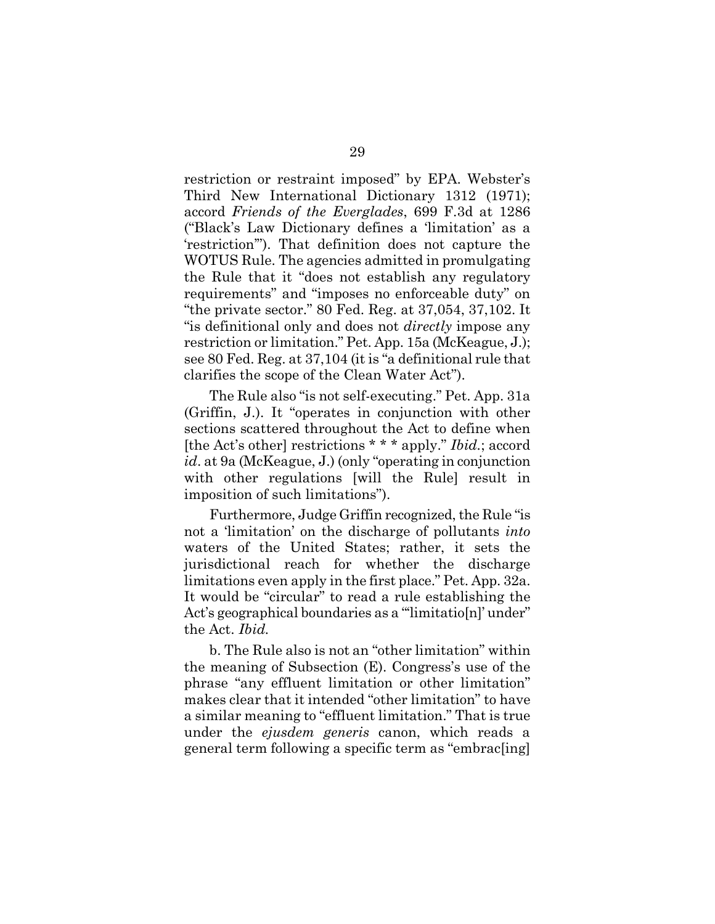restriction or restraint imposed" by EPA. Webster's Third New International Dictionary 1312 (1971); accord *Friends of the Everglades*, 699 F.3d at 1286 ("Black's Law Dictionary defines a 'limitation' as a 'restriction'"). That definition does not capture the WOTUS Rule. The agencies admitted in promulgating the Rule that it "does not establish any regulatory requirements" and "imposes no enforceable duty" on "the private sector." 80 Fed. Reg. at 37,054, 37,102. It "is definitional only and does not *directly* impose any restriction or limitation." Pet. App. 15a (McKeague, J.); see 80 Fed. Reg. at 37,104 (it is "a definitional rule that clarifies the scope of the Clean Water Act").

The Rule also "is not self-executing." Pet. App. 31a (Griffin, J.). It "operates in conjunction with other sections scattered throughout the Act to define when [the Act's other] restrictions \* \* \* apply." *Ibid.*; accord *id*. at 9a (McKeague, J.) (only "operating in conjunction with other regulations [will the Rule] result in imposition of such limitations").

Furthermore, Judge Griffin recognized, the Rule "is not a 'limitation' on the discharge of pollutants *into* waters of the United States; rather, it sets the jurisdictional reach for whether the discharge limitations even apply in the first place." Pet. App. 32a. It would be "circular" to read a rule establishing the Act's geographical boundaries as a "'limitatio[n]' under" the Act. *Ibid.*

b. The Rule also is not an "other limitation" within the meaning of Subsection (E). Congress's use of the phrase "any effluent limitation or other limitation" makes clear that it intended "other limitation" to have a similar meaning to "effluent limitation." That is true under the *ejusdem generis* canon, which reads a general term following a specific term as "embrac[ing]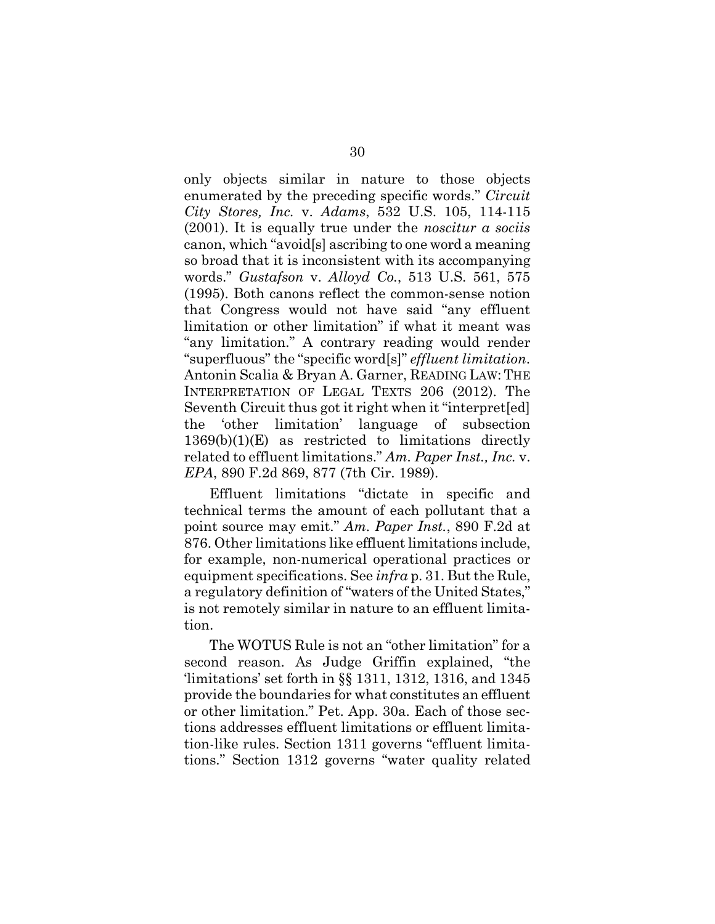only objects similar in nature to those objects enumerated by the preceding specific words." *Circuit City Stores, Inc.* v. *Adams*, 532 U.S. 105, 114-115 (2001). It is equally true under the *noscitur a sociis* canon, which "avoid[s] ascribing to one word a meaning so broad that it is inconsistent with its accompanying words." *Gustafson* v. *Alloyd Co.*, 513 U.S. 561, 575 (1995). Both canons reflect the common-sense notion that Congress would not have said "any effluent limitation or other limitation" if what it meant was "any limitation." A contrary reading would render "superfluous" the "specific word[s]" *effluent limitation*. Antonin Scalia & Bryan A. Garner, READING LAW: THE INTERPRETATION OF LEGAL TEXTS 206 (2012). The Seventh Circuit thus got it right when it "interpret[ed] the 'other limitation' language of subsection 1369(b)(1)(E) as restricted to limitations directly related to effluent limitations." *Am. Paper Inst., Inc.* v. *EPA*, 890 F.2d 869, 877 (7th Cir. 1989).

Effluent limitations "dictate in specific and technical terms the amount of each pollutant that a point source may emit." *Am. Paper Inst.*, 890 F.2d at 876. Other limitations like effluent limitations include, for example, non-numerical operational practices or equipment specifications. See *infra* p. 31. But the Rule, a regulatory definition of "waters of the United States," is not remotely similar in nature to an effluent limitation.

The WOTUS Rule is not an "other limitation" for a second reason. As Judge Griffin explained, "the 'limitations' set forth in §§ 1311, 1312, 1316, and 1345 provide the boundaries for what constitutes an effluent or other limitation." Pet. App. 30a. Each of those sections addresses effluent limitations or effluent limitation-like rules. Section 1311 governs "effluent limitations." Section 1312 governs "water quality related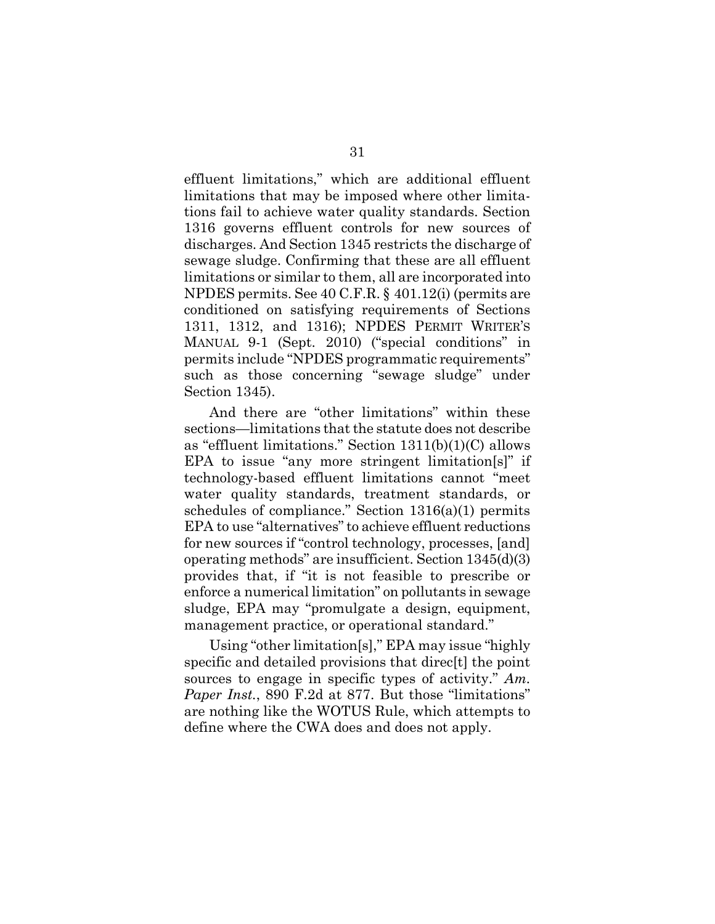effluent limitations," which are additional effluent limitations that may be imposed where other limitations fail to achieve water quality standards. Section 1316 governs effluent controls for new sources of discharges. And Section 1345 restricts the discharge of sewage sludge. Confirming that these are all effluent limitations or similar to them, all are incorporated into NPDES permits. See 40 C.F.R. § 401.12(i) (permits are conditioned on satisfying requirements of Sections 1311, 1312, and 1316); NPDES PERMIT WRITER'S MANUAL 9-1 (Sept. 2010) ("special conditions" in permits include "NPDES programmatic requirements" such as those concerning "sewage sludge" under Section 1345).

And there are "other limitations" within these sections—limitations that the statute does not describe as "effluent limitations." Section 1311(b)(1)(C) allows EPA to issue "any more stringent limitation[s]" if technology-based effluent limitations cannot "meet water quality standards, treatment standards, or schedules of compliance." Section 1316(a)(1) permits EPA to use "alternatives" to achieve effluent reductions for new sources if "control technology, processes, [and] operating methods" are insufficient. Section 1345(d)(3) provides that, if "it is not feasible to prescribe or enforce a numerical limitation" on pollutants in sewage sludge, EPA may "promulgate a design, equipment, management practice, or operational standard."

Using "other limitation[s]," EPA may issue "highly specific and detailed provisions that direc<sup>t</sup> the point sources to engage in specific types of activity." *Am. Paper Inst.*, 890 F.2d at 877. But those "limitations" are nothing like the WOTUS Rule, which attempts to define where the CWA does and does not apply.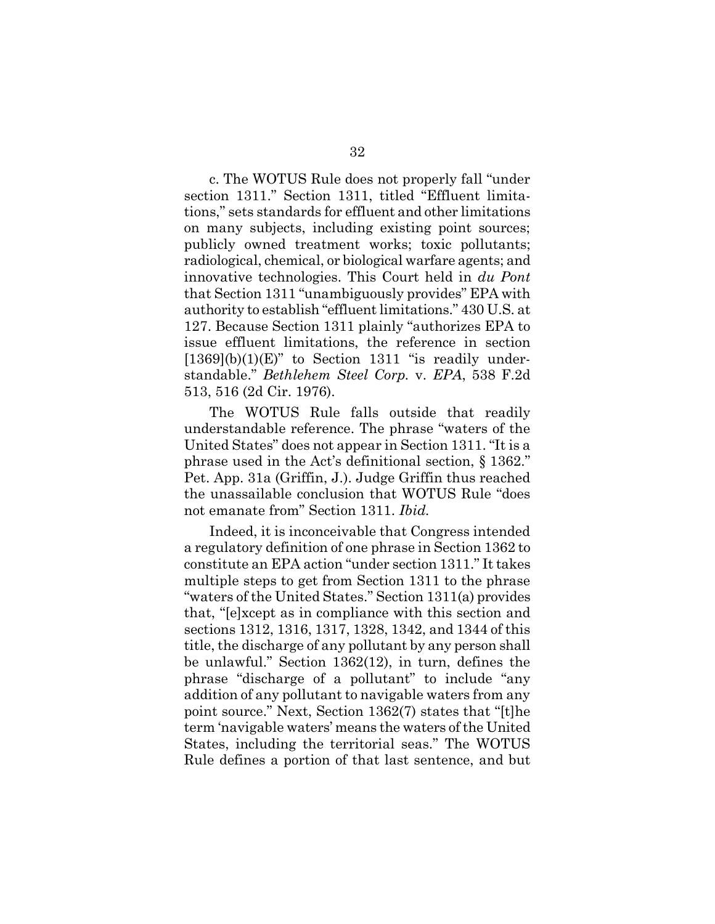c. The WOTUS Rule does not properly fall "under section 1311." Section 1311, titled "Effluent limitations," sets standards for effluent and other limitations on many subjects, including existing point sources; publicly owned treatment works; toxic pollutants; radiological, chemical, or biological warfare agents; and innovative technologies. This Court held in *du Pont* that Section 1311 "unambiguously provides" EPA with authority to establish "effluent limitations." 430 U.S. at 127. Because Section 1311 plainly "authorizes EPA to issue effluent limitations, the reference in section  $[1369](b)(1)(E)$ " to Section 1311 "is readily understandable." *Bethlehem Steel Corp.* v. *EPA*, 538 F.2d 513, 516 (2d Cir. 1976).

The WOTUS Rule falls outside that readily understandable reference. The phrase "waters of the United States" does not appear in Section 1311. "It is a phrase used in the Act's definitional section, § 1362." Pet. App. 31a (Griffin, J.). Judge Griffin thus reached the unassailable conclusion that WOTUS Rule "does not emanate from" Section 1311. *Ibid.*

Indeed, it is inconceivable that Congress intended a regulatory definition of one phrase in Section 1362 to constitute an EPA action "under section 1311." It takes multiple steps to get from Section 1311 to the phrase "waters of the United States." Section 1311(a) provides that, "[e]xcept as in compliance with this section and sections 1312, 1316, 1317, 1328, 1342, and 1344 of this title, the discharge of any pollutant by any person shall be unlawful." Section 1362(12), in turn, defines the phrase "discharge of a pollutant" to include "any addition of any pollutant to navigable waters from any point source." Next, Section 1362(7) states that "[t]he term 'navigable waters' means the waters of the United States, including the territorial seas." The WOTUS Rule defines a portion of that last sentence, and but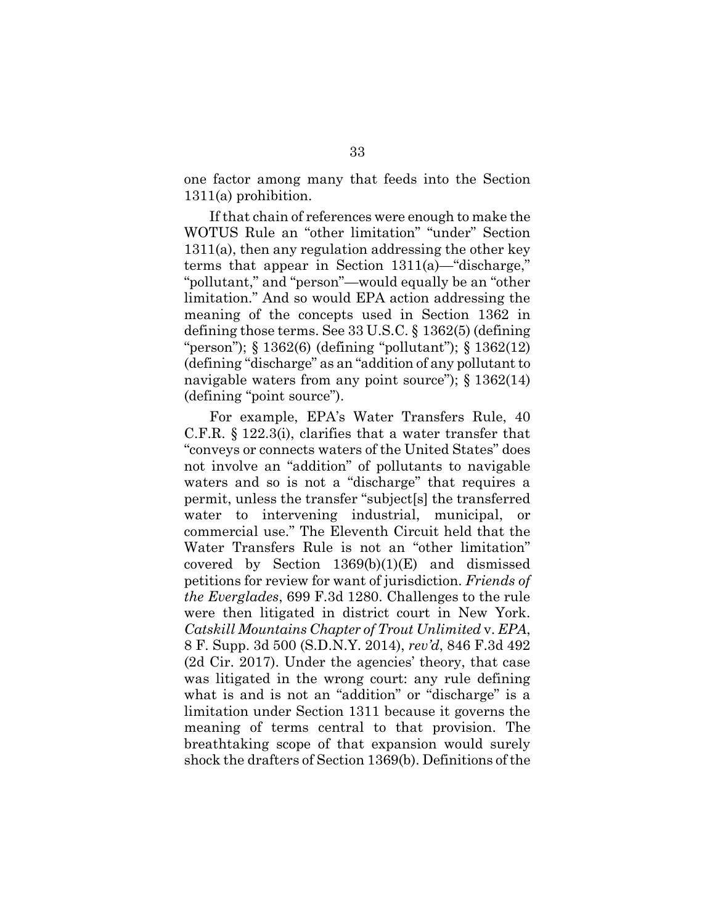one factor among many that feeds into the Section 1311(a) prohibition.

If that chain of references were enough to make the WOTUS Rule an "other limitation" "under" Section 1311(a), then any regulation addressing the other key terms that appear in Section 1311(a)—"discharge," "pollutant," and "person"—would equally be an "other limitation." And so would EPA action addressing the meaning of the concepts used in Section 1362 in defining those terms. See 33 U.S.C. § 1362(5) (defining "person"); § 1362(6) (defining "pollutant"); § 1362(12) (defining "discharge" as an "addition of any pollutant to navigable waters from any point source");  $\S 1362(14)$ (defining "point source").

For example, EPA's Water Transfers Rule, 40 C.F.R. § 122.3(i), clarifies that a water transfer that "conveys or connects waters of the United States" does not involve an "addition" of pollutants to navigable waters and so is not a "discharge" that requires a permit, unless the transfer "subject[s] the transferred water to intervening industrial, municipal, or commercial use." The Eleventh Circuit held that the Water Transfers Rule is not an "other limitation" covered by Section 1369(b)(1)(E) and dismissed petitions for review for want of jurisdiction. *Friends of the Everglades*, 699 F.3d 1280. Challenges to the rule were then litigated in district court in New York. *Catskill Mountains Chapter of Trout Unlimited* v. *EPA*, 8 F. Supp. 3d 500 (S.D.N.Y. 2014), *rev'd*, 846 F.3d 492 (2d Cir. 2017). Under the agencies' theory, that case was litigated in the wrong court: any rule defining what is and is not an "addition" or "discharge" is a limitation under Section 1311 because it governs the meaning of terms central to that provision. The breathtaking scope of that expansion would surely shock the drafters of Section 1369(b). Definitions of the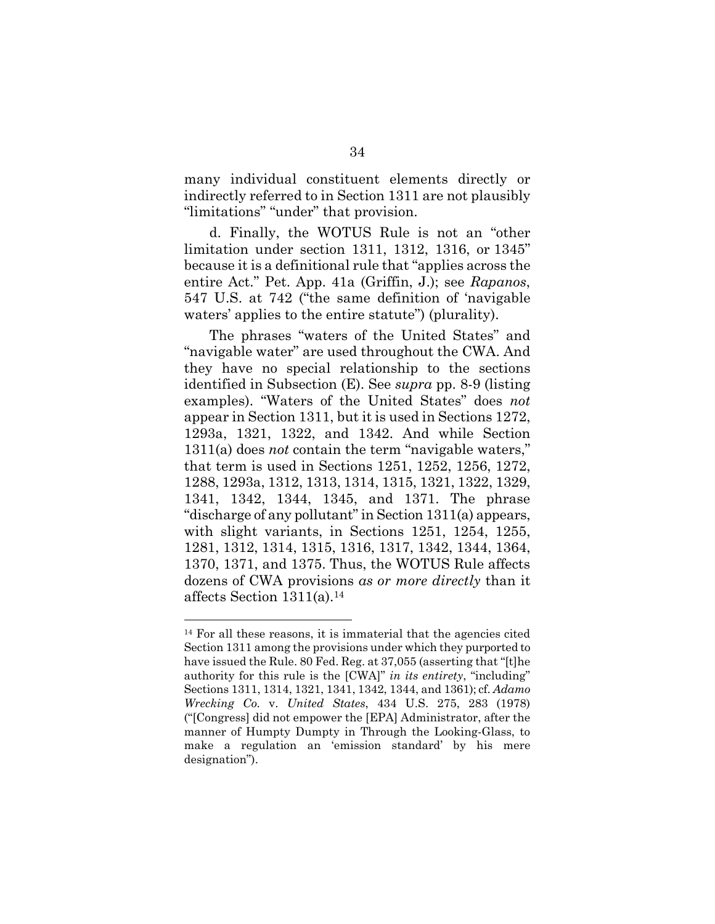many individual constituent elements directly or indirectly referred to in Section 1311 are not plausibly "limitations" "under" that provision.

d. Finally, the WOTUS Rule is not an "other limitation under section 1311, 1312, 1316, or 1345" because it is a definitional rule that "applies across the entire Act." Pet. App. 41a (Griffin, J.); see *Rapanos*, 547 U.S. at 742 ("the same definition of 'navigable waters' applies to the entire statute") (plurality).

The phrases "waters of the United States" and "navigable water" are used throughout the CWA. And they have no special relationship to the sections identified in Subsection (E). See *supra* pp. 8-9 (listing examples). "Waters of the United States" does *not* appear in Section 1311, but it is used in Sections 1272, 1293a, 1321, 1322, and 1342. And while Section 1311(a) does *not* contain the term "navigable waters," that term is used in Sections 1251, 1252, 1256, 1272, 1288, 1293a, 1312, 1313, 1314, 1315, 1321, 1322, 1329, 1341, 1342, 1344, 1345, and 1371. The phrase "discharge of any pollutant" in Section 1311(a) appears, with slight variants, in Sections 1251, 1254, 1255, 1281, 1312, 1314, 1315, 1316, 1317, 1342, 1344, 1364, 1370, 1371, and 1375. Thus, the WOTUS Rule affects dozens of CWA provisions *as or more directly* than it affects Section 1311(a).<sup>14</sup>

<sup>14</sup> For all these reasons, it is immaterial that the agencies cited Section 1311 among the provisions under which they purported to have issued the Rule. 80 Fed. Reg. at 37,055 (asserting that "[t]he authority for this rule is the [CWA]" *in its entirety*, "including" Sections 1311, 1314, 1321, 1341, 1342, 1344, and 1361); cf. *Adamo Wrecking Co.* v. *United States*, 434 U.S. 275, 283 (1978) ("[Congress] did not empower the [EPA] Administrator, after the manner of Humpty Dumpty in Through the Looking-Glass, to make a regulation an 'emission standard' by his mere designation").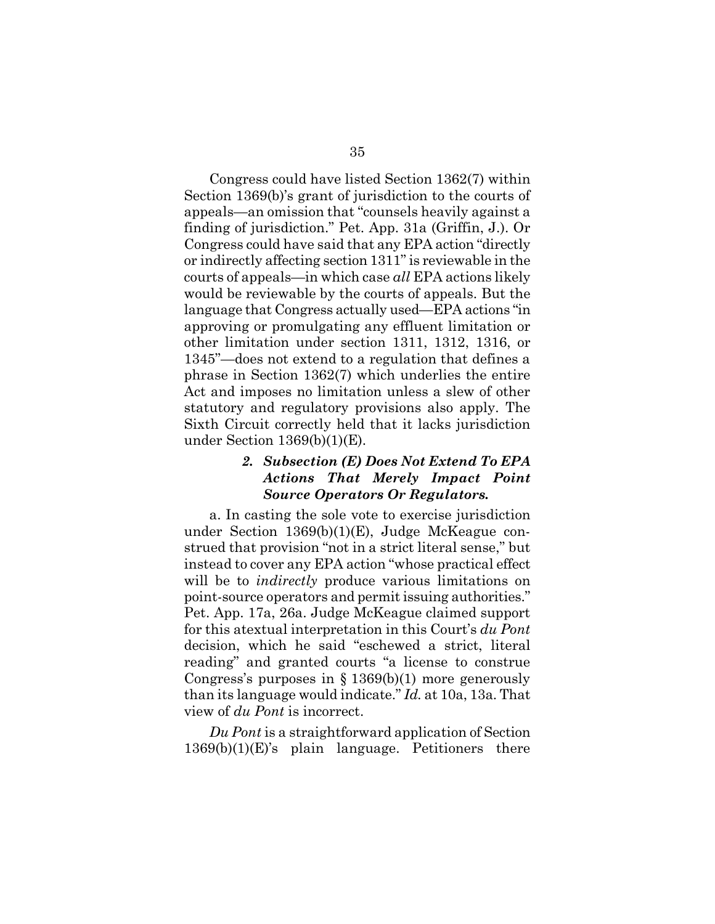Congress could have listed Section 1362(7) within Section 1369(b)'s grant of jurisdiction to the courts of appeals—an omission that "counsels heavily against a finding of jurisdiction." Pet. App. 31a (Griffin, J.). Or Congress could have said that any EPA action "directly or indirectly affecting section 1311" is reviewable in the courts of appeals—in which case *all* EPA actions likely would be reviewable by the courts of appeals. But the language that Congress actually used—EPA actions "in approving or promulgating any effluent limitation or other limitation under section 1311, 1312, 1316, or 1345"—does not extend to a regulation that defines a phrase in Section 1362(7) which underlies the entire Act and imposes no limitation unless a slew of other statutory and regulatory provisions also apply. The Sixth Circuit correctly held that it lacks jurisdiction under Section 1369(b)(1)(E).

### *2. Subsection (E) Does Not Extend To EPA Actions That Merely Impact Point Source Operators Or Regulators.*

a. In casting the sole vote to exercise jurisdiction under Section 1369(b)(1)(E), Judge McKeague construed that provision "not in a strict literal sense," but instead to cover any EPA action "whose practical effect will be to *indirectly* produce various limitations on point-source operators and permit issuing authorities." Pet. App. 17a, 26a. Judge McKeague claimed support for this atextual interpretation in this Court's *du Pont* decision, which he said "eschewed a strict, literal reading" and granted courts "a license to construe Congress's purposes in  $\S 1369(b)(1)$  more generously than its language would indicate." *Id.* at 10a, 13a. That view of *du Pont* is incorrect.

*Du Pont* is a straightforward application of Section 1369(b)(1)(E)'s plain language. Petitioners there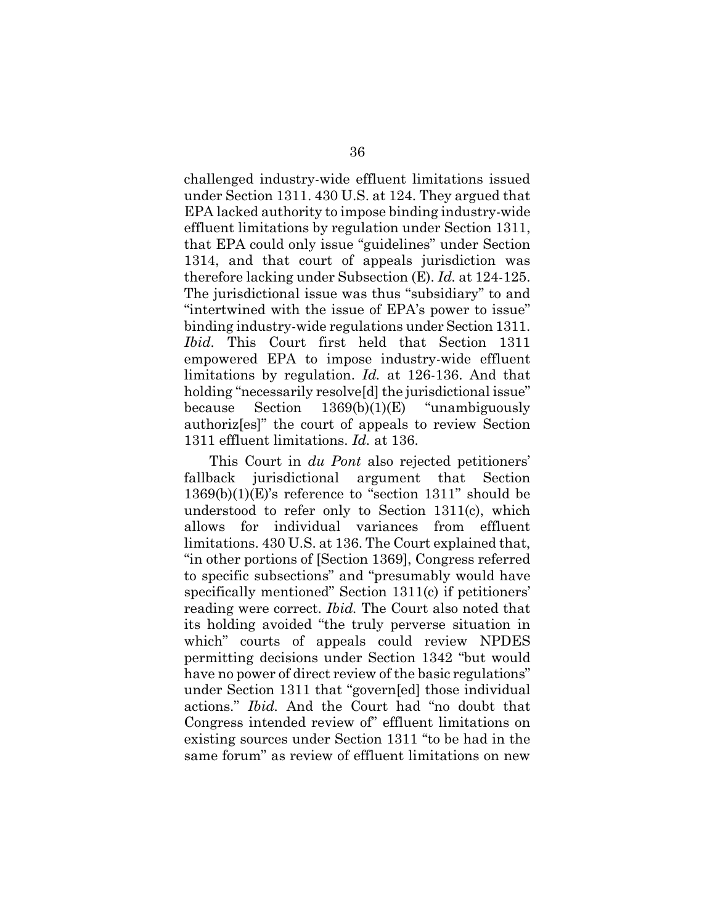challenged industry-wide effluent limitations issued under Section 1311. 430 U.S. at 124. They argued that EPA lacked authority to impose binding industry-wide effluent limitations by regulation under Section 1311, that EPA could only issue "guidelines" under Section 1314, and that court of appeals jurisdiction was therefore lacking under Subsection (E). *Id.* at 124-125. The jurisdictional issue was thus "subsidiary" to and "intertwined with the issue of EPA's power to issue" binding industry-wide regulations under Section 1311. *Ibid.* This Court first held that Section 1311 empowered EPA to impose industry-wide effluent limitations by regulation. *Id.* at 126-136. And that holding "necessarily resolve<sup>[d]</sup> the jurisdictional issue" because Section 1369(b)(1)(E) "unambiguously authoriz[es]" the court of appeals to review Section 1311 effluent limitations. *Id.* at 136.

This Court in *du Pont* also rejected petitioners' fallback jurisdictional argument that Section 1369(b)(1)(E)'s reference to "section 1311" should be understood to refer only to Section 1311(c), which allows for individual variances from effluent limitations. 430 U.S. at 136. The Court explained that, "in other portions of [Section 1369], Congress referred to specific subsections" and "presumably would have specifically mentioned" Section 1311(c) if petitioners' reading were correct. *Ibid.* The Court also noted that its holding avoided "the truly perverse situation in which" courts of appeals could review NPDES permitting decisions under Section 1342 "but would have no power of direct review of the basic regulations" under Section 1311 that "govern[ed] those individual actions." *Ibid.* And the Court had "no doubt that Congress intended review of" effluent limitations on existing sources under Section 1311 "to be had in the same forum" as review of effluent limitations on new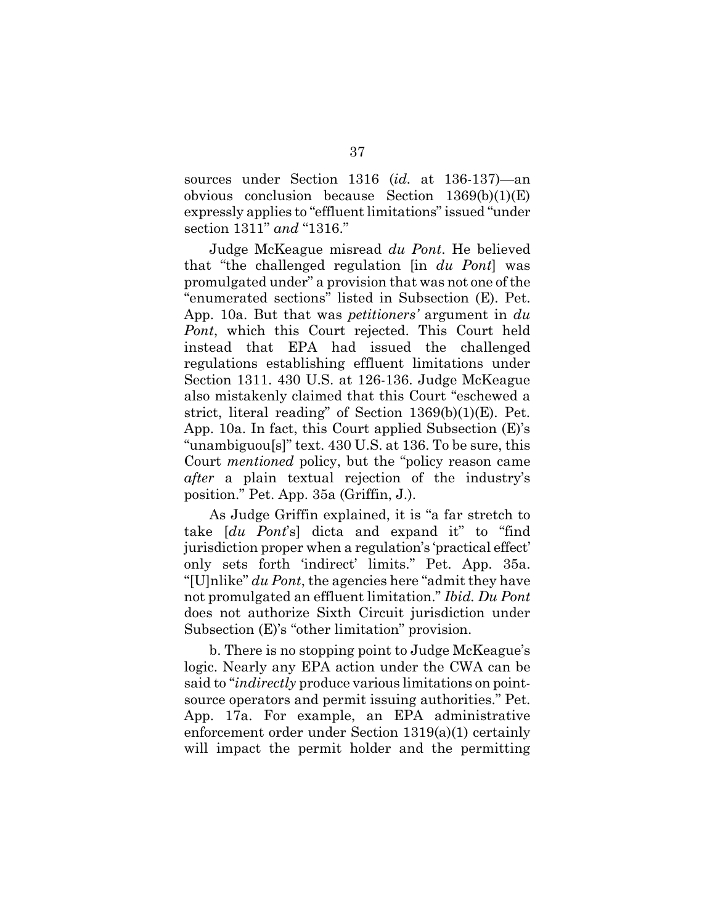sources under Section 1316 (*id.* at 136-137)—an obvious conclusion because Section 1369(b)(1)(E) expressly applies to "effluent limitations" issued "under section 1311" *and* "1316."

Judge McKeague misread *du Pont*. He believed that "the challenged regulation [in *du Pont*] was promulgated under" a provision that was not one of the "enumerated sections" listed in Subsection (E). Pet. App. 10a. But that was *petitioners'* argument in *du Pont*, which this Court rejected. This Court held instead that EPA had issued the challenged regulations establishing effluent limitations under Section 1311. 430 U.S. at 126-136. Judge McKeague also mistakenly claimed that this Court "eschewed a strict, literal reading" of Section 1369(b)(1)(E). Pet. App. 10a. In fact, this Court applied Subsection (E)'s "unambiguou[s]" text. 430 U.S. at 136. To be sure, this Court *mentioned* policy, but the "policy reason came *after* a plain textual rejection of the industry's position." Pet. App. 35a (Griffin, J.).

As Judge Griffin explained, it is "a far stretch to take [*du Pont*'s] dicta and expand it" to "find jurisdiction proper when a regulation's 'practical effect' only sets forth 'indirect' limits." Pet. App. 35a. "[U]nlike" *du Pont*, the agencies here "admit they have not promulgated an effluent limitation." *Ibid. Du Pont* does not authorize Sixth Circuit jurisdiction under Subsection (E)'s "other limitation" provision.

b. There is no stopping point to Judge McKeague's logic. Nearly any EPA action under the CWA can be said to "*indirectly* produce various limitations on pointsource operators and permit issuing authorities." Pet. App. 17a. For example, an EPA administrative enforcement order under Section 1319(a)(1) certainly will impact the permit holder and the permitting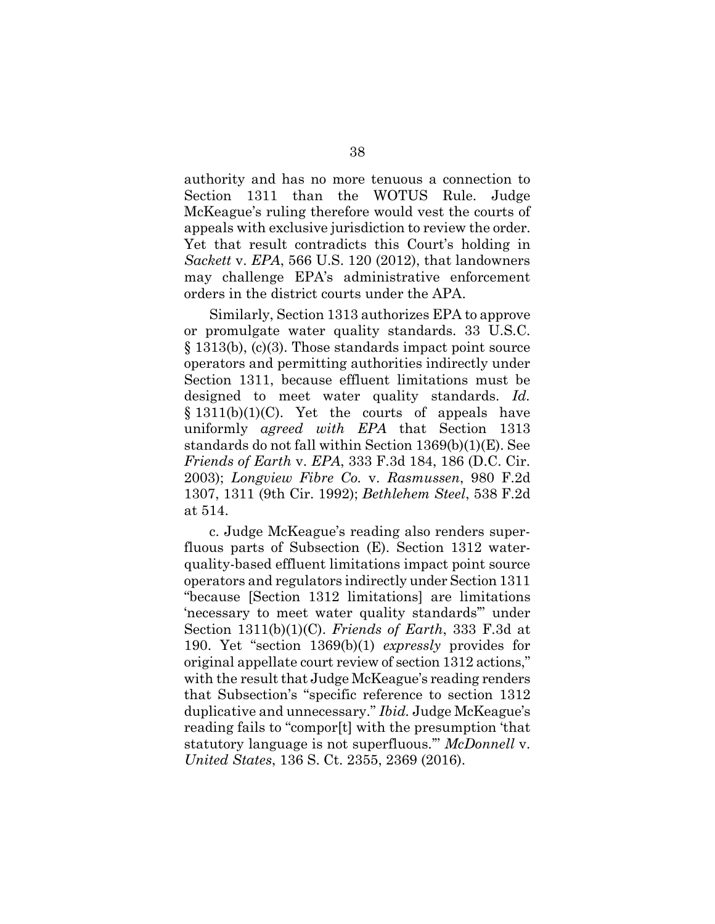authority and has no more tenuous a connection to Section 1311 than the WOTUS Rule. Judge McKeague's ruling therefore would vest the courts of appeals with exclusive jurisdiction to review the order. Yet that result contradicts this Court's holding in *Sackett* v. *EPA*, 566 U.S. 120 (2012), that landowners may challenge EPA's administrative enforcement orders in the district courts under the APA.

Similarly, Section 1313 authorizes EPA to approve or promulgate water quality standards. 33 U.S.C. § 1313(b), (c)(3). Those standards impact point source operators and permitting authorities indirectly under Section 1311, because effluent limitations must be designed to meet water quality standards. *Id.*  $§ 1311(b)(1)(C)$ . Yet the courts of appeals have uniformly *agreed with EPA* that Section 1313 standards do not fall within Section 1369(b)(1)(E). See *Friends of Earth* v. *EPA*, 333 F.3d 184, 186 (D.C. Cir. 2003); *Longview Fibre Co.* v. *Rasmussen*, 980 F.2d 1307, 1311 (9th Cir. 1992); *Bethlehem Steel*, 538 F.2d at 514.

c. Judge McKeague's reading also renders superfluous parts of Subsection (E). Section 1312 waterquality-based effluent limitations impact point source operators and regulators indirectly under Section 1311 "because [Section 1312 limitations] are limitations 'necessary to meet water quality standards'" under Section 1311(b)(1)(C). *Friends of Earth*, 333 F.3d at 190. Yet "section 1369(b)(1) *expressly* provides for original appellate court review of section 1312 actions," with the result that Judge McKeague's reading renders that Subsection's "specific reference to section 1312 duplicative and unnecessary." *Ibid.* Judge McKeague's reading fails to "compor[t] with the presumption 'that statutory language is not superfluous.'" *McDonnell* v. *United States*, 136 S. Ct. 2355, 2369 (2016).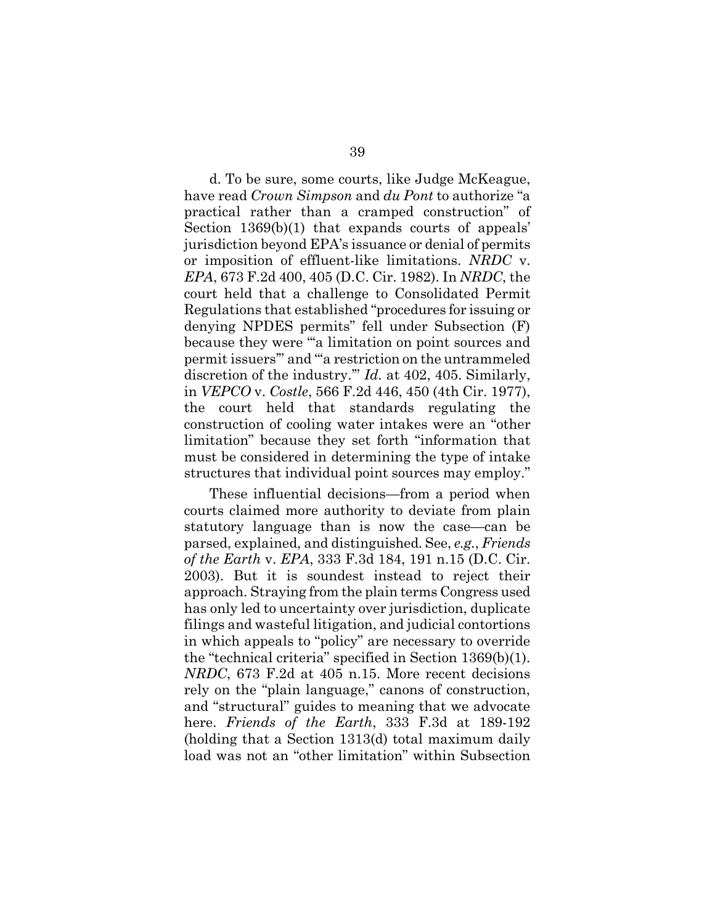d. To be sure, some courts, like Judge McKeague, have read *Crown Simpson* and *du Pont* to authorize "a practical rather than a cramped construction" of Section 1369(b)(1) that expands courts of appeals' jurisdiction beyond EPA's issuance or denial of permits or imposition of effluent-like limitations. *NRDC* v. *EPA*, 673 F.2d 400, 405 (D.C. Cir. 1982). In *NRDC*, the court held that a challenge to Consolidated Permit Regulations that established "procedures for issuing or denying NPDES permits" fell under Subsection (F) because they were "'a limitation on point sources and permit issuers'" and "'a restriction on the untrammeled discretion of the industry.'" *Id.* at 402, 405. Similarly, in *VEPCO* v. *Costle*, 566 F.2d 446, 450 (4th Cir. 1977), the court held that standards regulating the construction of cooling water intakes were an "other limitation" because they set forth "information that must be considered in determining the type of intake structures that individual point sources may employ."

These influential decisions—from a period when courts claimed more authority to deviate from plain statutory language than is now the case—can be parsed, explained, and distinguished. See, *e.g.*, *Friends of the Earth* v. *EPA*, 333 F.3d 184, 191 n.15 (D.C. Cir. 2003). But it is soundest instead to reject their approach. Straying from the plain terms Congress used has only led to uncertainty over jurisdiction, duplicate filings and wasteful litigation, and judicial contortions in which appeals to "policy" are necessary to override the "technical criteria" specified in Section 1369(b)(1). *NRDC*, 673 F.2d at 405 n.15. More recent decisions rely on the "plain language," canons of construction, and "structural" guides to meaning that we advocate here. *Friends of the Earth*, 333 F.3d at 189-192 (holding that a Section 1313(d) total maximum daily load was not an "other limitation" within Subsection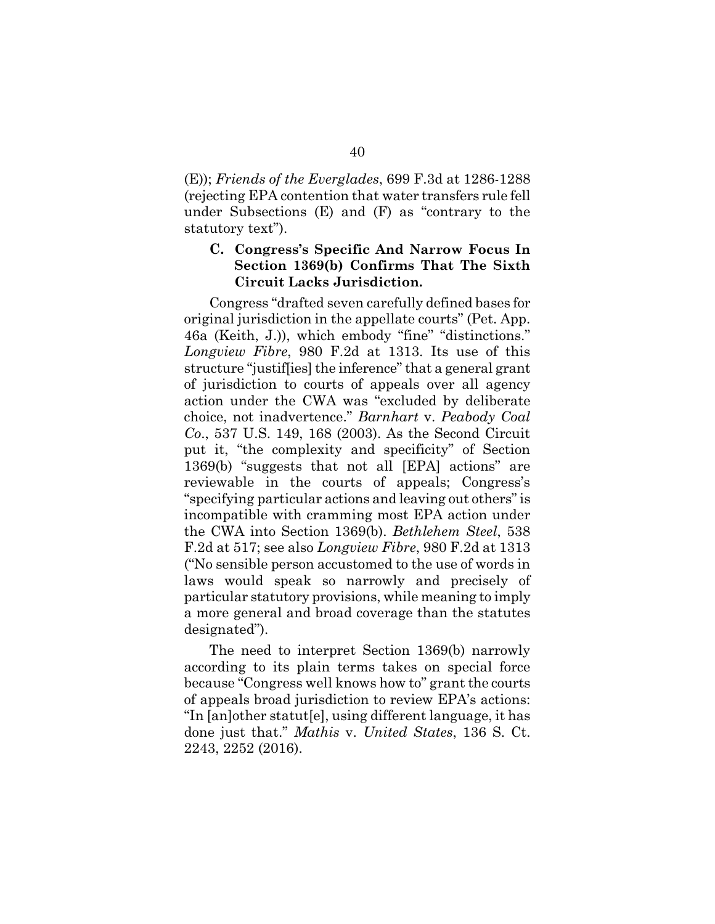(E)); *Friends of the Everglades*, 699 F.3d at 1286-1288 (rejecting EPA contention that water transfers rule fell under Subsections (E) and (F) as "contrary to the statutory text").

# **C. Congress's Specific And Narrow Focus In Section 1369(b) Confirms That The Sixth Circuit Lacks Jurisdiction.**

Congress "drafted seven carefully defined bases for original jurisdiction in the appellate courts" (Pet. App. 46a (Keith, J.)), which embody "fine" "distinctions." *Longview Fibre*, 980 F.2d at 1313. Its use of this structure "justif[ies] the inference" that a general grant of jurisdiction to courts of appeals over all agency action under the CWA was "excluded by deliberate choice, not inadvertence." *Barnhart* v. *Peabody Coal Co*., 537 U.S. 149, 168 (2003). As the Second Circuit put it, "the complexity and specificity" of Section 1369(b) "suggests that not all [EPA] actions" are reviewable in the courts of appeals; Congress's "specifying particular actions and leaving out others" is incompatible with cramming most EPA action under the CWA into Section 1369(b). *Bethlehem Steel*, 538 F.2d at 517; see also *Longview Fibre*, 980 F.2d at 1313 ("No sensible person accustomed to the use of words in laws would speak so narrowly and precisely of particular statutory provisions, while meaning to imply a more general and broad coverage than the statutes designated").

The need to interpret Section 1369(b) narrowly according to its plain terms takes on special force because "Congress well knows how to" grant the courts of appeals broad jurisdiction to review EPA's actions: "In [an]other statut[e], using different language, it has done just that." *Mathis* v. *United States*, 136 S. Ct. 2243, 2252 (2016).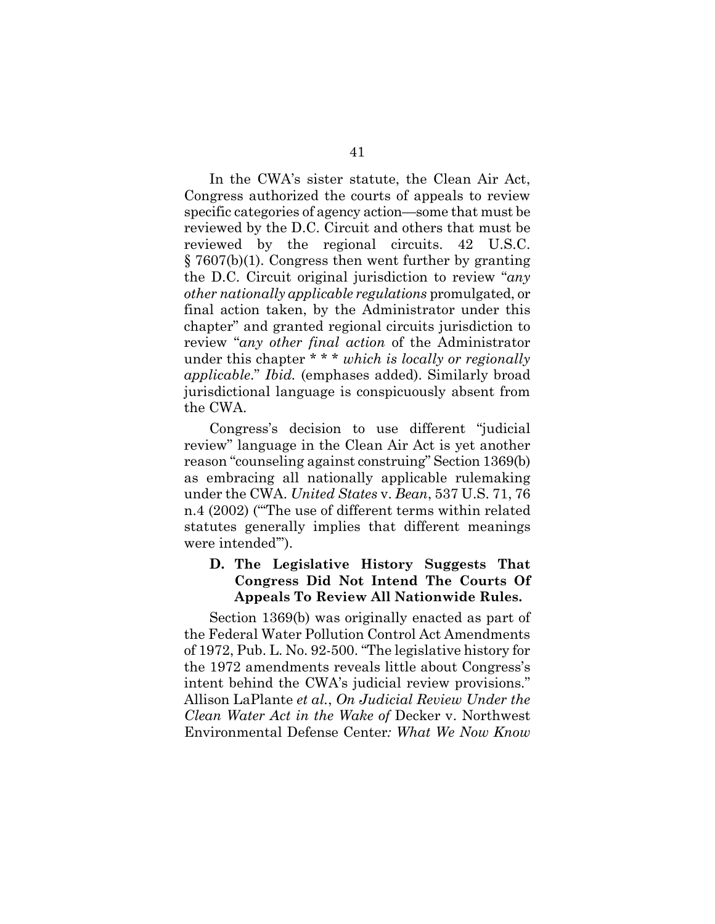In the CWA's sister statute, the Clean Air Act, Congress authorized the courts of appeals to review specific categories of agency action—some that must be reviewed by the D.C. Circuit and others that must be reviewed by the regional circuits. 42 U.S.C. § 7607(b)(1). Congress then went further by granting the D.C. Circuit original jurisdiction to review "*any other nationally applicable regulations* promulgated, or final action taken, by the Administrator under this chapter" and granted regional circuits jurisdiction to review "*any other final action* of the Administrator under this chapter \* \* \* *which is locally or regionally applicable*." *Ibid.* (emphases added). Similarly broad jurisdictional language is conspicuously absent from the CWA.

Congress's decision to use different "judicial review" language in the Clean Air Act is yet another reason "counseling against construing" Section 1369(b) as embracing all nationally applicable rulemaking under the CWA. *United States* v. *Bean*, 537 U.S. 71, 76 n.4 (2002) ("'The use of different terms within related statutes generally implies that different meanings were intended'").

### **D. The Legislative History Suggests That Congress Did Not Intend The Courts Of Appeals To Review All Nationwide Rules.**

Section 1369(b) was originally enacted as part of the Federal Water Pollution Control Act Amendments of 1972, Pub. L. No. 92-500. "The legislative history for the 1972 amendments reveals little about Congress's intent behind the CWA's judicial review provisions." Allison LaPlante *et al.*, *On Judicial Review Under the Clean Water Act in the Wake of* Decker v. Northwest Environmental Defense Center*: What We Now Know*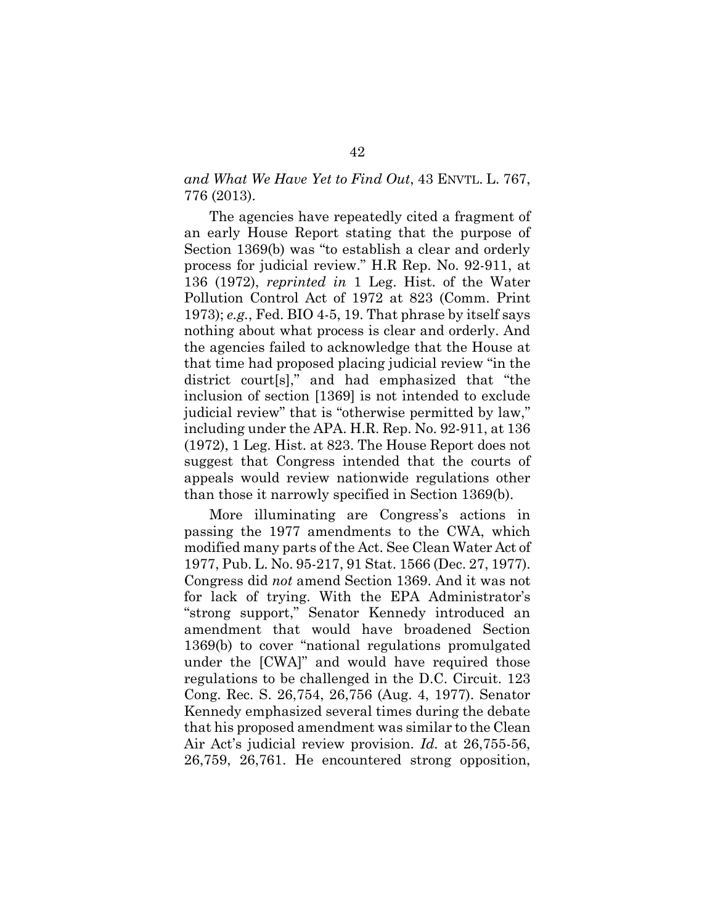*and What We Have Yet to Find Out*, 43 ENVTL. L. 767, 776 (2013).

The agencies have repeatedly cited a fragment of an early House Report stating that the purpose of Section 1369(b) was "to establish a clear and orderly process for judicial review." H.R Rep. No. 92-911, at 136 (1972), *reprinted in* 1 Leg. Hist. of the Water Pollution Control Act of 1972 at 823 (Comm. Print 1973); *e.g.*, Fed. BIO 4-5, 19. That phrase by itself says nothing about what process is clear and orderly. And the agencies failed to acknowledge that the House at that time had proposed placing judicial review "in the district court[s]," and had emphasized that "the inclusion of section [1369] is not intended to exclude judicial review" that is "otherwise permitted by law," including under the APA. H.R. Rep. No. 92-911, at 136 (1972), 1 Leg. Hist. at 823. The House Report does not suggest that Congress intended that the courts of appeals would review nationwide regulations other than those it narrowly specified in Section 1369(b).

More illuminating are Congress's actions in passing the 1977 amendments to the CWA, which modified many parts of the Act. See Clean Water Act of 1977, Pub. L. No. 95-217, 91 Stat. 1566 (Dec. 27, 1977). Congress did *not* amend Section 1369. And it was not for lack of trying. With the EPA Administrator's "strong support," Senator Kennedy introduced an amendment that would have broadened Section 1369(b) to cover "national regulations promulgated under the [CWA]" and would have required those regulations to be challenged in the D.C. Circuit. 123 Cong. Rec. S. 26,754, 26,756 (Aug. 4, 1977). Senator Kennedy emphasized several times during the debate that his proposed amendment was similar to the Clean Air Act's judicial review provision. *Id.* at 26,755-56, 26,759, 26,761. He encountered strong opposition,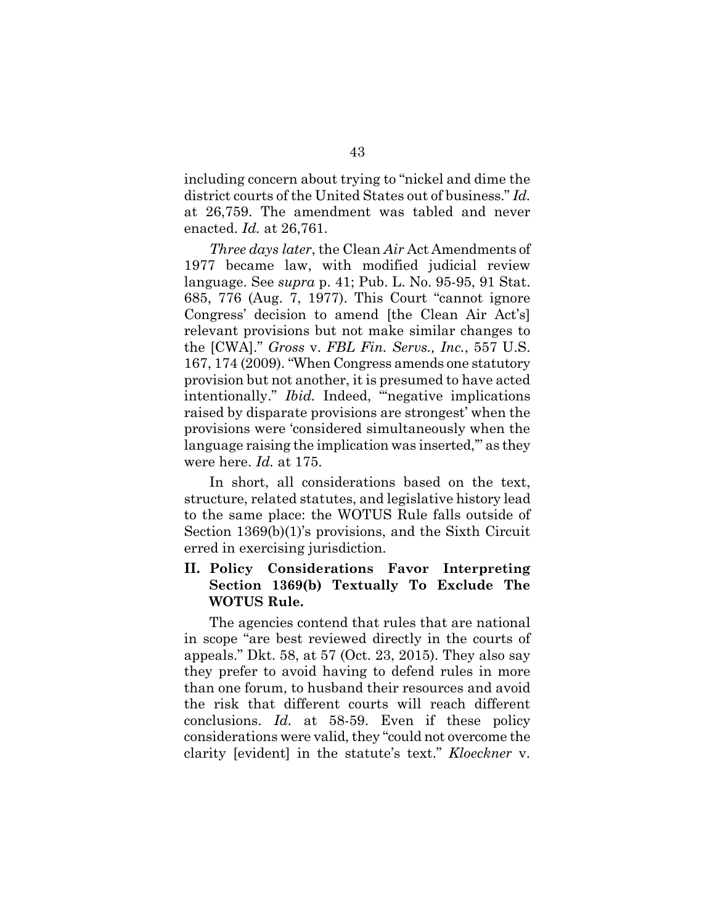including concern about trying to "nickel and dime the district courts of the United States out of business." *Id.* at 26,759. The amendment was tabled and never enacted. *Id.* at 26,761.

*Three days later*, the Clean *Air* Act Amendments of 1977 became law, with modified judicial review language. See *supra* p. 41; Pub. L. No. 95-95, 91 Stat. 685, 776 (Aug. 7, 1977). This Court "cannot ignore Congress' decision to amend [the Clean Air Act's] relevant provisions but not make similar changes to the [CWA]." *Gross* v. *FBL Fin. Servs., Inc.*, 557 U.S. 167, 174 (2009). "When Congress amends one statutory provision but not another, it is presumed to have acted intentionally." *Ibid.* Indeed, "negative implications raised by disparate provisions are strongest' when the provisions were 'considered simultaneously when the language raising the implication was inserted," as they were here. *Id.* at 175.

In short, all considerations based on the text, structure, related statutes, and legislative history lead to the same place: the WOTUS Rule falls outside of Section 1369(b)(1)'s provisions, and the Sixth Circuit erred in exercising jurisdiction.

# **II. Policy Considerations Favor Interpreting Section 1369(b) Textually To Exclude The WOTUS Rule.**

The agencies contend that rules that are national in scope "are best reviewed directly in the courts of appeals." Dkt. 58, at 57 (Oct. 23, 2015). They also say they prefer to avoid having to defend rules in more than one forum, to husband their resources and avoid the risk that different courts will reach different conclusions. *Id.* at 58-59. Even if these policy considerations were valid, they "could not overcome the clarity [evident] in the statute's text." *Kloeckner* v.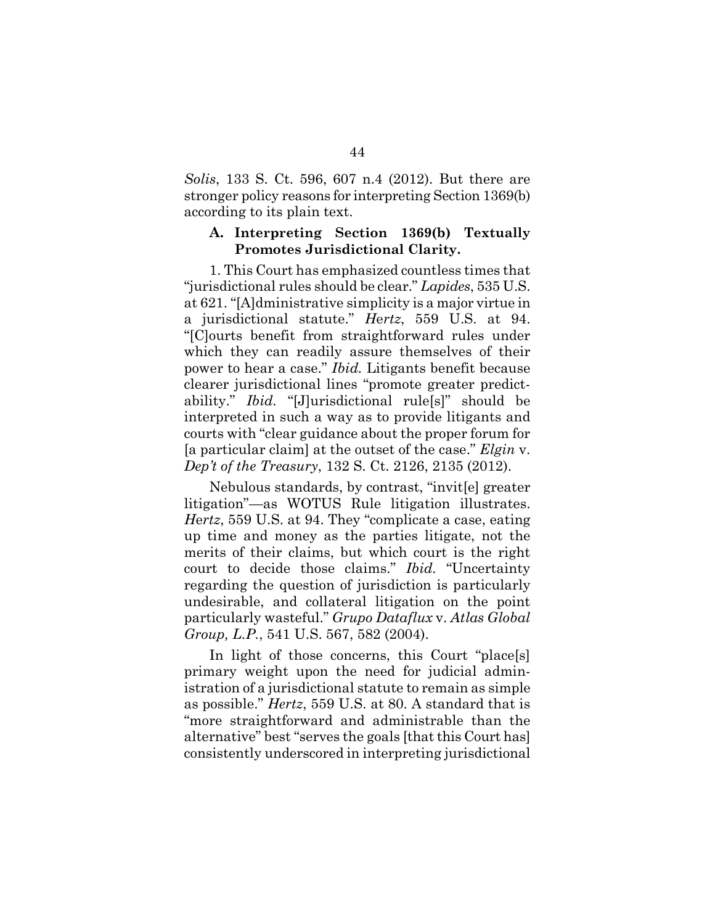*Solis*, 133 S. Ct. 596, 607 n.4 (2012). But there are stronger policy reasons for interpreting Section 1369(b) according to its plain text.

### **A. Interpreting Section 1369(b) Textually Promotes Jurisdictional Clarity.**

1. This Court has emphasized countless times that "jurisdictional rules should be clear." *Lapides*, 535 U.S. at 621. "[A]dministrative simplicity is a major virtue in a jurisdictional statute." *H*e*rtz*, 559 U.S. at 94. "[C]ourts benefit from straightforward rules under which they can readily assure themselves of their power to hear a case." *Ibid.* Litigants benefit because clearer jurisdictional lines "promote greater predictability." *Ibid.* "[J]urisdictional rule[s]" should be interpreted in such a way as to provide litigants and courts with "clear guidance about the proper forum for [a particular claim] at the outset of the case." *Elgin* v. *Dep't of the Treasury*, 132 S. Ct. 2126, 2135 (2012).

Nebulous standards, by contrast, "invit[e] greater litigation"—as WOTUS Rule litigation illustrates. *H*e*rtz*, 559 U.S. at 94. They "complicate a case, eating up time and money as the parties litigate, not the merits of their claims, but which court is the right court to decide those claims." *Ibid.* "Uncertainty regarding the question of jurisdiction is particularly undesirable, and collateral litigation on the point particularly wasteful." *Grupo Dataflux* v. *Atlas Global Group, L.P.*, 541 U.S. 567, 582 (2004).

In light of those concerns, this Court "place[s] primary weight upon the need for judicial administration of a jurisdictional statute to remain as simple as possible." *Hertz*, 559 U.S. at 80. A standard that is "more straightforward and administrable than the alternative" best "serves the goals [that this Court has] consistently underscored in interpreting jurisdictional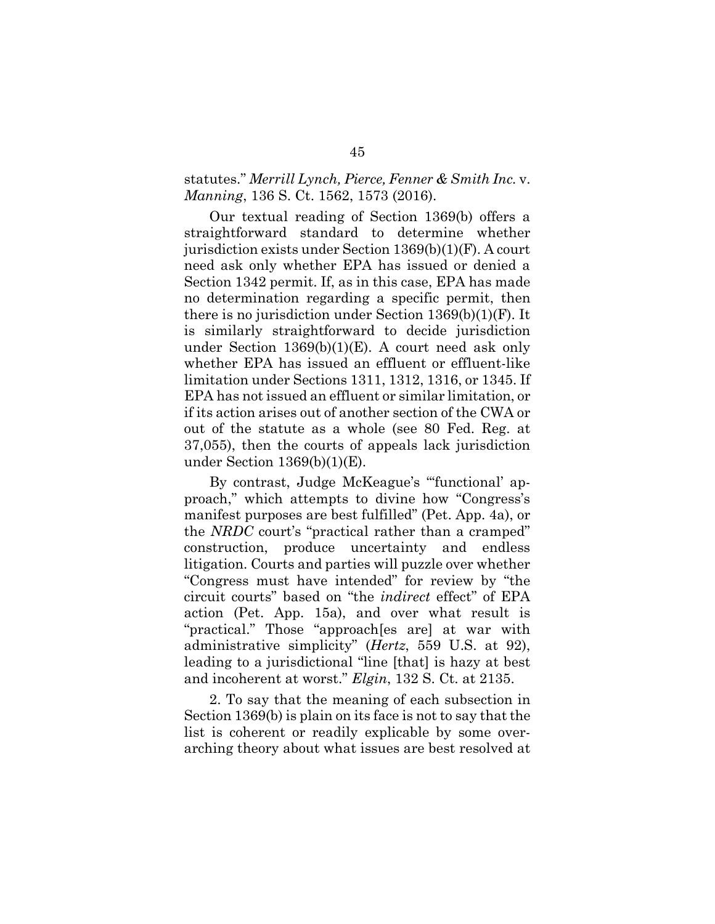### statutes." *Merrill Lynch, Pierce, Fenner & Smith Inc.* v. *Manning*, 136 S. Ct. 1562, 1573 (2016).

Our textual reading of Section 1369(b) offers a straightforward standard to determine whether jurisdiction exists under Section 1369(b)(1)(F). A court need ask only whether EPA has issued or denied a Section 1342 permit. If, as in this case, EPA has made no determination regarding a specific permit, then there is no jurisdiction under Section 1369(b)(1)(F). It is similarly straightforward to decide jurisdiction under Section 1369(b)(1)(E). A court need ask only whether EPA has issued an effluent or effluent-like limitation under Sections 1311, 1312, 1316, or 1345. If EPA has not issued an effluent or similar limitation, or if its action arises out of another section of the CWA or out of the statute as a whole (see 80 Fed. Reg. at 37,055), then the courts of appeals lack jurisdiction under Section 1369(b)(1)(E).

By contrast, Judge McKeague's "'functional' approach," which attempts to divine how "Congress's manifest purposes are best fulfilled" (Pet. App. 4a), or the *NRDC* court's "practical rather than a cramped" construction, produce uncertainty and endless litigation. Courts and parties will puzzle over whether "Congress must have intended" for review by "the circuit courts" based on "the *indirect* effect" of EPA action (Pet. App. 15a), and over what result is "practical." Those "approach[es are] at war with administrative simplicity" (*Hertz*, 559 U.S. at 92), leading to a jurisdictional "line [that] is hazy at best and incoherent at worst." *Elgin*, 132 S. Ct. at 2135.

2. To say that the meaning of each subsection in Section 1369(b) is plain on its face is not to say that the list is coherent or readily explicable by some overarching theory about what issues are best resolved at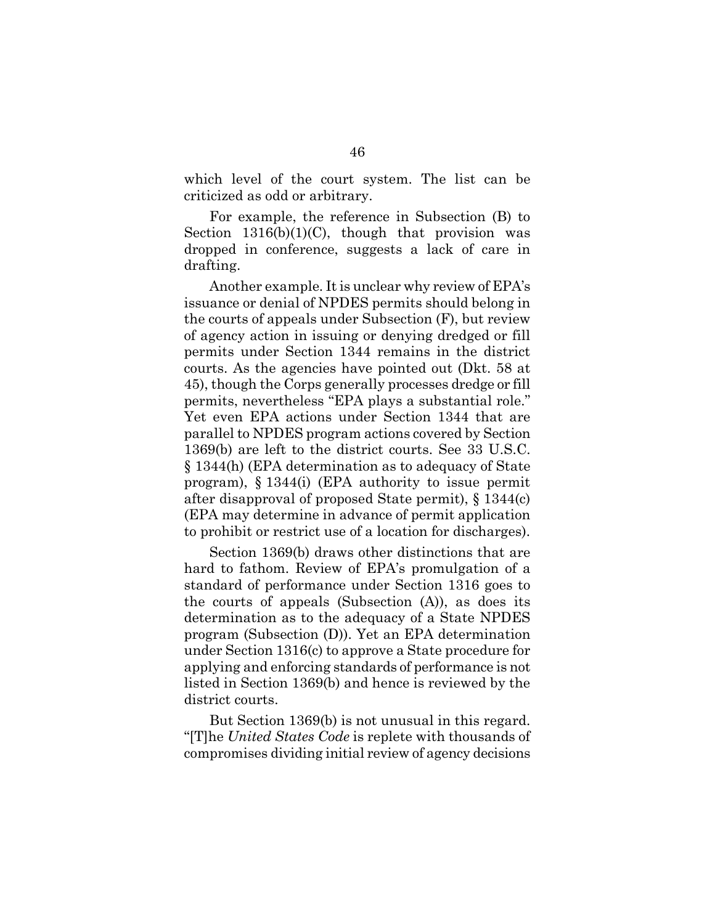which level of the court system. The list can be criticized as odd or arbitrary.

For example, the reference in Subsection (B) to Section  $1316(b)(1)(C)$ , though that provision was dropped in conference, suggests a lack of care in drafting.

Another example. It is unclear why review of EPA's issuance or denial of NPDES permits should belong in the courts of appeals under Subsection (F), but review of agency action in issuing or denying dredged or fill permits under Section 1344 remains in the district courts. As the agencies have pointed out (Dkt. 58 at 45), though the Corps generally processes dredge or fill permits, nevertheless "EPA plays a substantial role." Yet even EPA actions under Section 1344 that are parallel to NPDES program actions covered by Section 1369(b) are left to the district courts. See 33 U.S.C. § 1344(h) (EPA determination as to adequacy of State program), § 1344(i) (EPA authority to issue permit after disapproval of proposed State permit), § 1344(c) (EPA may determine in advance of permit application to prohibit or restrict use of a location for discharges).

Section 1369(b) draws other distinctions that are hard to fathom. Review of EPA's promulgation of a standard of performance under Section 1316 goes to the courts of appeals (Subsection (A)), as does its determination as to the adequacy of a State NPDES program (Subsection (D)). Yet an EPA determination under Section 1316(c) to approve a State procedure for applying and enforcing standards of performance is not listed in Section 1369(b) and hence is reviewed by the district courts.

But Section 1369(b) is not unusual in this regard. "[T]he *United States Code* is replete with thousands of compromises dividing initial review of agency decisions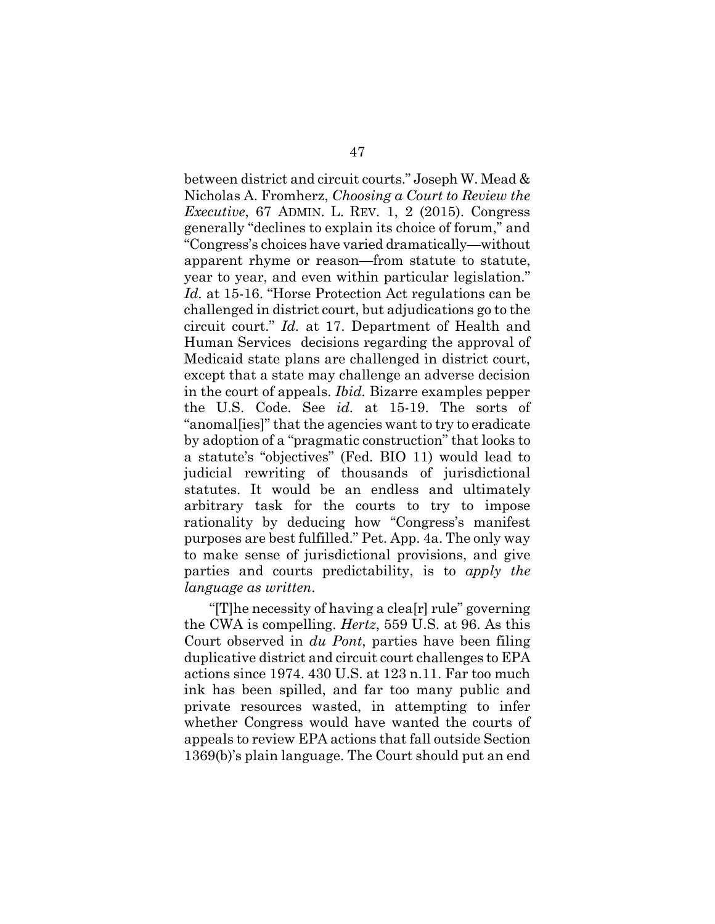between district and circuit courts." Joseph W. Mead & Nicholas A. Fromherz, *Choosing a Court to Review the Executive*, 67 ADMIN. L. REV. 1, 2 (2015). Congress generally "declines to explain its choice of forum," and "Congress's choices have varied dramatically—without apparent rhyme or reason—from statute to statute, year to year, and even within particular legislation." *Id.* at 15-16. "Horse Protection Act regulations can be challenged in district court, but adjudications go to the circuit court." *Id.* at 17. Department of Health and Human Services decisions regarding the approval of Medicaid state plans are challenged in district court, except that a state may challenge an adverse decision in the court of appeals. *Ibid.* Bizarre examples pepper the U.S. Code. See *id.* at 15-19. The sorts of "anomal[ies]" that the agencies want to try to eradicate by adoption of a "pragmatic construction" that looks to a statute's "objectives" (Fed. BIO 11) would lead to judicial rewriting of thousands of jurisdictional statutes. It would be an endless and ultimately arbitrary task for the courts to try to impose rationality by deducing how "Congress's manifest purposes are best fulfilled." Pet. App. 4a. The only way to make sense of jurisdictional provisions, and give parties and courts predictability, is to *apply the language as written*.

"[T]he necessity of having a clea[r] rule" governing the CWA is compelling. *Hertz*, 559 U.S. at 96. As this Court observed in *du Pont*, parties have been filing duplicative district and circuit court challenges to EPA actions since 1974. 430 U.S. at 123 n.11. Far too much ink has been spilled, and far too many public and private resources wasted, in attempting to infer whether Congress would have wanted the courts of appeals to review EPA actions that fall outside Section 1369(b)'s plain language. The Court should put an end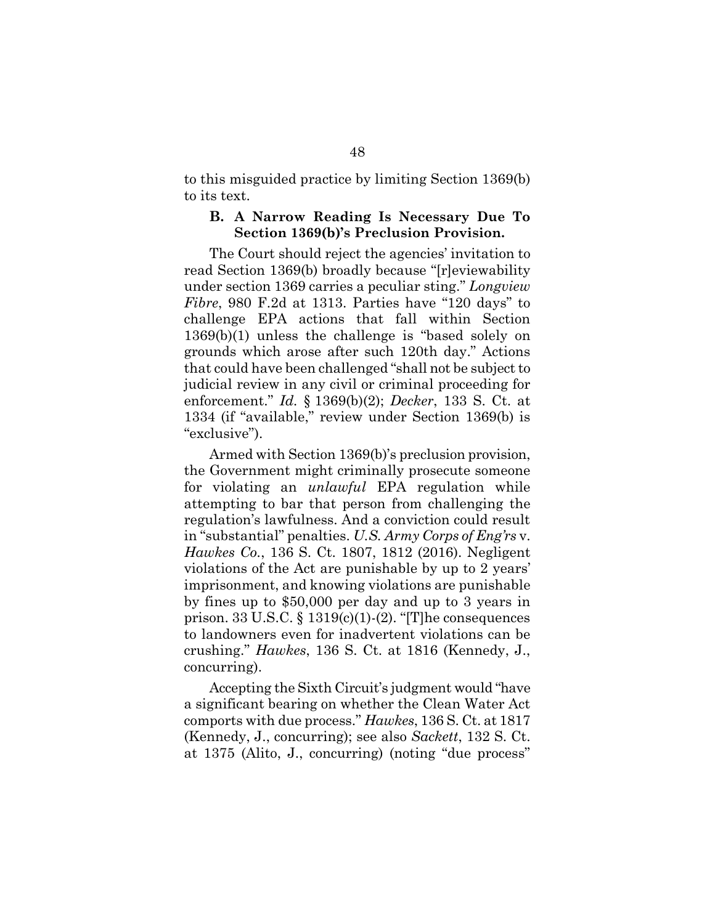to this misguided practice by limiting Section 1369(b) to its text.

#### **B. A Narrow Reading Is Necessary Due To Section 1369(b)'s Preclusion Provision.**

The Court should reject the agencies' invitation to read Section 1369(b) broadly because "[r]eviewability under section 1369 carries a peculiar sting." *Longview Fibre*, 980 F.2d at 1313. Parties have "120 days" to challenge EPA actions that fall within Section 1369(b)(1) unless the challenge is "based solely on grounds which arose after such 120th day." Actions that could have been challenged "shall not be subject to judicial review in any civil or criminal proceeding for enforcement." *Id.* § 1369(b)(2); *Decker*, 133 S. Ct. at 1334 (if "available," review under Section 1369(b) is "exclusive").

Armed with Section 1369(b)'s preclusion provision, the Government might criminally prosecute someone for violating an *unlawful* EPA regulation while attempting to bar that person from challenging the regulation's lawfulness. And a conviction could result in "substantial" penalties. *U.S. Army Corps of Eng'rs* v. *Hawkes Co.*, 136 S. Ct. 1807, 1812 (2016). Negligent violations of the Act are punishable by up to 2 years' imprisonment, and knowing violations are punishable by fines up to \$50,000 per day and up to 3 years in prison. 33 U.S.C.  $\S 1319(c)(1)-(2)$ . "[T]he consequences to landowners even for inadvertent violations can be crushing." *Hawkes*, 136 S. Ct. at 1816 (Kennedy, J., concurring).

Accepting the Sixth Circuit's judgment would "have a significant bearing on whether the Clean Water Act comports with due process." *Hawkes*, 136 S. Ct. at 1817 (Kennedy, J., concurring); see also *Sackett*, 132 S. Ct. at 1375 (Alito, J., concurring) (noting "due process"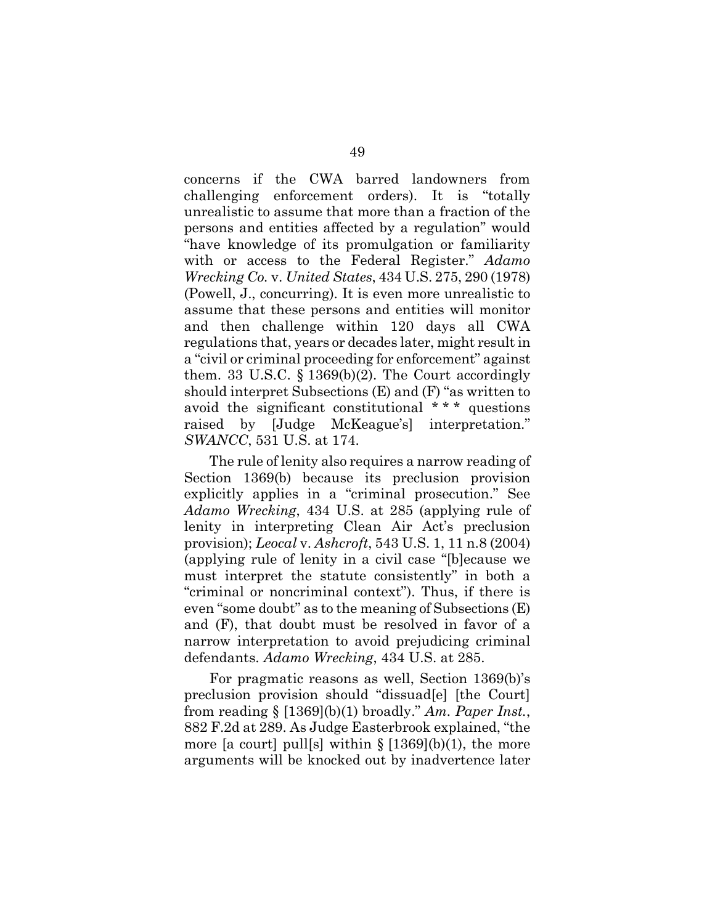concerns if the CWA barred landowners from challenging enforcement orders). It is "totally unrealistic to assume that more than a fraction of the persons and entities affected by a regulation" would "have knowledge of its promulgation or familiarity with or access to the Federal Register." *Adamo Wrecking Co.* v. *United States*, 434 U.S. 275, 290 (1978) (Powell, J., concurring). It is even more unrealistic to assume that these persons and entities will monitor and then challenge within 120 days all CWA regulations that, years or decades later, might result in a "civil or criminal proceeding for enforcement" against them. 33 U.S.C.  $\S 1369(b)(2)$ . The Court accordingly should interpret Subsections (E) and (F) "as written to avoid the significant constitutional \* \* \* questions raised by [Judge McKeague's] interpretation." *SWANCC*, 531 U.S. at 174.

The rule of lenity also requires a narrow reading of Section 1369(b) because its preclusion provision explicitly applies in a "criminal prosecution." See *Adamo Wrecking*, 434 U.S. at 285 (applying rule of lenity in interpreting Clean Air Act's preclusion provision); *Leocal* v. *Ashcroft*, 543 U.S. 1, 11 n.8 (2004) (applying rule of lenity in a civil case "[b]ecause we must interpret the statute consistently" in both a "criminal or noncriminal context"). Thus, if there is even "some doubt" as to the meaning of Subsections (E) and (F), that doubt must be resolved in favor of a narrow interpretation to avoid prejudicing criminal defendants. *Adamo Wrecking*, 434 U.S. at 285.

For pragmatic reasons as well, Section 1369(b)'s preclusion provision should "dissuad[e] [the Court] from reading § [1369](b)(1) broadly." *Am. Paper Inst.*, 882 F.2d at 289. As Judge Easterbrook explained, "the more [a court] pull[s] within  $\S$  [1369](b)(1), the more arguments will be knocked out by inadvertence later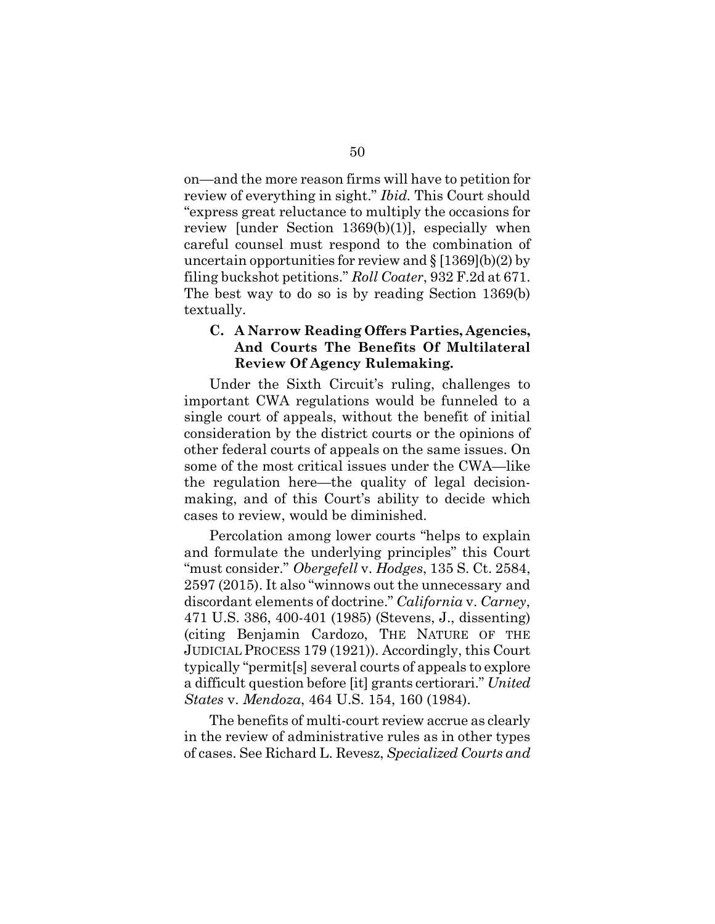on—and the more reason firms will have to petition for review of everything in sight." *Ibid.* This Court should "express great reluctance to multiply the occasions for review [under Section 1369(b)(1)], especially when careful counsel must respond to the combination of uncertain opportunities for review and  $\S$  [1369](b)(2) by filing buckshot petitions." *Roll Coater*, 932 F.2d at 671. The best way to do so is by reading Section 1369(b) textually.

### **C. A Narrow Reading Offers Parties, Agencies, And Courts The Benefits Of Multilateral Review Of Agency Rulemaking.**

Under the Sixth Circuit's ruling, challenges to important CWA regulations would be funneled to a single court of appeals, without the benefit of initial consideration by the district courts or the opinions of other federal courts of appeals on the same issues. On some of the most critical issues under the CWA—like the regulation here—the quality of legal decisionmaking, and of this Court's ability to decide which cases to review, would be diminished.

Percolation among lower courts "helps to explain and formulate the underlying principles" this Court "must consider." *Obergefell* v. *Hodges*, 135 S. Ct. 2584, 2597 (2015). It also "winnows out the unnecessary and discordant elements of doctrine." *California* v. *Carney*, 471 U.S. 386, 400-401 (1985) (Stevens, J., dissenting) (citing Benjamin Cardozo, THE NATURE OF THE JUDICIAL PROCESS 179 (1921)). Accordingly, this Court typically "permit[s] several courts of appeals to explore a difficult question before [it] grants certiorari." *United States* v. *Mendoza*, 464 U.S. 154, 160 (1984).

The benefits of multi-court review accrue as clearly in the review of administrative rules as in other types of cases. See Richard L. Revesz, *Specialized Courts and*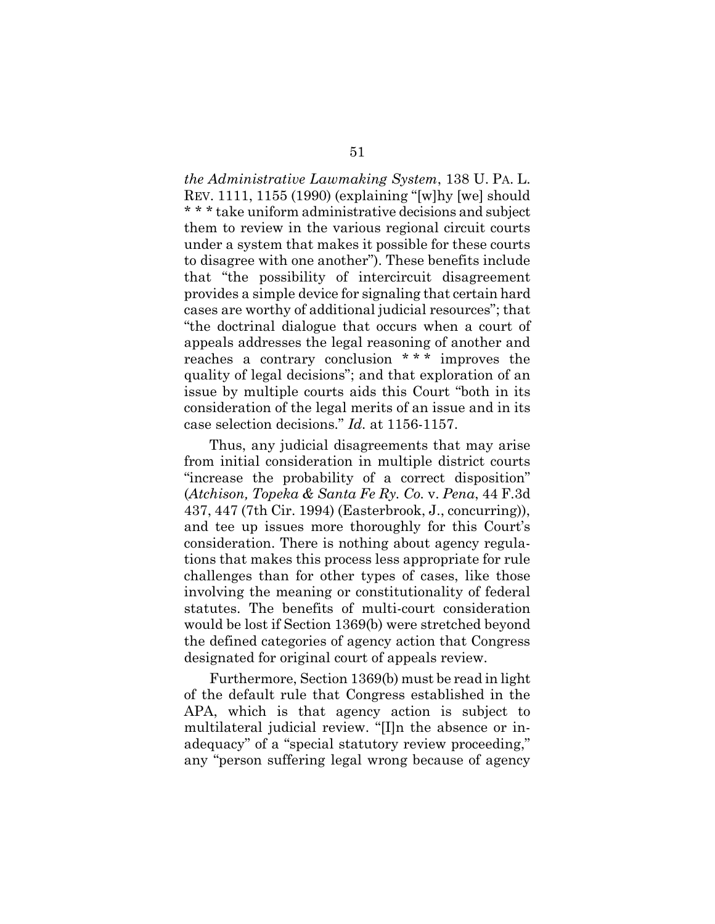*the Administrative Lawmaking System*, 138 U. PA. L. REV. 1111, 1155 (1990) (explaining "[w]hy [we] should \* \* \* take uniform administrative decisions and subject them to review in the various regional circuit courts under a system that makes it possible for these courts to disagree with one another"). These benefits include that "the possibility of intercircuit disagreement provides a simple device for signaling that certain hard cases are worthy of additional judicial resources"; that "the doctrinal dialogue that occurs when a court of appeals addresses the legal reasoning of another and reaches a contrary conclusion \* \* \* improves the quality of legal decisions"; and that exploration of an issue by multiple courts aids this Court "both in its consideration of the legal merits of an issue and in its case selection decisions." *Id.* at 1156-1157.

Thus, any judicial disagreements that may arise from initial consideration in multiple district courts "increase the probability of a correct disposition" (*Atchison, Topeka & Santa Fe Ry. Co.* v. *Pena*, 44 F.3d 437, 447 (7th Cir. 1994) (Easterbrook, J., concurring)), and tee up issues more thoroughly for this Court's consideration. There is nothing about agency regulations that makes this process less appropriate for rule challenges than for other types of cases, like those involving the meaning or constitutionality of federal statutes. The benefits of multi-court consideration would be lost if Section 1369(b) were stretched beyond the defined categories of agency action that Congress designated for original court of appeals review.

Furthermore, Section 1369(b) must be read in light of the default rule that Congress established in the APA, which is that agency action is subject to multilateral judicial review. "[I]n the absence or inadequacy" of a "special statutory review proceeding," any "person suffering legal wrong because of agency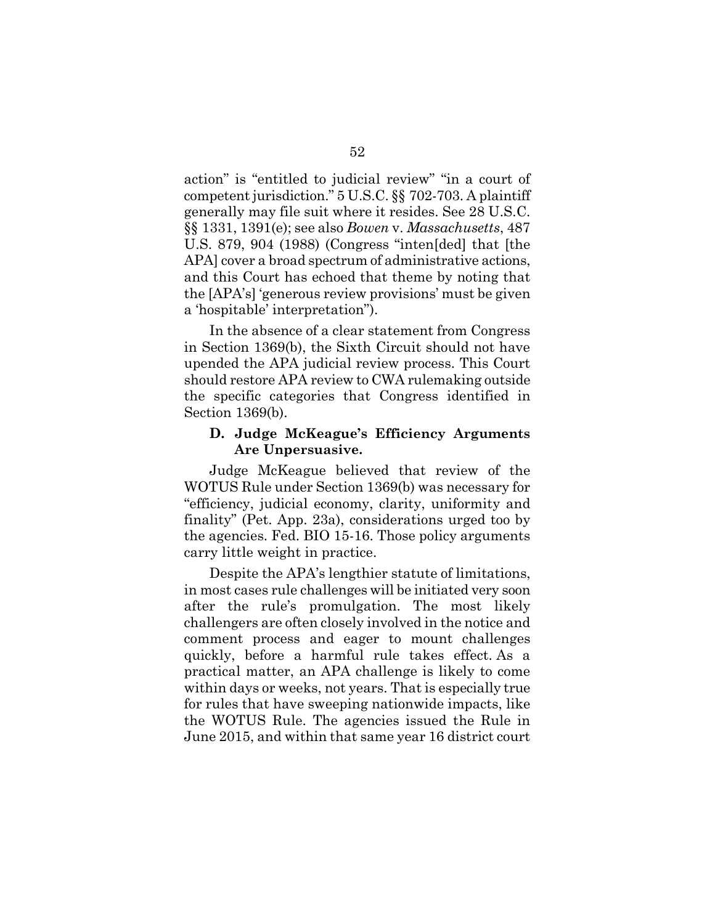action" is "entitled to judicial review" "in a court of competent jurisdiction." 5 U.S.C. §§ 702-703. A plaintiff generally may file suit where it resides. See 28 U.S.C. §§ 1331, 1391(e); see also *Bowen* v. *Massachusetts*, 487 U.S. 879, 904 (1988) (Congress "inten[ded] that [the APA] cover a broad spectrum of administrative actions, and this Court has echoed that theme by noting that the [APA's] 'generous review provisions' must be given a 'hospitable' interpretation").

In the absence of a clear statement from Congress in Section 1369(b), the Sixth Circuit should not have upended the APA judicial review process. This Court should restore APA review to CWA rulemaking outside the specific categories that Congress identified in Section 1369(b).

### **D. Judge McKeague's Efficiency Arguments Are Unpersuasive.**

Judge McKeague believed that review of the WOTUS Rule under Section 1369(b) was necessary for "efficiency, judicial economy, clarity, uniformity and finality" (Pet. App. 23a), considerations urged too by the agencies. Fed. BIO 15-16. Those policy arguments carry little weight in practice.

Despite the APA's lengthier statute of limitations, in most cases rule challenges will be initiated very soon after the rule's promulgation. The most likely challengers are often closely involved in the notice and comment process and eager to mount challenges quickly, before a harmful rule takes effect. As a practical matter, an APA challenge is likely to come within days or weeks, not years. That is especially true for rules that have sweeping nationwide impacts, like the WOTUS Rule. The agencies issued the Rule in June 2015, and within that same year 16 district court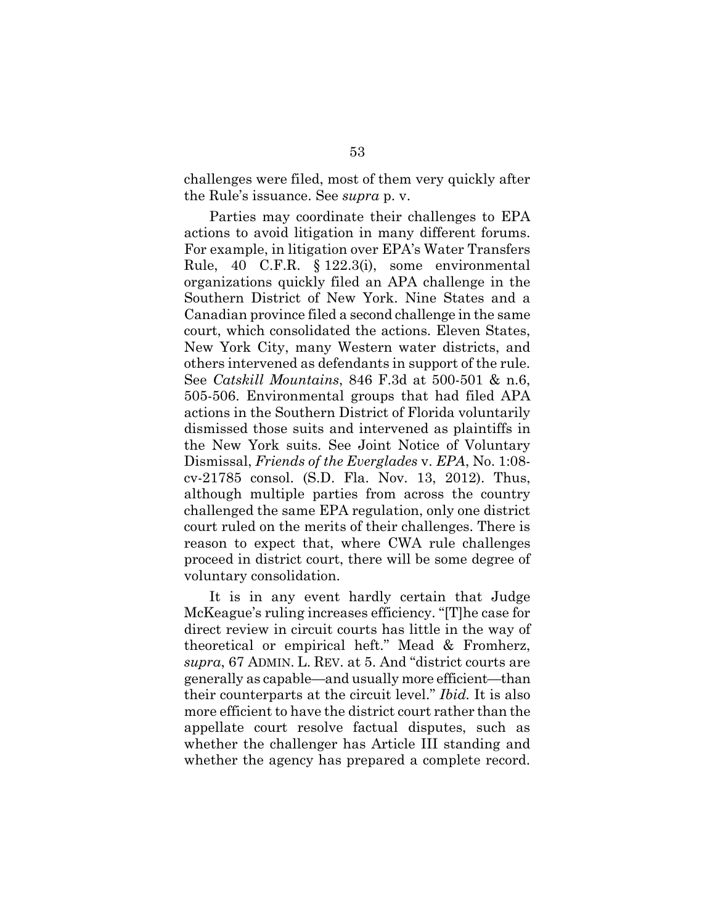challenges were filed, most of them very quickly after the Rule's issuance. See *supra* p. v.

Parties may coordinate their challenges to EPA actions to avoid litigation in many different forums. For example, in litigation over EPA's Water Transfers Rule, 40 C.F.R. § 122.3(i), some environmental organizations quickly filed an APA challenge in the Southern District of New York. Nine States and a Canadian province filed a second challenge in the same court, which consolidated the actions. Eleven States, New York City, many Western water districts, and others intervened as defendants in support of the rule. See *Catskill Mountains*, 846 F.3d at 500-501 & n.6, 505-506. Environmental groups that had filed APA actions in the Southern District of Florida voluntarily dismissed those suits and intervened as plaintiffs in the New York suits. See Joint Notice of Voluntary Dismissal, *Friends of the Everglades* v. *EPA*, No. 1:08 cv-21785 consol. (S.D. Fla. Nov. 13, 2012). Thus, although multiple parties from across the country challenged the same EPA regulation, only one district court ruled on the merits of their challenges. There is reason to expect that, where CWA rule challenges proceed in district court, there will be some degree of voluntary consolidation.

It is in any event hardly certain that Judge McKeague's ruling increases efficiency. "[T]he case for direct review in circuit courts has little in the way of theoretical or empirical heft." Mead & Fromherz, *supra*, 67 ADMIN. L. REV. at 5. And "district courts are generally as capable—and usually more efficient—than their counterparts at the circuit level." *Ibid.* It is also more efficient to have the district court rather than the appellate court resolve factual disputes, such as whether the challenger has Article III standing and whether the agency has prepared a complete record.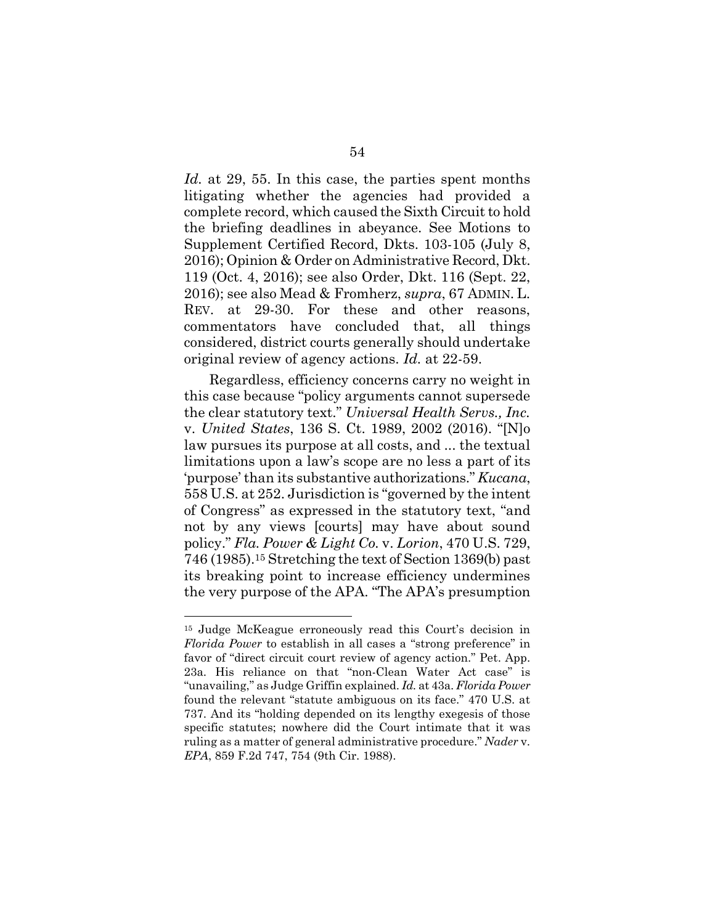*Id.* at 29, 55. In this case, the parties spent months litigating whether the agencies had provided a complete record, which caused the Sixth Circuit to hold the briefing deadlines in abeyance. See Motions to Supplement Certified Record, Dkts. 103-105 (July 8, 2016); Opinion & Order on Administrative Record, Dkt. 119 (Oct. 4, 2016); see also Order, Dkt. 116 (Sept. 22, 2016); see also Mead & Fromherz, *supra*, 67 ADMIN. L. REV. at 29-30. For these and other reasons, commentators have concluded that, all things considered, district courts generally should undertake original review of agency actions. *Id.* at 22-59.

Regardless, efficiency concerns carry no weight in this case because "policy arguments cannot supersede the clear statutory text." *Universal Health Servs., Inc.* v. *United States*, 136 S. Ct. 1989, 2002 (2016). "[N]o law pursues its purpose at all costs, and ... the textual limitations upon a law's scope are no less a part of its 'purpose' than its substantive authorizations." *Kucana*, 558 U.S. at 252. Jurisdiction is "governed by the intent of Congress" as expressed in the statutory text, "and not by any views [courts] may have about sound policy." *Fla. Power & Light Co.* v. *Lorion*, 470 U.S. 729, 746 (1985).<sup>15</sup> Stretching the text of Section 1369(b) past its breaking point to increase efficiency undermines the very purpose of the APA. "The APA's presumption

<sup>15</sup> Judge McKeague erroneously read this Court's decision in *Florida Power* to establish in all cases a "strong preference" in favor of "direct circuit court review of agency action." Pet. App. 23a. His reliance on that "non-Clean Water Act case" is "unavailing," as Judge Griffin explained. *Id.* at 43a. *Florida Power* found the relevant "statute ambiguous on its face." 470 U.S. at 737. And its "holding depended on its lengthy exegesis of those specific statutes; nowhere did the Court intimate that it was ruling as a matter of general administrative procedure." *Nader* v. *EPA*, 859 F.2d 747, 754 (9th Cir. 1988).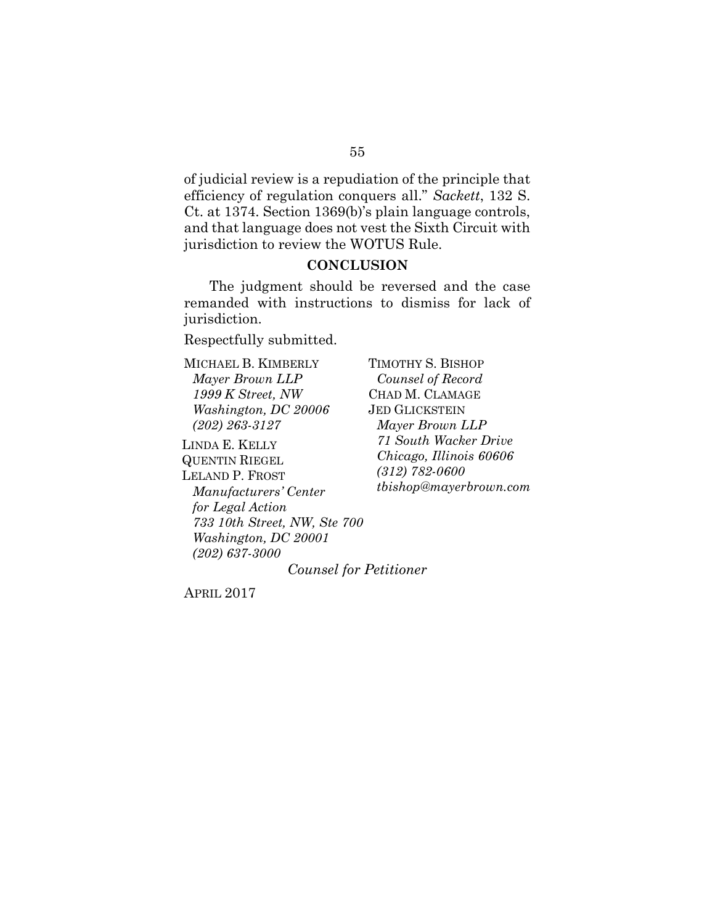of judicial review is a repudiation of the principle that efficiency of regulation conquers all." *Sackett*, 132 S. Ct. at 1374. Section 1369(b)'s plain language controls, and that language does not vest the Sixth Circuit with jurisdiction to review the WOTUS Rule.

### **CONCLUSION**

The judgment should be reversed and the case remanded with instructions to dismiss for lack of jurisdiction.

Respectfully submitted.

MICHAEL B. KIMBERLY *Mayer Brown LLP 1999 K Street, NW Washington, DC 20006 (202) 263-3127*

LINDA E. KELLY QUENTIN RIEGEL LELAND P. FROST *Manufacturers' Center for Legal Action 733 10th Street, NW, Ste 700 Washington, DC 20001 (202) 637-3000*

TIMOTHY S. BISHOP *Counsel of Record* CHAD M. CLAMAGE JED GLICKSTEIN *Mayer Brown LLP 71 South Wacker Drive Chicago, Illinois 60606 (312) 782-0600 tbishop@mayerbrown.com*

*Counsel for Petitioner*

APRIL 2017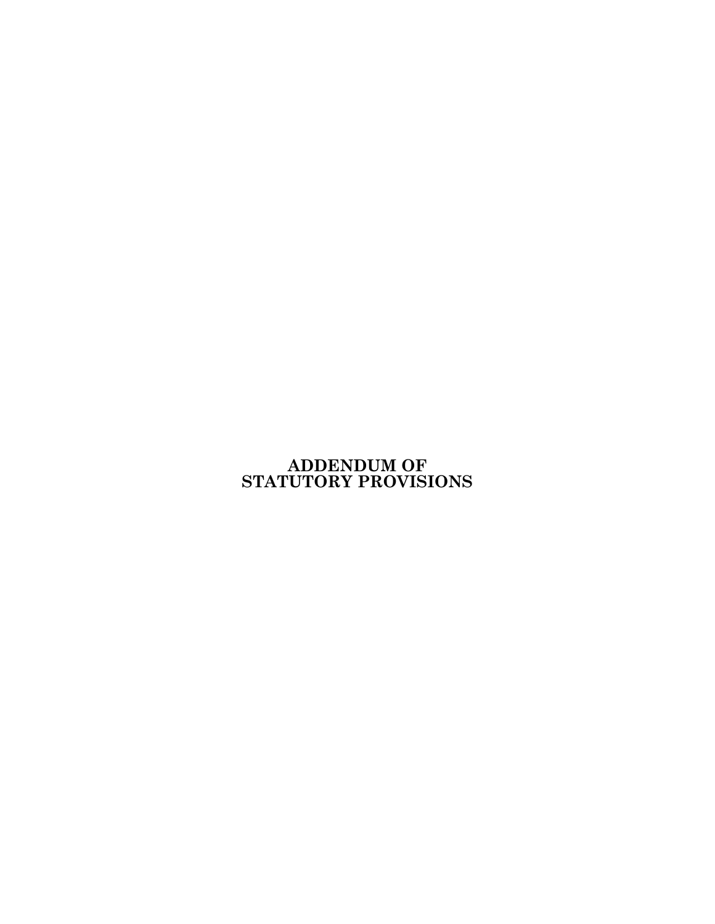# **ADDENDUM OF STATUTORY PROVISIONS**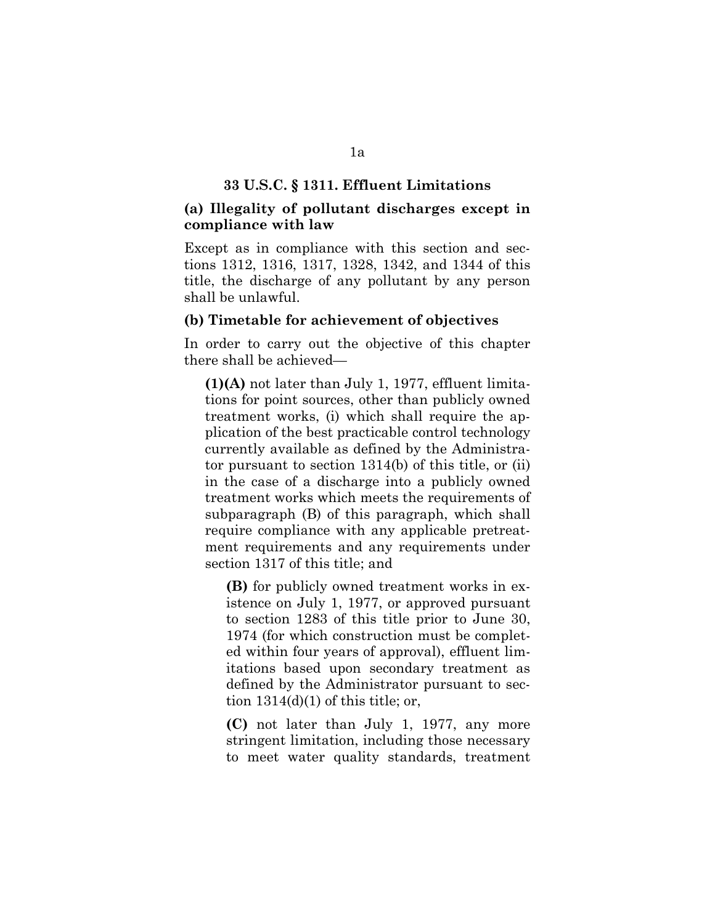### **33 U.S.C. § 1311. Effluent Limitations**

### **(a) Illegality of pollutant discharges except in compliance with law**

Except as in compliance with this section and sections 1312, 1316, 1317, 1328, 1342, and 1344 of this title, the discharge of any pollutant by any person shall be unlawful.

### **(b) Timetable for achievement of objectives**

In order to carry out the objective of this chapter there shall be achieved—

**(1)(A)** not later than July 1, 1977, effluent limitations for point sources, other than publicly owned treatment works, (i) which shall require the application of the best practicable control technology currently available as defined by the Administrator pursuant to section 1314(b) of this title, or (ii) in the case of a discharge into a publicly owned treatment works which meets the requirements of subparagraph (B) of this paragraph, which shall require compliance with any applicable pretreatment requirements and any requirements under section 1317 of this title; and

**(B)** for publicly owned treatment works in existence on July 1, 1977, or approved pursuant to section 1283 of this title prior to June 30, 1974 (for which construction must be completed within four years of approval), effluent limitations based upon secondary treatment as defined by the Administrator pursuant to section  $1314(d)(1)$  of this title; or,

**(C)** not later than July 1, 1977, any more stringent limitation, including those necessary to meet water quality standards, treatment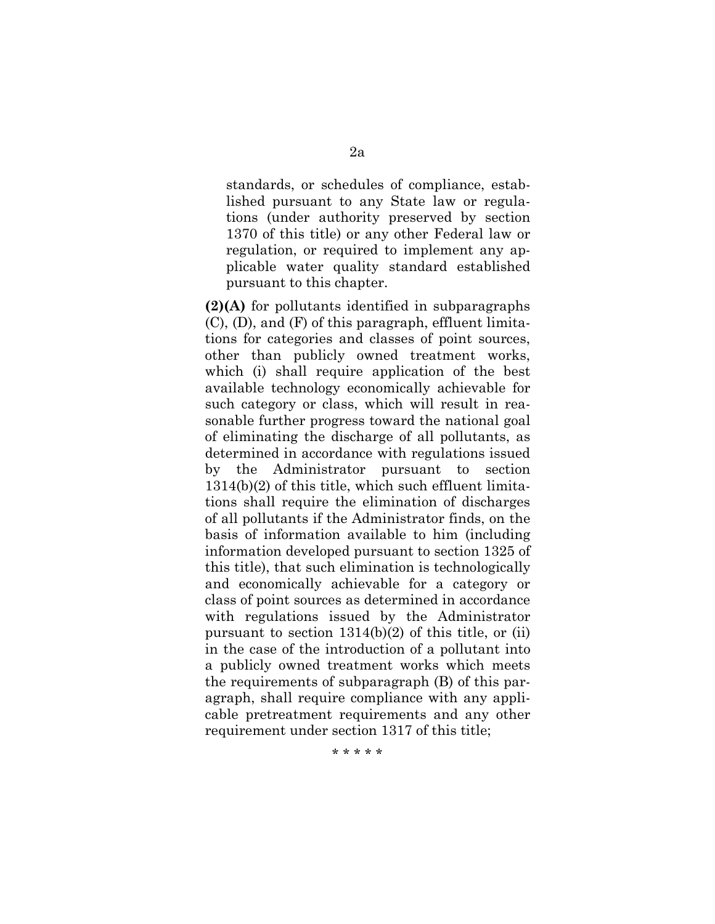standards, or schedules of compliance, established pursuant to any State law or regulations (under authority preserved by section 1370 of this title) or any other Federal law or regulation, or required to implement any applicable water quality standard established pursuant to this chapter.

**(2)(A)** for pollutants identified in subparagraphs (C), (D), and (F) of this paragraph, effluent limitations for categories and classes of point sources, other than publicly owned treatment works, which (i) shall require application of the best available technology economically achievable for such category or class, which will result in reasonable further progress toward the national goal of eliminating the discharge of all pollutants, as determined in accordance with regulations issued by the Administrator pursuant to section 1314(b)(2) of this title, which such effluent limitations shall require the elimination of discharges of all pollutants if the Administrator finds, on the basis of information available to him (including information developed pursuant to section 1325 of this title), that such elimination is technologically and economically achievable for a category or class of point sources as determined in accordance with regulations issued by the Administrator pursuant to section 1314(b)(2) of this title, or (ii) in the case of the introduction of a pollutant into a publicly owned treatment works which meets the requirements of subparagraph (B) of this paragraph, shall require compliance with any applicable pretreatment requirements and any other requirement under section 1317 of this title;

\* \* \* \* \*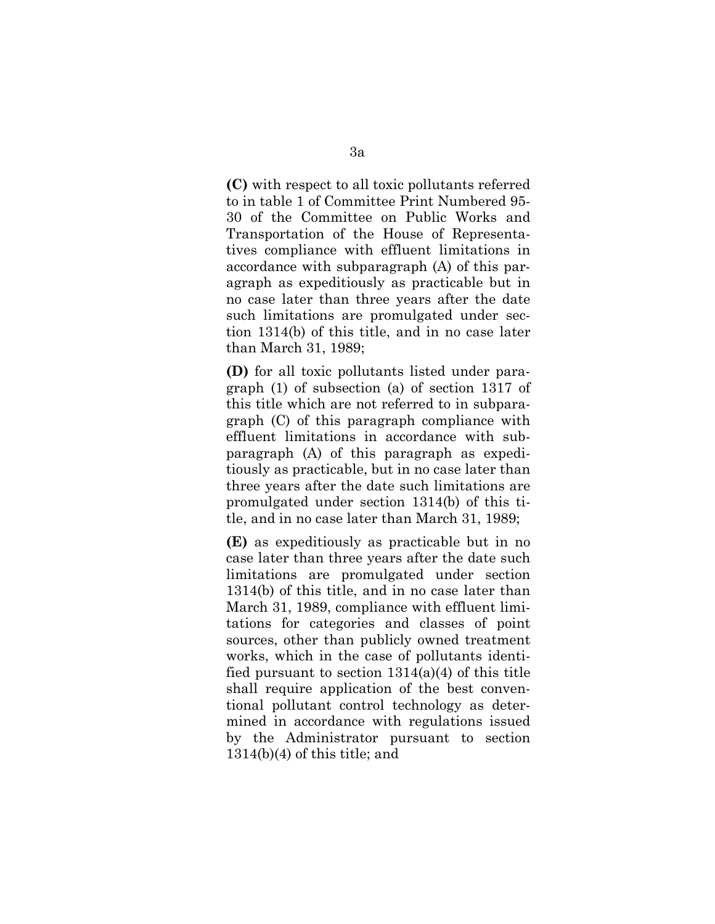**(C)** with respect to all toxic pollutants referred to in table 1 of Committee Print Numbered 95- 30 of the Committee on Public Works and Transportation of the House of Representatives compliance with effluent limitations in accordance with subparagraph (A) of this paragraph as expeditiously as practicable but in no case later than three years after the date such limitations are promulgated under section 1314(b) of this title, and in no case later than March 31, 1989;

**(D)** for all toxic pollutants listed under paragraph (1) of subsection (a) of section 1317 of this title which are not referred to in subparagraph (C) of this paragraph compliance with effluent limitations in accordance with subparagraph (A) of this paragraph as expeditiously as practicable, but in no case later than three years after the date such limitations are promulgated under section 1314(b) of this title, and in no case later than March 31, 1989;

**(E)** as expeditiously as practicable but in no case later than three years after the date such limitations are promulgated under section 1314(b) of this title, and in no case later than March 31, 1989, compliance with effluent limitations for categories and classes of point sources, other than publicly owned treatment works, which in the case of pollutants identified pursuant to section  $1314(a)(4)$  of this title shall require application of the best conventional pollutant control technology as determined in accordance with regulations issued by the Administrator pursuant to section 1314(b)(4) of this title; and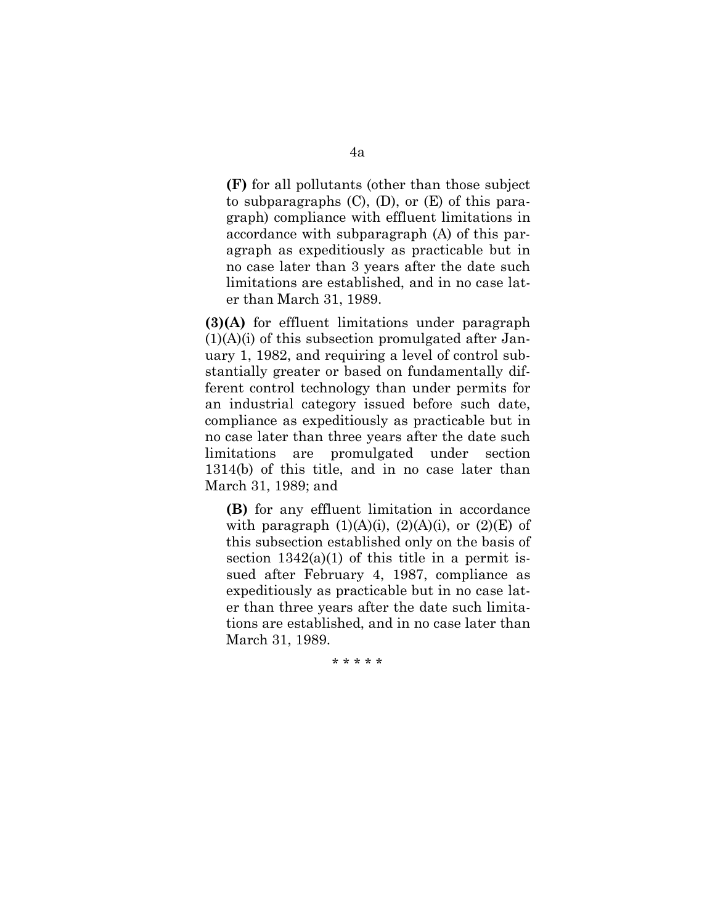**(F)** for all pollutants (other than those subject to subparagraphs  $(C)$ ,  $(D)$ , or  $(E)$  of this paragraph) compliance with effluent limitations in accordance with subparagraph (A) of this paragraph as expeditiously as practicable but in no case later than 3 years after the date such limitations are established, and in no case later than March 31, 1989.

**(3)(A)** for effluent limitations under paragraph  $(1)(A)(i)$  of this subsection promulgated after January 1, 1982, and requiring a level of control substantially greater or based on fundamentally different control technology than under permits for an industrial category issued before such date, compliance as expeditiously as practicable but in no case later than three years after the date such limitations are promulgated under section 1314(b) of this title, and in no case later than March 31, 1989; and

**(B)** for any effluent limitation in accordance with paragraph  $(1)(A)(i)$ ,  $(2)(A)(i)$ , or  $(2)(E)$  of this subsection established only on the basis of section  $1342(a)(1)$  of this title in a permit issued after February 4, 1987, compliance as expeditiously as practicable but in no case later than three years after the date such limitations are established, and in no case later than March 31, 1989.

\* \* \* \* \*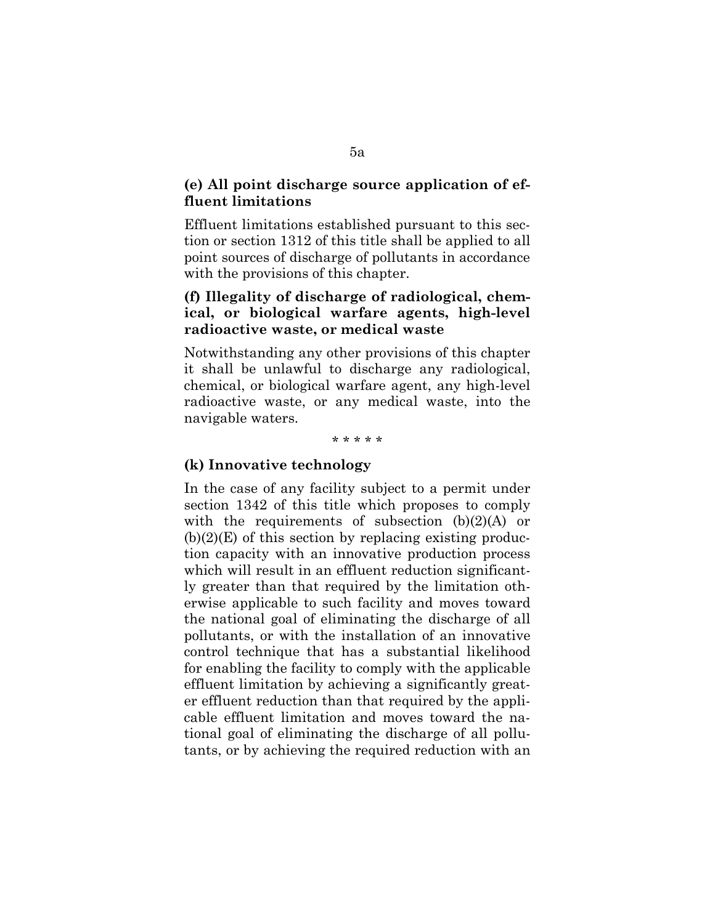# **(e) All point discharge source application of effluent limitations**

Effluent limitations established pursuant to this section or section 1312 of this title shall be applied to all point sources of discharge of pollutants in accordance with the provisions of this chapter.

# **(f) Illegality of discharge of radiological, chemical, or biological warfare agents, high-level radioactive waste, or medical waste**

Notwithstanding any other provisions of this chapter it shall be unlawful to discharge any radiological, chemical, or biological warfare agent, any high-level radioactive waste, or any medical waste, into the navigable waters.

#### \* \* \* \* \*

### **(k) Innovative technology**

In the case of any facility subject to a permit under section 1342 of this title which proposes to comply with the requirements of subsection  $(b)(2)(A)$  or  $(b)(2)(E)$  of this section by replacing existing production capacity with an innovative production process which will result in an effluent reduction significantly greater than that required by the limitation otherwise applicable to such facility and moves toward the national goal of eliminating the discharge of all pollutants, or with the installation of an innovative control technique that has a substantial likelihood for enabling the facility to comply with the applicable effluent limitation by achieving a significantly greater effluent reduction than that required by the applicable effluent limitation and moves toward the national goal of eliminating the discharge of all pollutants, or by achieving the required reduction with an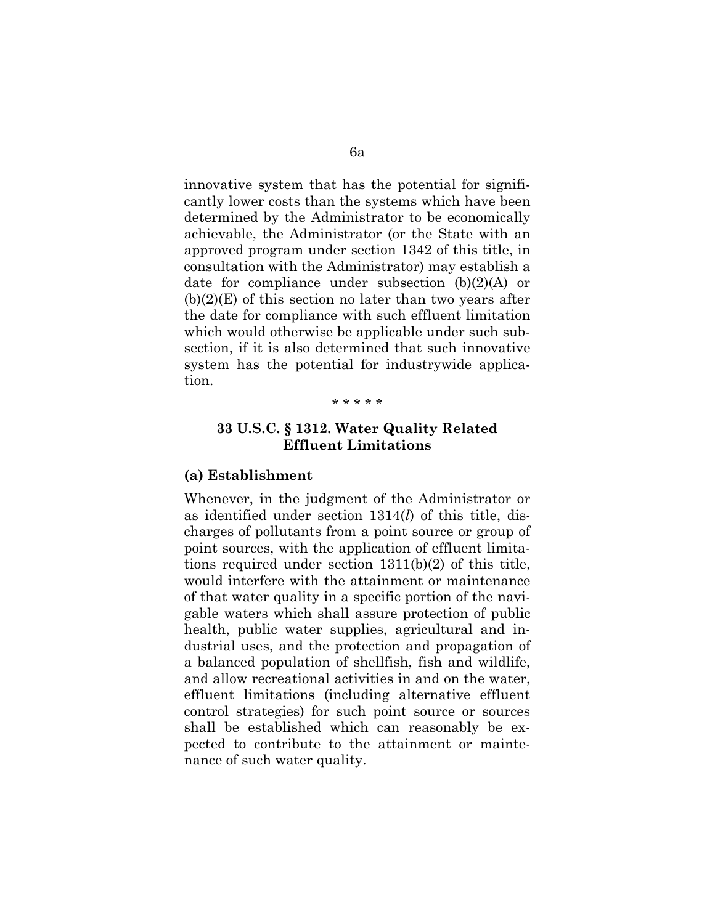innovative system that has the potential for significantly lower costs than the systems which have been determined by the Administrator to be economically achievable, the Administrator (or the State with an approved program under section 1342 of this title, in consultation with the Administrator) may establish a date for compliance under subsection (b)(2)(A) or  $(b)(2)(E)$  of this section no later than two years after the date for compliance with such effluent limitation which would otherwise be applicable under such subsection, if it is also determined that such innovative system has the potential for industrywide application.

#### \* \* \* \* \*

### **33 U.S.C. § 1312. Water Quality Related Effluent Limitations**

### **(a) Establishment**

Whenever, in the judgment of the Administrator or as identified under section 1314(*l*) of this title, discharges of pollutants from a point source or group of point sources, with the application of effluent limitations required under section 1311(b)(2) of this title, would interfere with the attainment or maintenance of that water quality in a specific portion of the navigable waters which shall assure protection of public health, public water supplies, agricultural and industrial uses, and the protection and propagation of a balanced population of shellfish, fish and wildlife, and allow recreational activities in and on the water, effluent limitations (including alternative effluent control strategies) for such point source or sources shall be established which can reasonably be expected to contribute to the attainment or maintenance of such water quality.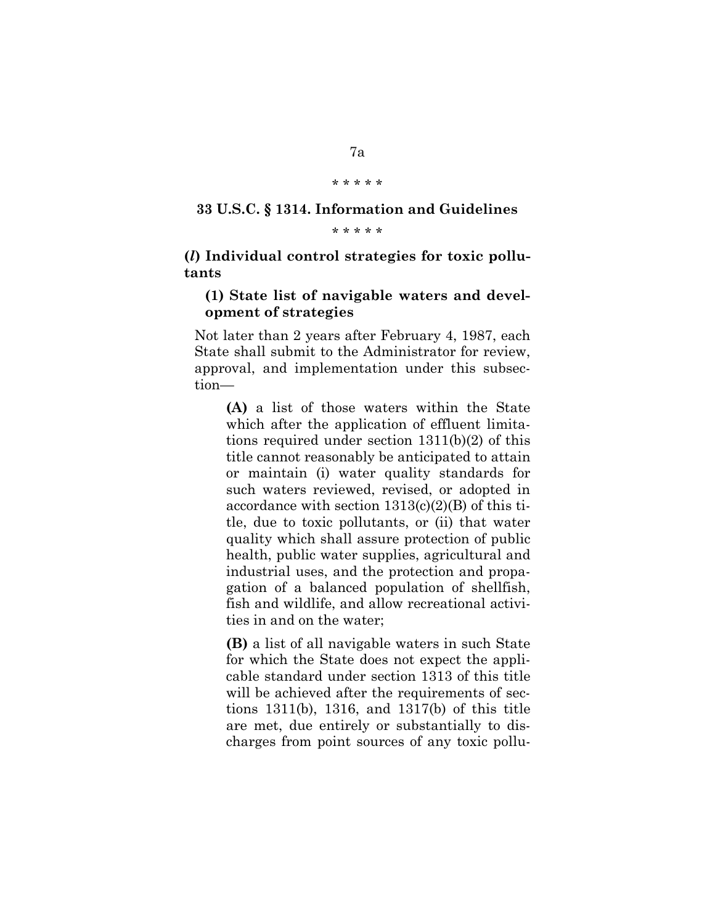#### \* \* \* \* \*

# **33 U.S.C. § 1314. Information and Guidelines**

\* \* \* \* \*

**(***l***) Individual control strategies for toxic pollutants**

### **(1) State list of navigable waters and development of strategies**

Not later than 2 years after February 4, 1987, each State shall submit to the Administrator for review, approval, and implementation under this subsection—

**(A)** a list of those waters within the State which after the application of effluent limitations required under section 1311(b)(2) of this title cannot reasonably be anticipated to attain or maintain (i) water quality standards for such waters reviewed, revised, or adopted in accordance with section  $1313(c)(2)(B)$  of this title, due to toxic pollutants, or (ii) that water quality which shall assure protection of public health, public water supplies, agricultural and industrial uses, and the protection and propagation of a balanced population of shellfish, fish and wildlife, and allow recreational activities in and on the water;

**(B)** a list of all navigable waters in such State for which the State does not expect the applicable standard under section 1313 of this title will be achieved after the requirements of sections 1311(b), 1316, and 1317(b) of this title are met, due entirely or substantially to discharges from point sources of any toxic pollu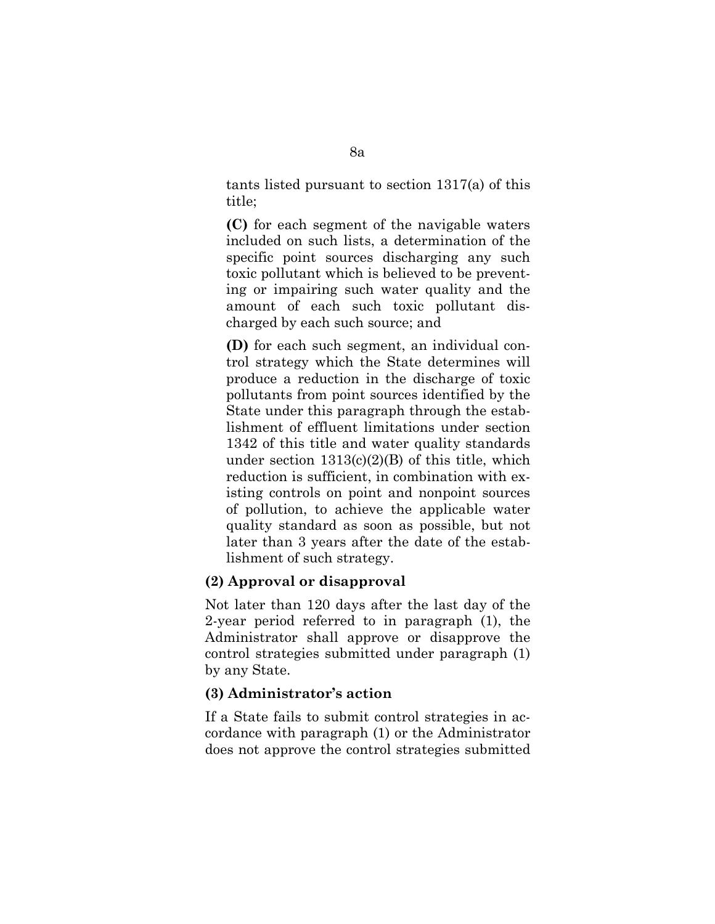tants listed pursuant to section 1317(a) of this title;

**(C)** for each segment of the navigable waters included on such lists, a determination of the specific point sources discharging any such toxic pollutant which is believed to be preventing or impairing such water quality and the amount of each such toxic pollutant discharged by each such source; and

**(D)** for each such segment, an individual control strategy which the State determines will produce a reduction in the discharge of toxic pollutants from point sources identified by the State under this paragraph through the establishment of effluent limitations under section 1342 of this title and water quality standards under section  $1313(c)(2)(B)$  of this title, which reduction is sufficient, in combination with existing controls on point and nonpoint sources of pollution, to achieve the applicable water quality standard as soon as possible, but not later than 3 years after the date of the establishment of such strategy.

## **(2) Approval or disapproval**

Not later than 120 days after the last day of the 2-year period referred to in paragraph (1), the Administrator shall approve or disapprove the control strategies submitted under paragraph (1) by any State.

## **(3) Administrator's action**

If a State fails to submit control strategies in accordance with paragraph (1) or the Administrator does not approve the control strategies submitted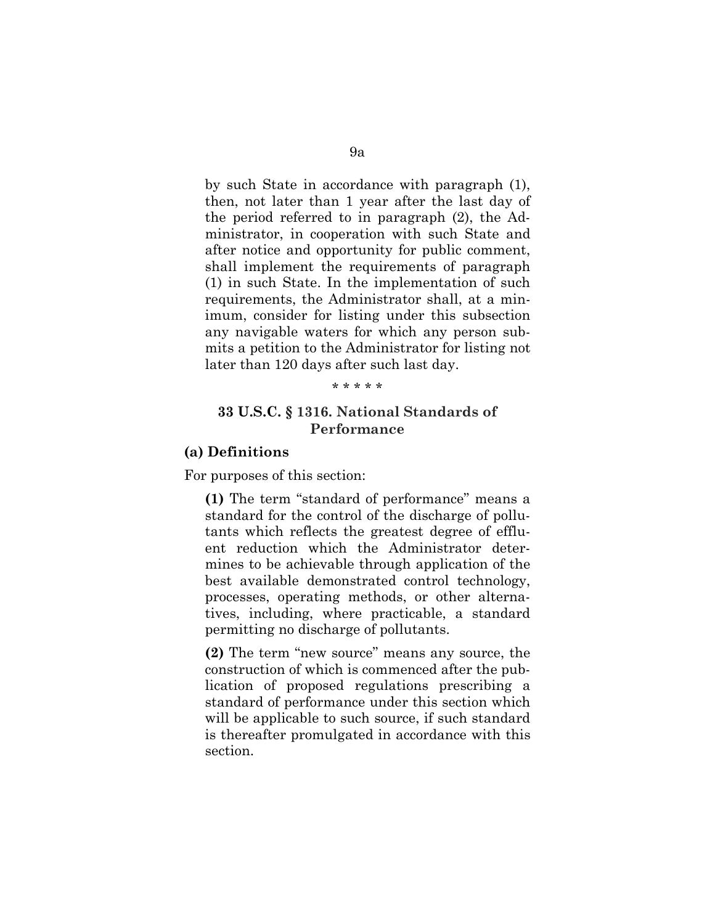by such State in accordance with paragraph (1), then, not later than 1 year after the last day of the period referred to in paragraph (2), the Administrator, in cooperation with such State and after notice and opportunity for public comment, shall implement the requirements of paragraph (1) in such State. In the implementation of such requirements, the Administrator shall, at a minimum, consider for listing under this subsection any navigable waters for which any person submits a petition to the Administrator for listing not later than 120 days after such last day.

### \* \* \* \* \*

# **33 U.S.C. § 1316. National Standards of Performance**

### **(a) Definitions**

For purposes of this section:

**(1)** The term "standard of performance" means a standard for the control of the discharge of pollutants which reflects the greatest degree of effluent reduction which the Administrator determines to be achievable through application of the best available demonstrated control technology, processes, operating methods, or other alternatives, including, where practicable, a standard permitting no discharge of pollutants.

**(2)** The term "new source" means any source, the construction of which is commenced after the publication of proposed regulations prescribing a standard of performance under this section which will be applicable to such source, if such standard is thereafter promulgated in accordance with this section.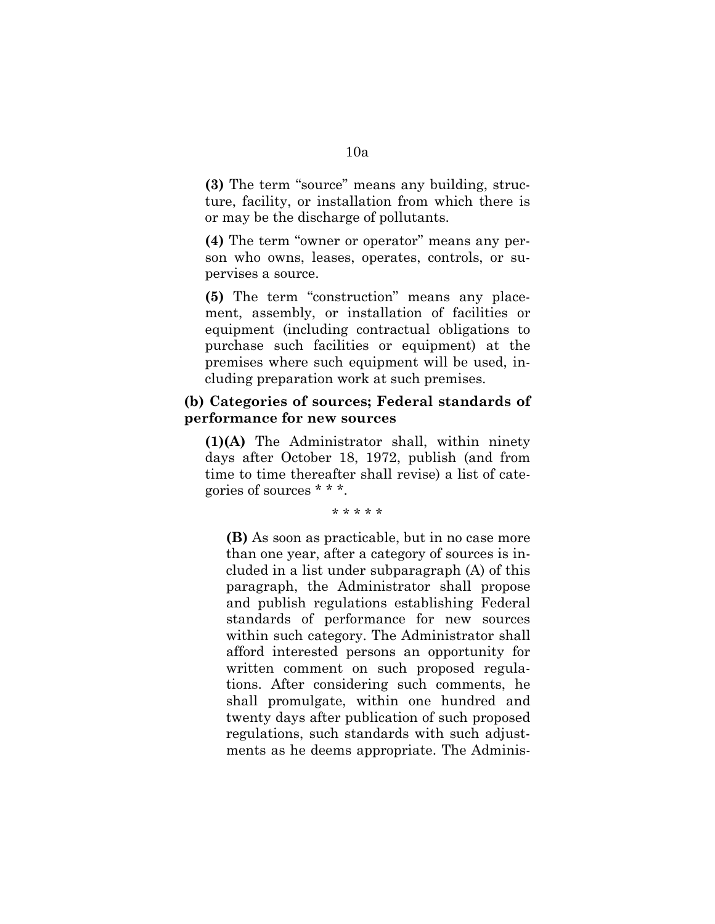**(3)** The term "source" means any building, structure, facility, or installation from which there is or may be the discharge of pollutants.

**(4)** The term "owner or operator" means any person who owns, leases, operates, controls, or supervises a source.

**(5)** The term "construction" means any placement, assembly, or installation of facilities or equipment (including contractual obligations to purchase such facilities or equipment) at the premises where such equipment will be used, including preparation work at such premises.

# **(b) Categories of sources; Federal standards of performance for new sources**

**(1)(A)** The Administrator shall, within ninety days after October 18, 1972, publish (and from time to time thereafter shall revise) a list of categories of sources \* \* \*.

\* \* \* \* \*

**(B)** As soon as practicable, but in no case more than one year, after a category of sources is included in a list under subparagraph (A) of this paragraph, the Administrator shall propose and publish regulations establishing Federal standards of performance for new sources within such category. The Administrator shall afford interested persons an opportunity for written comment on such proposed regulations. After considering such comments, he shall promulgate, within one hundred and twenty days after publication of such proposed regulations, such standards with such adjustments as he deems appropriate. The Adminis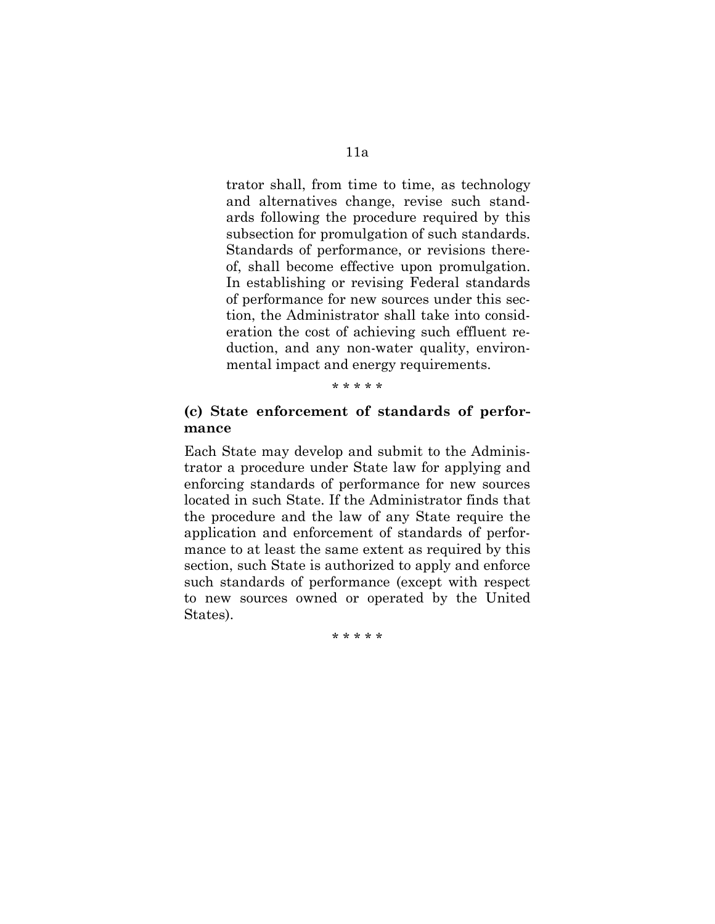trator shall, from time to time, as technology and alternatives change, revise such standards following the procedure required by this subsection for promulgation of such standards. Standards of performance, or revisions thereof, shall become effective upon promulgation. In establishing or revising Federal standards of performance for new sources under this section, the Administrator shall take into consideration the cost of achieving such effluent reduction, and any non-water quality, environmental impact and energy requirements.

### \* \* \* \* \*

# **(c) State enforcement of standards of performance**

Each State may develop and submit to the Administrator a procedure under State law for applying and enforcing standards of performance for new sources located in such State. If the Administrator finds that the procedure and the law of any State require the application and enforcement of standards of performance to at least the same extent as required by this section, such State is authorized to apply and enforce such standards of performance (except with respect to new sources owned or operated by the United States).

\* \* \* \* \*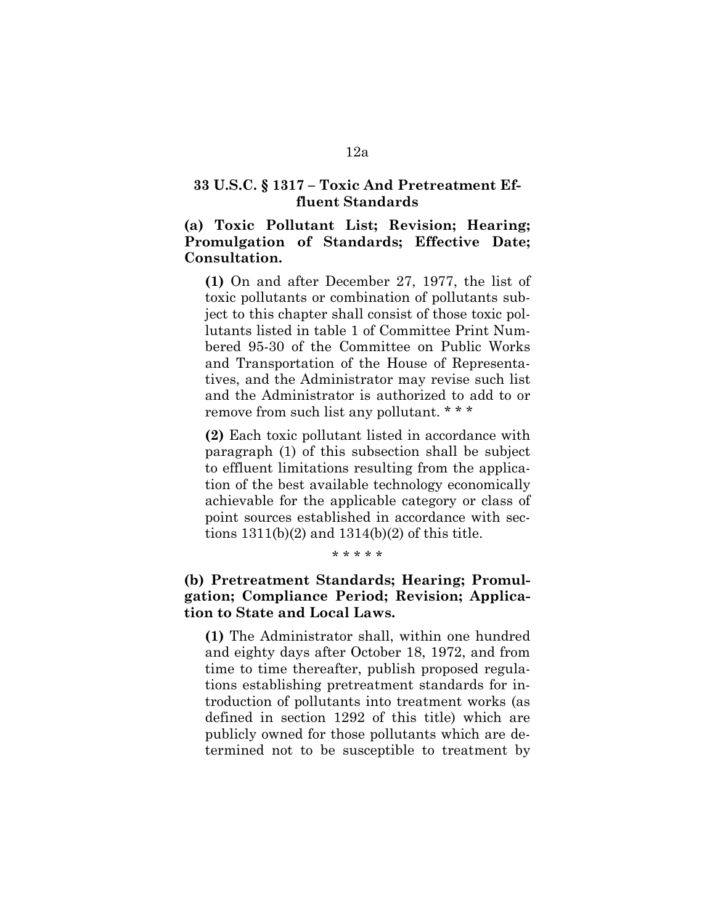### **33 U.S.C. § 1317 – Toxic And Pretreatment Effluent Standards**

# **(a) Toxic Pollutant List; Revision; Hearing; Promulgation of Standards; Effective Date; Consultation.**

**(1)** On and after December 27, 1977, the list of toxic pollutants or combination of pollutants subject to this chapter shall consist of those toxic pollutants listed in table 1 of Committee Print Numbered 95-30 of the Committee on Public Works and Transportation of the House of Representatives, and the Administrator may revise such list and the Administrator is authorized to add to or remove from such list any pollutant. \* \* \*

**(2)** Each toxic pollutant listed in accordance with paragraph (1) of this subsection shall be subject to effluent limitations resulting from the application of the best available technology economically achievable for the applicable category or class of point sources established in accordance with sections  $1311(b)(2)$  and  $1314(b)(2)$  of this title.

### \* \* \* \* \*

# **(b) Pretreatment Standards; Hearing; Promulgation; Compliance Period; Revision; Application to State and Local Laws.**

**(1)** The Administrator shall, within one hundred and eighty days after October 18, 1972, and from time to time thereafter, publish proposed regulations establishing pretreatment standards for introduction of pollutants into treatment works (as defined in section 1292 of this title) which are publicly owned for those pollutants which are determined not to be susceptible to treatment by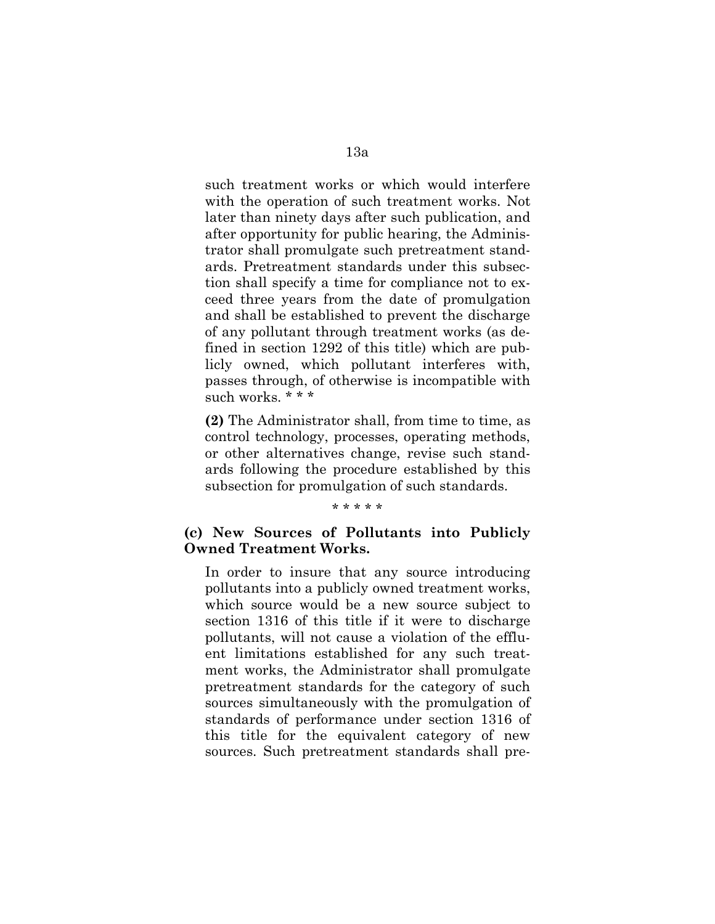such treatment works or which would interfere with the operation of such treatment works. Not later than ninety days after such publication, and after opportunity for public hearing, the Administrator shall promulgate such pretreatment standards. Pretreatment standards under this subsection shall specify a time for compliance not to exceed three years from the date of promulgation and shall be established to prevent the discharge of any pollutant through treatment works (as defined in section 1292 of this title) which are publicly owned, which pollutant interferes with, passes through, of otherwise is incompatible with such works. \* \* \*

**(2)** The Administrator shall, from time to time, as control technology, processes, operating methods, or other alternatives change, revise such standards following the procedure established by this subsection for promulgation of such standards.

#### \* \* \* \* \*

### **(c) New Sources of Pollutants into Publicly Owned Treatment Works.**

In order to insure that any source introducing pollutants into a publicly owned treatment works, which source would be a new source subject to section 1316 of this title if it were to discharge pollutants, will not cause a violation of the effluent limitations established for any such treatment works, the Administrator shall promulgate pretreatment standards for the category of such sources simultaneously with the promulgation of standards of performance under section 1316 of this title for the equivalent category of new sources. Such pretreatment standards shall pre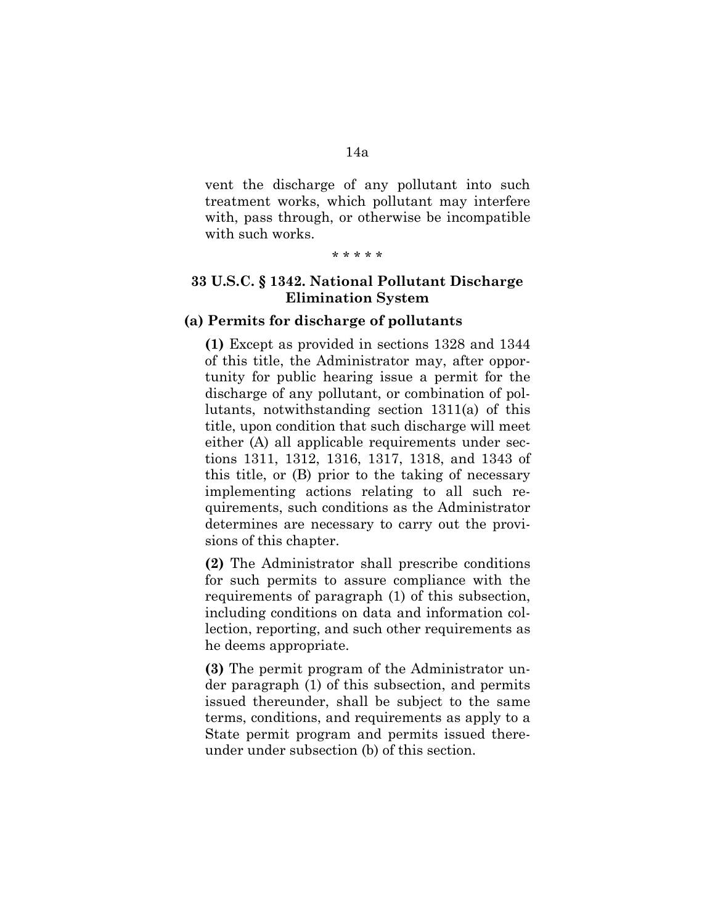vent the discharge of any pollutant into such treatment works, which pollutant may interfere with, pass through, or otherwise be incompatible with such works.

\* \* \* \* \*

# **33 U.S.C. § 1342. National Pollutant Discharge Elimination System**

### **(a) Permits for discharge of pollutants**

**(1)** Except as provided in sections 1328 and 1344 of this title, the Administrator may, after opportunity for public hearing issue a permit for the discharge of any pollutant, or combination of pollutants, notwithstanding section 1311(a) of this title, upon condition that such discharge will meet either (A) all applicable requirements under sections 1311, 1312, 1316, 1317, 1318, and 1343 of this title, or (B) prior to the taking of necessary implementing actions relating to all such requirements, such conditions as the Administrator determines are necessary to carry out the provisions of this chapter.

**(2)** The Administrator shall prescribe conditions for such permits to assure compliance with the requirements of paragraph (1) of this subsection, including conditions on data and information collection, reporting, and such other requirements as he deems appropriate.

**(3)** The permit program of the Administrator under paragraph (1) of this subsection, and permits issued thereunder, shall be subject to the same terms, conditions, and requirements as apply to a State permit program and permits issued thereunder under subsection (b) of this section.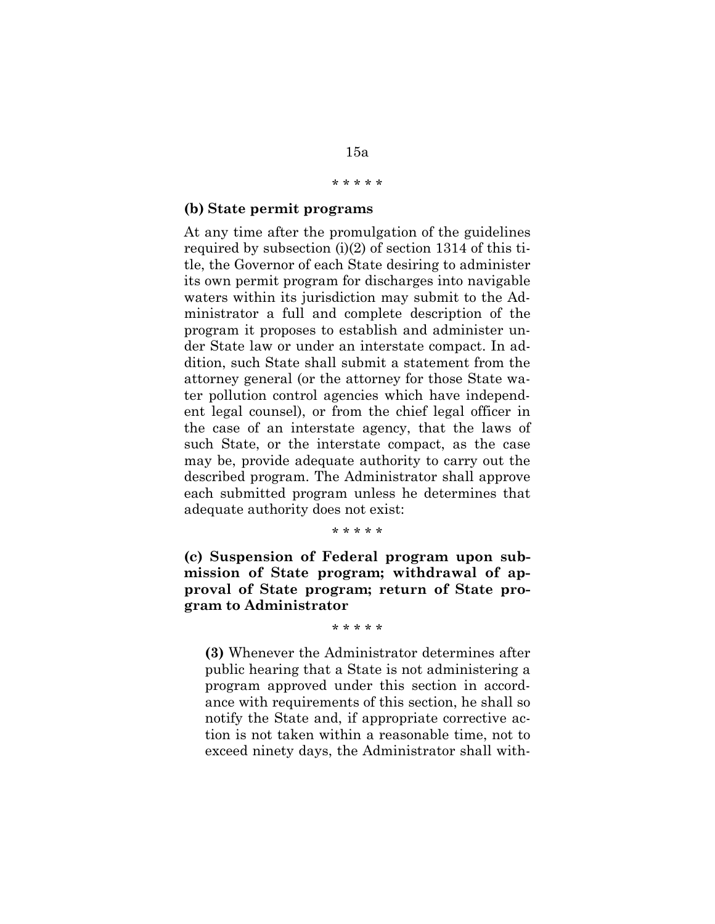# 15a

### \* \* \* \* \*

### **(b) State permit programs**

At any time after the promulgation of the guidelines required by subsection  $(i)(2)$  of section 1314 of this title, the Governor of each State desiring to administer its own permit program for discharges into navigable waters within its jurisdiction may submit to the Administrator a full and complete description of the program it proposes to establish and administer under State law or under an interstate compact. In addition, such State shall submit a statement from the attorney general (or the attorney for those State water pollution control agencies which have independent legal counsel), or from the chief legal officer in the case of an interstate agency, that the laws of such State, or the interstate compact, as the case may be, provide adequate authority to carry out the described program. The Administrator shall approve each submitted program unless he determines that adequate authority does not exist:

\* \* \* \* \*

**(c) Suspension of Federal program upon submission of State program; withdrawal of approval of State program; return of State program to Administrator**

\* \* \* \* \*

**(3)** Whenever the Administrator determines after public hearing that a State is not administering a program approved under this section in accordance with requirements of this section, he shall so notify the State and, if appropriate corrective action is not taken within a reasonable time, not to exceed ninety days, the Administrator shall with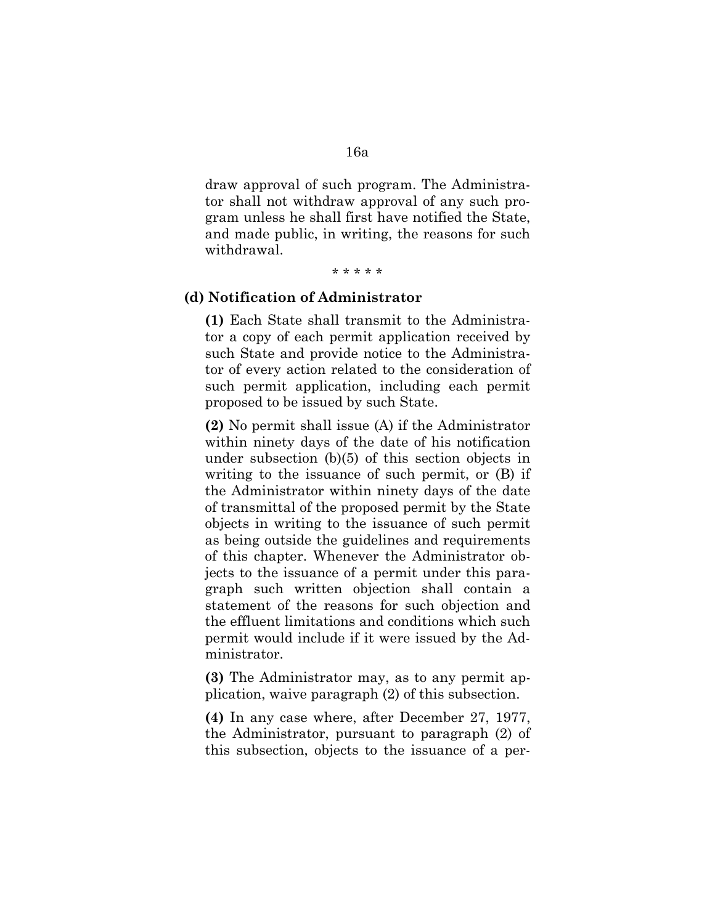draw approval of such program. The Administrator shall not withdraw approval of any such program unless he shall first have notified the State, and made public, in writing, the reasons for such withdrawal.

\* \* \* \* \*

### **(d) Notification of Administrator**

**(1)** Each State shall transmit to the Administrator a copy of each permit application received by such State and provide notice to the Administrator of every action related to the consideration of such permit application, including each permit proposed to be issued by such State.

**(2)** No permit shall issue (A) if the Administrator within ninety days of the date of his notification under subsection (b)(5) of this section objects in writing to the issuance of such permit, or (B) if the Administrator within ninety days of the date of transmittal of the proposed permit by the State objects in writing to the issuance of such permit as being outside the guidelines and requirements of this chapter. Whenever the Administrator objects to the issuance of a permit under this paragraph such written objection shall contain a statement of the reasons for such objection and the effluent limitations and conditions which such permit would include if it were issued by the Administrator.

**(3)** The Administrator may, as to any permit application, waive paragraph (2) of this subsection.

**(4)** In any case where, after December 27, 1977, the Administrator, pursuant to paragraph (2) of this subsection, objects to the issuance of a per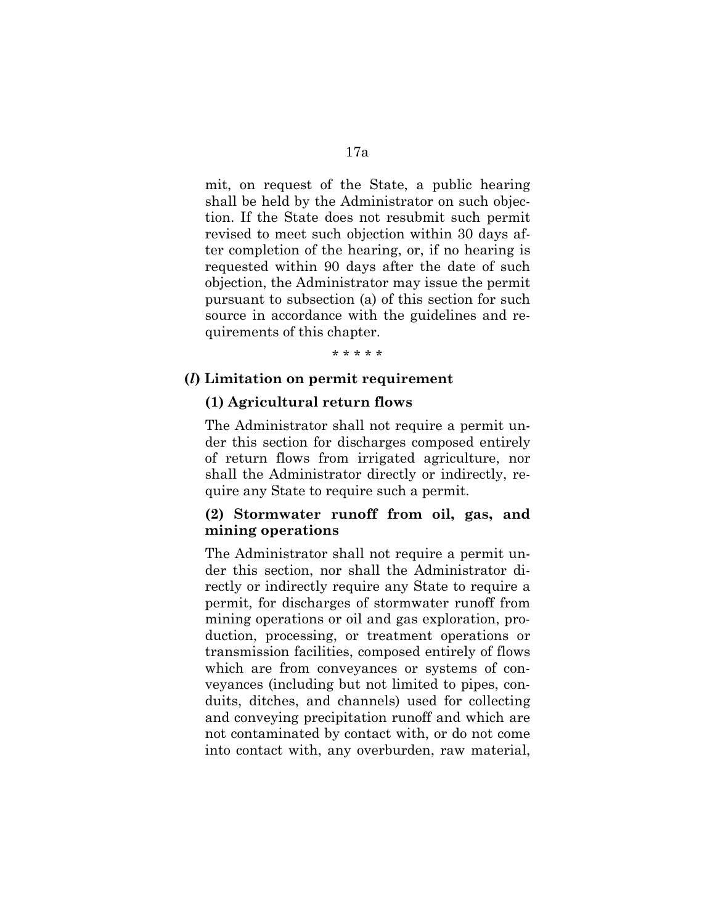mit, on request of the State, a public hearing shall be held by the Administrator on such objection. If the State does not resubmit such permit revised to meet such objection within 30 days after completion of the hearing, or, if no hearing is requested within 90 days after the date of such objection, the Administrator may issue the permit pursuant to subsection (a) of this section for such source in accordance with the guidelines and requirements of this chapter.

\* \* \* \* \*

### **(***l***) Limitation on permit requirement**

#### **(1) Agricultural return flows**

The Administrator shall not require a permit under this section for discharges composed entirely of return flows from irrigated agriculture, nor shall the Administrator directly or indirectly, require any State to require such a permit.

# **(2) Stormwater runoff from oil, gas, and mining operations**

The Administrator shall not require a permit under this section, nor shall the Administrator directly or indirectly require any State to require a permit, for discharges of stormwater runoff from mining operations or oil and gas exploration, production, processing, or treatment operations or transmission facilities, composed entirely of flows which are from conveyances or systems of conveyances (including but not limited to pipes, conduits, ditches, and channels) used for collecting and conveying precipitation runoff and which are not contaminated by contact with, or do not come into contact with, any overburden, raw material,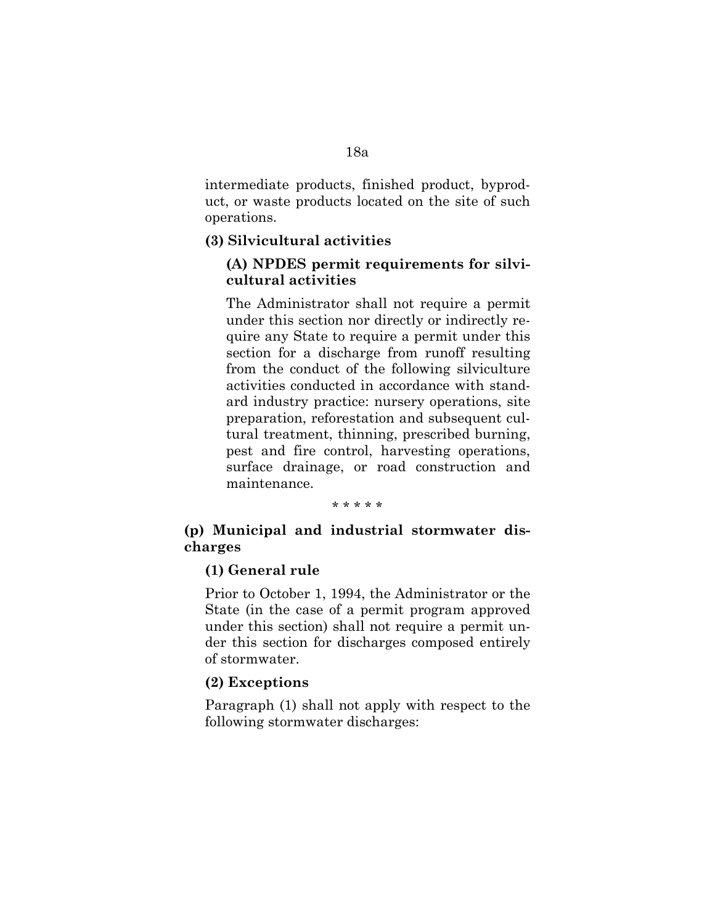intermediate products, finished product, byproduct, or waste products located on the site of such operations.

### **(3) Silvicultural activities**

# **(A) NPDES permit requirements for silvicultural activities**

The Administrator shall not require a permit under this section nor directly or indirectly require any State to require a permit under this section for a discharge from runoff resulting from the conduct of the following silviculture activities conducted in accordance with standard industry practice: nursery operations, site preparation, reforestation and subsequent cultural treatment, thinning, prescribed burning, pest and fire control, harvesting operations, surface drainage, or road construction and maintenance.

#### \* \* \* \* \*

### **(p) Municipal and industrial stormwater discharges**

## **(1) General rule**

Prior to October 1, 1994, the Administrator or the State (in the case of a permit program approved under this section) shall not require a permit under this section for discharges composed entirely of stormwater.

### **(2) Exceptions**

Paragraph (1) shall not apply with respect to the following stormwater discharges: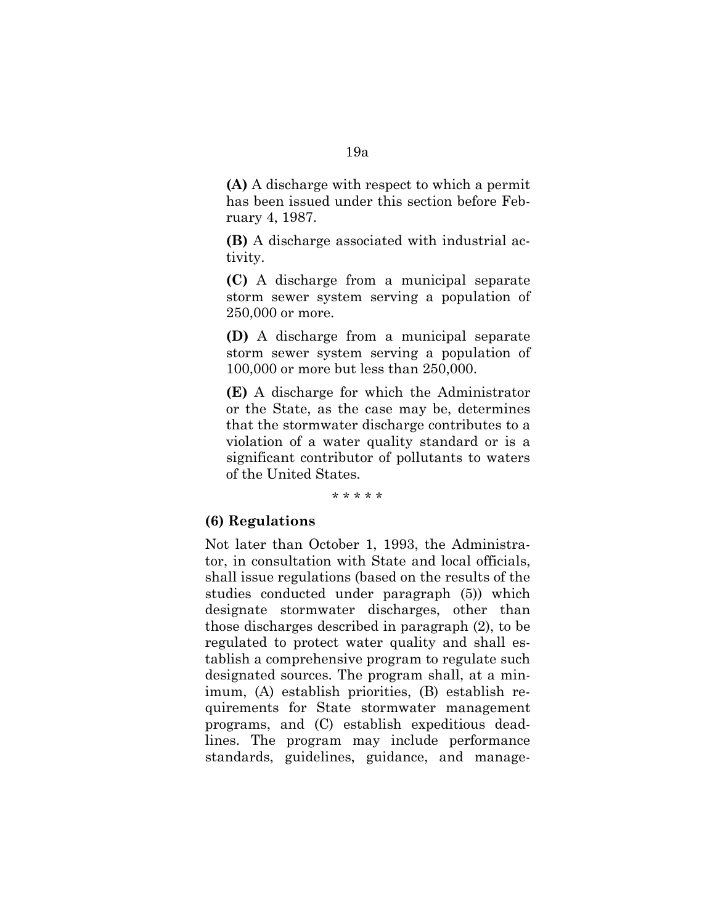**(A)** A discharge with respect to which a permit has been issued under this section before February 4, 1987.

**(B)** A discharge associated with industrial activity.

**(C)** A discharge from a municipal separate storm sewer system serving a population of 250,000 or more.

**(D)** A discharge from a municipal separate storm sewer system serving a population of 100,000 or more but less than 250,000.

**(E)** A discharge for which the Administrator or the State, as the case may be, determines that the stormwater discharge contributes to a violation of a water quality standard or is a significant contributor of pollutants to waters of the United States.

#### \* \* \* \* \*

### **(6) Regulations**

Not later than October 1, 1993, the Administrator, in consultation with State and local officials, shall issue regulations (based on the results of the studies conducted under paragraph (5)) which designate stormwater discharges, other than those discharges described in paragraph (2), to be regulated to protect water quality and shall establish a comprehensive program to regulate such designated sources. The program shall, at a minimum, (A) establish priorities, (B) establish requirements for State stormwater management programs, and (C) establish expeditious deadlines. The program may include performance standards, guidelines, guidance, and manage-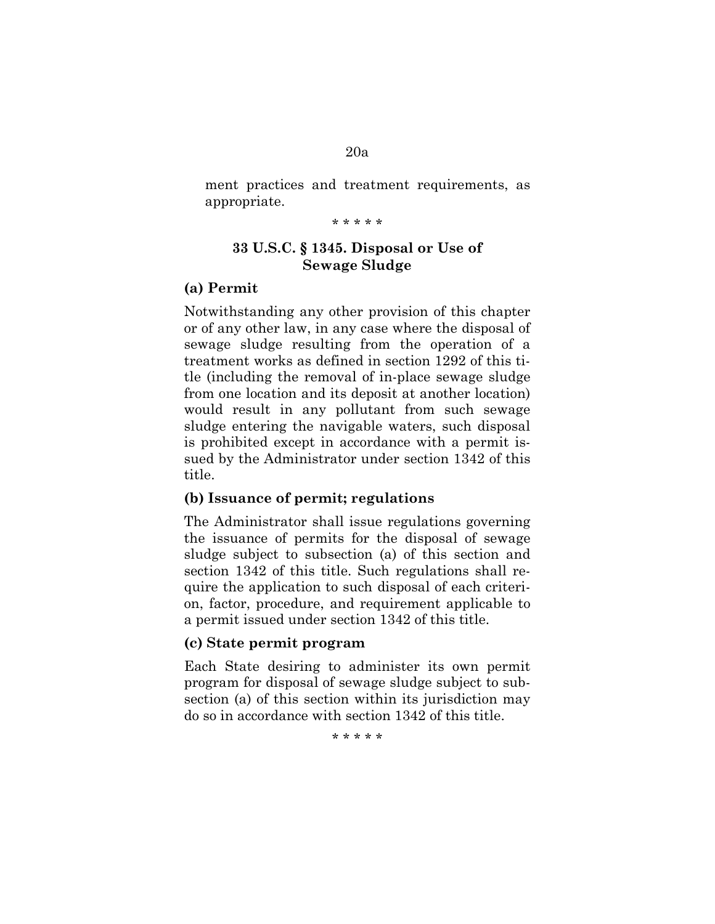### 20a

ment practices and treatment requirements, as appropriate.

\* \* \* \* \*

# **33 U.S.C. § 1345. Disposal or Use of Sewage Sludge**

# **(a) Permit**

Notwithstanding any other provision of this chapter or of any other law, in any case where the disposal of sewage sludge resulting from the operation of a treatment works as defined in section 1292 of this title (including the removal of in-place sewage sludge from one location and its deposit at another location) would result in any pollutant from such sewage sludge entering the navigable waters, such disposal is prohibited except in accordance with a permit issued by the Administrator under section 1342 of this title.

## **(b) Issuance of permit; regulations**

The Administrator shall issue regulations governing the issuance of permits for the disposal of sewage sludge subject to subsection (a) of this section and section 1342 of this title. Such regulations shall require the application to such disposal of each criterion, factor, procedure, and requirement applicable to a permit issued under section 1342 of this title.

### **(c) State permit program**

Each State desiring to administer its own permit program for disposal of sewage sludge subject to subsection (a) of this section within its jurisdiction may do so in accordance with section 1342 of this title.

\* \* \* \* \*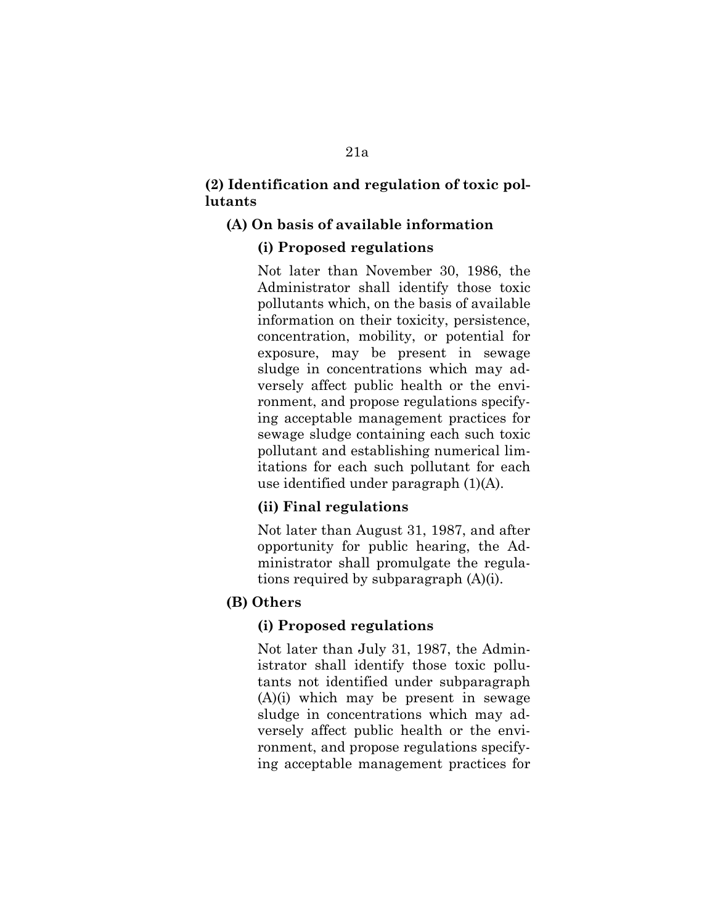# **(2) Identification and regulation of toxic pollutants**

# **(A) On basis of available information**

# **(i) Proposed regulations**

Not later than November 30, 1986, the Administrator shall identify those toxic pollutants which, on the basis of available information on their toxicity, persistence, concentration, mobility, or potential for exposure, may be present in sewage sludge in concentrations which may adversely affect public health or the environment, and propose regulations specifying acceptable management practices for sewage sludge containing each such toxic pollutant and establishing numerical limitations for each such pollutant for each use identified under paragraph (1)(A).

# **(ii) Final regulations**

Not later than August 31, 1987, and after opportunity for public hearing, the Administrator shall promulgate the regulations required by subparagraph (A)(i).

# **(B) Others**

# **(i) Proposed regulations**

Not later than July 31, 1987, the Administrator shall identify those toxic pollutants not identified under subparagraph (A)(i) which may be present in sewage sludge in concentrations which may adversely affect public health or the environment, and propose regulations specifying acceptable management practices for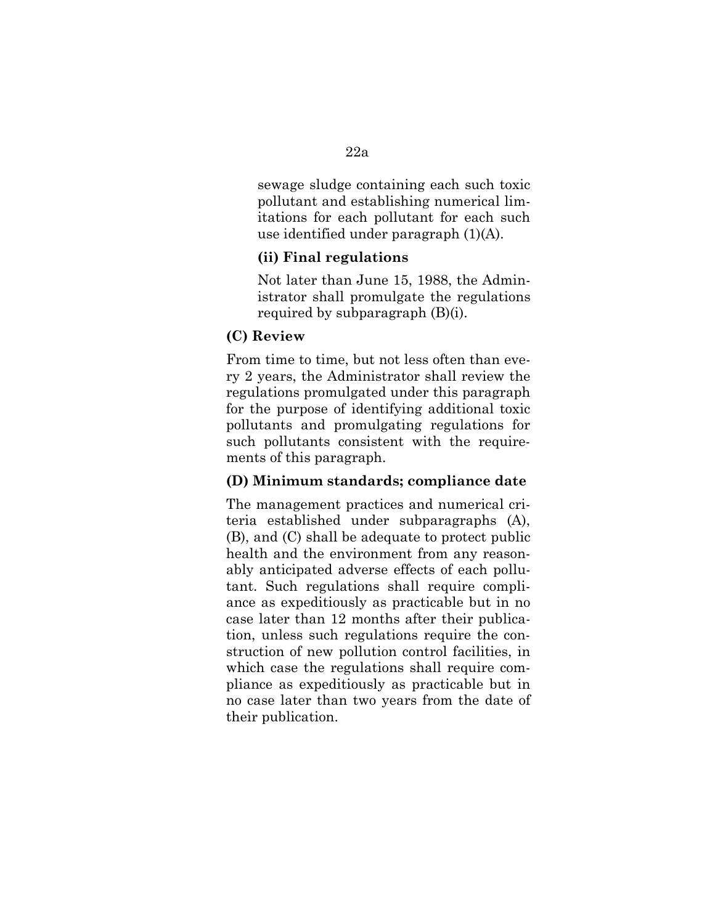sewage sludge containing each such toxic pollutant and establishing numerical limitations for each pollutant for each such use identified under paragraph (1)(A).

# **(ii) Final regulations**

Not later than June 15, 1988, the Administrator shall promulgate the regulations required by subparagraph (B)(i).

### **(C) Review**

From time to time, but not less often than every 2 years, the Administrator shall review the regulations promulgated under this paragraph for the purpose of identifying additional toxic pollutants and promulgating regulations for such pollutants consistent with the requirements of this paragraph.

### **(D) Minimum standards; compliance date**

The management practices and numerical criteria established under subparagraphs (A), (B), and (C) shall be adequate to protect public health and the environment from any reasonably anticipated adverse effects of each pollutant. Such regulations shall require compliance as expeditiously as practicable but in no case later than 12 months after their publication, unless such regulations require the construction of new pollution control facilities, in which case the regulations shall require compliance as expeditiously as practicable but in no case later than two years from the date of their publication.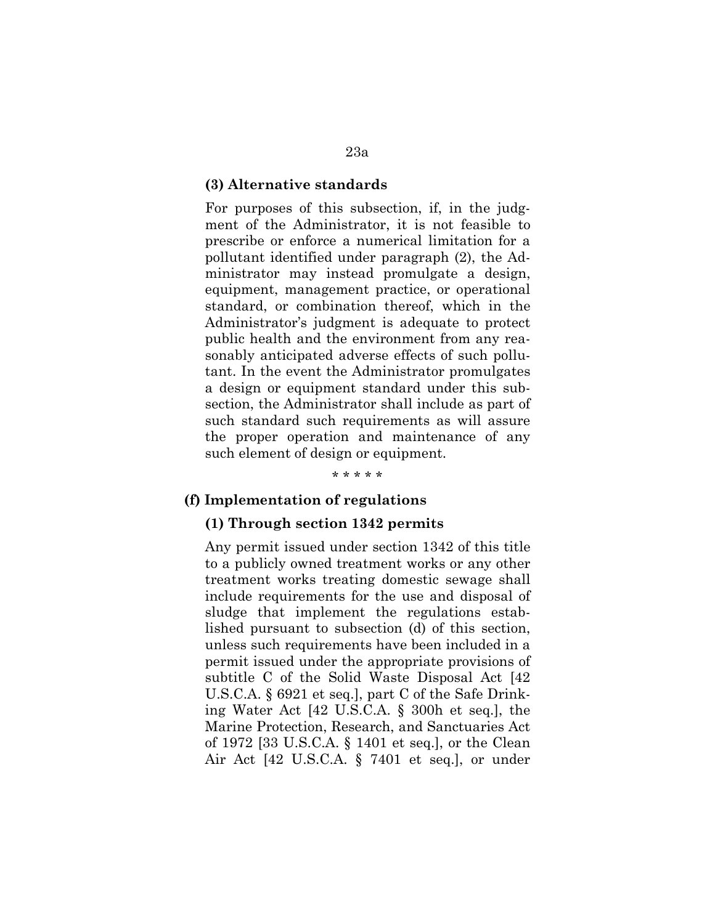### **(3) Alternative standards**

For purposes of this subsection, if, in the judgment of the Administrator, it is not feasible to prescribe or enforce a numerical limitation for a pollutant identified under paragraph (2), the Administrator may instead promulgate a design, equipment, management practice, or operational standard, or combination thereof, which in the Administrator's judgment is adequate to protect public health and the environment from any reasonably anticipated adverse effects of such pollutant. In the event the Administrator promulgates a design or equipment standard under this subsection, the Administrator shall include as part of such standard such requirements as will assure the proper operation and maintenance of any such element of design or equipment.

\* \* \* \* \*

### **(f) Implementation of regulations**

#### **(1) Through section 1342 permits**

Any permit issued under section 1342 of this title to a publicly owned treatment works or any other treatment works treating domestic sewage shall include requirements for the use and disposal of sludge that implement the regulations established pursuant to subsection (d) of this section, unless such requirements have been included in a permit issued under the appropriate provisions of subtitle C of the Solid Waste Disposal Act [42 U.S.C.A. § 6921 et seq.], part C of the Safe Drinking Water Act [42 U.S.C.A. § 300h et seq.], the Marine Protection, Research, and Sanctuaries Act of 1972 [33 U.S.C.A. § 1401 et seq.], or the Clean Air Act [42 U.S.C.A. § 7401 et seq.], or under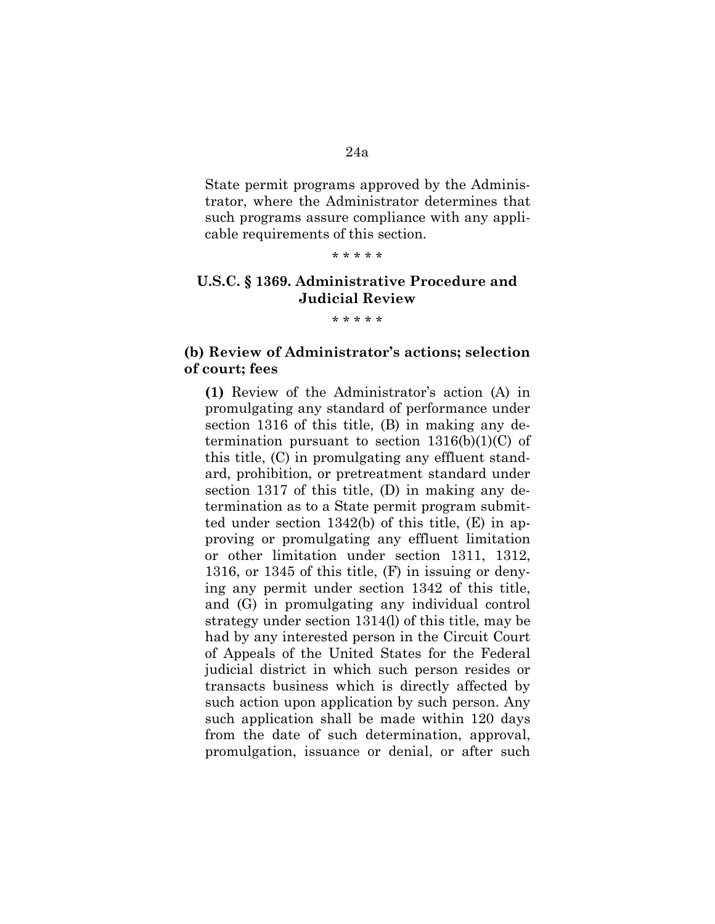# State permit programs approved by the Administrator, where the Administrator determines that such programs assure compliance with any applicable requirements of this section.

#### \* \* \* \* \*

# **U.S.C. § 1369. Administrative Procedure and Judicial Review**

\* \* \* \* \*

## **(b) Review of Administrator's actions; selection of court; fees**

**(1)** Review of the Administrator's action (A) in promulgating any standard of performance under section 1316 of this title, (B) in making any determination pursuant to section  $1316(b)(1)(C)$  of this title, (C) in promulgating any effluent standard, prohibition, or pretreatment standard under section 1317 of this title, (D) in making any determination as to a State permit program submitted under section 1342(b) of this title, (E) in approving or promulgating any effluent limitation or other limitation under section 1311, 1312, 1316, or 1345 of this title, (F) in issuing or denying any permit under section 1342 of this title, and (G) in promulgating any individual control strategy under section 1314(l) of this title, may be had by any interested person in the Circuit Court of Appeals of the United States for the Federal judicial district in which such person resides or transacts business which is directly affected by such action upon application by such person. Any such application shall be made within 120 days from the date of such determination, approval, promulgation, issuance or denial, or after such